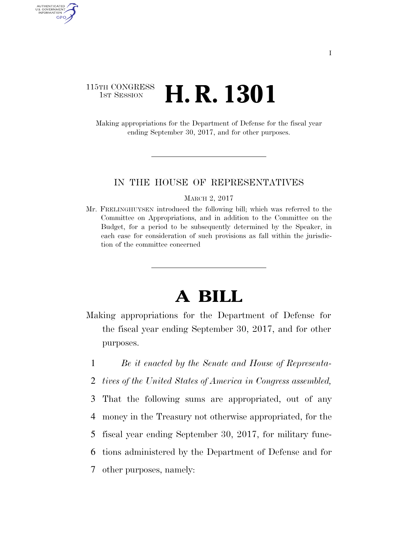# 115TH CONGRESS **1st Session H. R. 1301**

AUTHENTICATED<br>U.S. GOVERNMENT<br>INFORMATION **GPO** 

> Making appropriations for the Department of Defense for the fiscal year ending September 30, 2017, and for other purposes.

### IN THE HOUSE OF REPRESENTATIVES

MARCH 2, 2017

Mr. FRELINGHUYSEN introduced the following bill; which was referred to the Committee on Appropriations, and in addition to the Committee on the Budget, for a period to be subsequently determined by the Speaker, in each case for consideration of such provisions as fall within the jurisdiction of the committee concerned

# **A BILL**

- Making appropriations for the Department of Defense for the fiscal year ending September 30, 2017, and for other purposes.
	- 1 *Be it enacted by the Senate and House of Representa-*
	- 2 *tives of the United States of America in Congress assembled,*
- 3 That the following sums are appropriated, out of any 4 money in the Treasury not otherwise appropriated, for the
- 5 fiscal year ending September 30, 2017, for military func-
- 6 tions administered by the Department of Defense and for
- 7 other purposes, namely: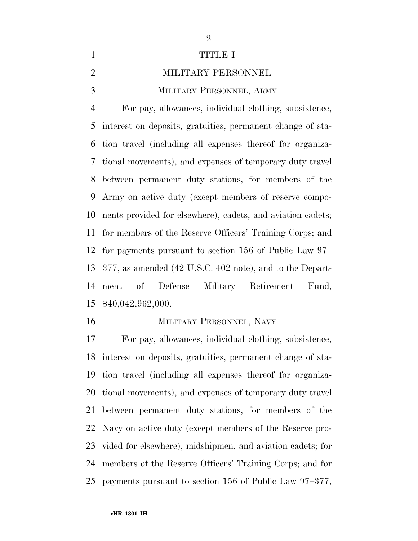### 1 TITLE I

## MILITARY PERSONNEL

MILITARY PERSONNEL, ARMY

 For pay, allowances, individual clothing, subsistence, interest on deposits, gratuities, permanent change of sta- tion travel (including all expenses thereof for organiza- tional movements), and expenses of temporary duty travel between permanent duty stations, for members of the Army on active duty (except members of reserve compo- nents provided for elsewhere), cadets, and aviation cadets; for members of the Reserve Officers' Training Corps; and for payments pursuant to section 156 of Public Law 97– 377, as amended (42 U.S.C. 402 note), and to the Depart- ment of Defense Military Retirement Fund, \$40,042,962,000.

### MILITARY PERSONNEL, NAVY

 For pay, allowances, individual clothing, subsistence, interest on deposits, gratuities, permanent change of sta- tion travel (including all expenses thereof for organiza- tional movements), and expenses of temporary duty travel between permanent duty stations, for members of the Navy on active duty (except members of the Reserve pro- vided for elsewhere), midshipmen, and aviation cadets; for members of the Reserve Officers' Training Corps; and for payments pursuant to section 156 of Public Law 97–377,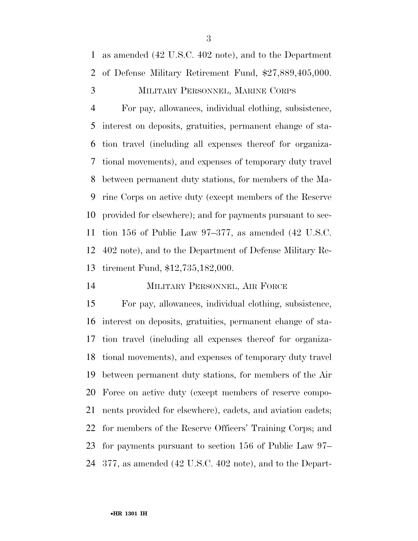as amended (42 U.S.C. 402 note), and to the Department of Defense Military Retirement Fund, \$27,889,405,000.

# MILITARY PERSONNEL, MARINE CORPS

 For pay, allowances, individual clothing, subsistence, interest on deposits, gratuities, permanent change of sta- tion travel (including all expenses thereof for organiza- tional movements), and expenses of temporary duty travel between permanent duty stations, for members of the Ma- rine Corps on active duty (except members of the Reserve provided for elsewhere); and for payments pursuant to sec- tion 156 of Public Law 97–377, as amended (42 U.S.C. 402 note), and to the Department of Defense Military Re-tirement Fund, \$12,735,182,000.

### MILITARY PERSONNEL, AIR FORCE

 For pay, allowances, individual clothing, subsistence, interest on deposits, gratuities, permanent change of sta- tion travel (including all expenses thereof for organiza- tional movements), and expenses of temporary duty travel between permanent duty stations, for members of the Air Force on active duty (except members of reserve compo- nents provided for elsewhere), cadets, and aviation cadets; for members of the Reserve Officers' Training Corps; and for payments pursuant to section 156 of Public Law 97– 377, as amended (42 U.S.C. 402 note), and to the Depart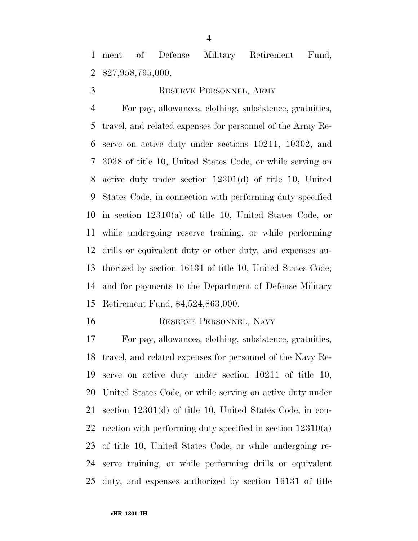ment of Defense Military Retirement Fund, \$27,958,795,000.

# RESERVE PERSONNEL, ARMY

 For pay, allowances, clothing, subsistence, gratuities, travel, and related expenses for personnel of the Army Re- serve on active duty under sections 10211, 10302, and 3038 of title 10, United States Code, or while serving on active duty under section 12301(d) of title 10, United States Code, in connection with performing duty specified in section 12310(a) of title 10, United States Code, or while undergoing reserve training, or while performing drills or equivalent duty or other duty, and expenses au- thorized by section 16131 of title 10, United States Code; and for payments to the Department of Defense Military Retirement Fund, \$4,524,863,000.

#### 16 RESERVE PERSONNEL, NAVY

 For pay, allowances, clothing, subsistence, gratuities, travel, and related expenses for personnel of the Navy Re- serve on active duty under section 10211 of title 10, United States Code, or while serving on active duty under section 12301(d) of title 10, United States Code, in con- nection with performing duty specified in section 12310(a) of title 10, United States Code, or while undergoing re- serve training, or while performing drills or equivalent duty, and expenses authorized by section 16131 of title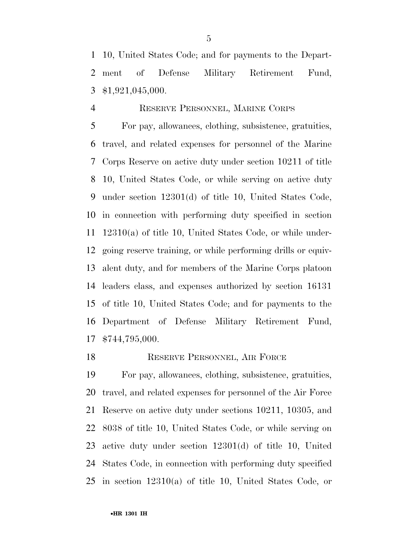10, United States Code; and for payments to the Depart- ment of Defense Military Retirement Fund, \$1,921,045,000.

## RESERVE PERSONNEL, MARINE CORPS

 For pay, allowances, clothing, subsistence, gratuities, travel, and related expenses for personnel of the Marine Corps Reserve on active duty under section 10211 of title 10, United States Code, or while serving on active duty under section 12301(d) of title 10, United States Code, in connection with performing duty specified in section 12310(a) of title 10, United States Code, or while under- going reserve training, or while performing drills or equiv- alent duty, and for members of the Marine Corps platoon leaders class, and expenses authorized by section 16131 of title 10, United States Code; and for payments to the Department of Defense Military Retirement Fund, \$744,795,000.

## 18 RESERVE PERSONNEL, AIR FORCE

 For pay, allowances, clothing, subsistence, gratuities, travel, and related expenses for personnel of the Air Force Reserve on active duty under sections 10211, 10305, and 8038 of title 10, United States Code, or while serving on active duty under section 12301(d) of title 10, United States Code, in connection with performing duty specified in section 12310(a) of title 10, United States Code, or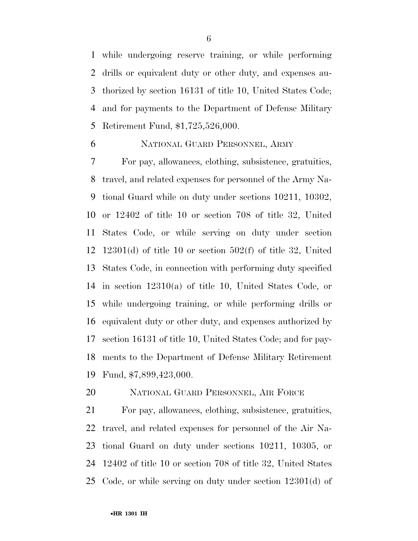while undergoing reserve training, or while performing drills or equivalent duty or other duty, and expenses au- thorized by section 16131 of title 10, United States Code; and for payments to the Department of Defense Military Retirement Fund, \$1,725,526,000.

### NATIONAL GUARD PERSONNEL, ARMY

 For pay, allowances, clothing, subsistence, gratuities, travel, and related expenses for personnel of the Army Na- tional Guard while on duty under sections 10211, 10302, or 12402 of title 10 or section 708 of title 32, United States Code, or while serving on duty under section 12301(d) of title 10 or section 502(f) of title 32, United States Code, in connection with performing duty specified in section 12310(a) of title 10, United States Code, or while undergoing training, or while performing drills or equivalent duty or other duty, and expenses authorized by section 16131 of title 10, United States Code; and for pay- ments to the Department of Defense Military Retirement Fund, \$7,899,423,000.

### NATIONAL GUARD PERSONNEL, AIR FORCE

 For pay, allowances, clothing, subsistence, gratuities, travel, and related expenses for personnel of the Air Na- tional Guard on duty under sections 10211, 10305, or 12402 of title 10 or section 708 of title 32, United States Code, or while serving on duty under section 12301(d) of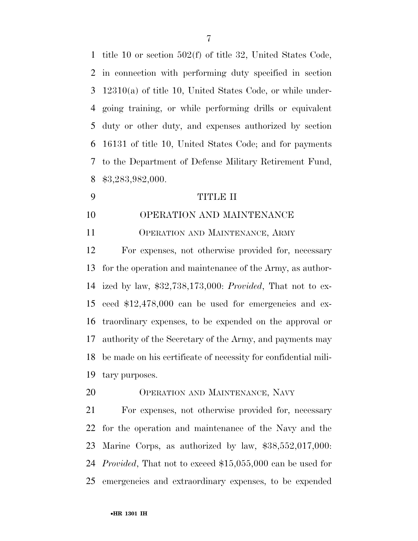title 10 or section 502(f) of title 32, United States Code, in connection with performing duty specified in section 12310(a) of title 10, United States Code, or while under- going training, or while performing drills or equivalent duty or other duty, and expenses authorized by section 16131 of title 10, United States Code; and for payments to the Department of Defense Military Retirement Fund, \$3,283,982,000.

### TITLE II

OPERATION AND MAINTENANCE

OPERATION AND MAINTENANCE, ARMY

 For expenses, not otherwise provided for, necessary for the operation and maintenance of the Army, as author- ized by law, \$32,738,173,000: *Provided*, That not to ex- ceed \$12,478,000 can be used for emergencies and ex- traordinary expenses, to be expended on the approval or authority of the Secretary of the Army, and payments may be made on his certificate of necessity for confidential mili-tary purposes.

OPERATION AND MAINTENANCE, NAVY

 For expenses, not otherwise provided for, necessary for the operation and maintenance of the Navy and the Marine Corps, as authorized by law, \$38,552,017,000: *Provided*, That not to exceed \$15,055,000 can be used for emergencies and extraordinary expenses, to be expended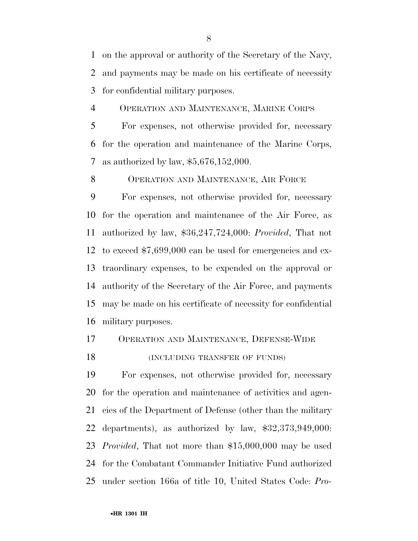on the approval or authority of the Secretary of the Navy, and payments may be made on his certificate of necessity for confidential military purposes.

OPERATION AND MAINTENANCE, MARINE CORPS

 For expenses, not otherwise provided for, necessary for the operation and maintenance of the Marine Corps, as authorized by law, \$5,676,152,000.

8 OPERATION AND MAINTENANCE, AIR FORCE

 For expenses, not otherwise provided for, necessary for the operation and maintenance of the Air Force, as authorized by law, \$36,247,724,000: *Provided*, That not to exceed \$7,699,000 can be used for emergencies and ex- traordinary expenses, to be expended on the approval or authority of the Secretary of the Air Force, and payments may be made on his certificate of necessity for confidential military purposes.

OPERATION AND MAINTENANCE, DEFENSE-WIDE

### 18 (INCLUDING TRANSFER OF FUNDS)

 For expenses, not otherwise provided for, necessary for the operation and maintenance of activities and agen- cies of the Department of Defense (other than the military departments), as authorized by law, \$32,373,949,000: *Provided*, That not more than \$15,000,000 may be used for the Combatant Commander Initiative Fund authorized under section 166a of title 10, United States Code: *Pro-*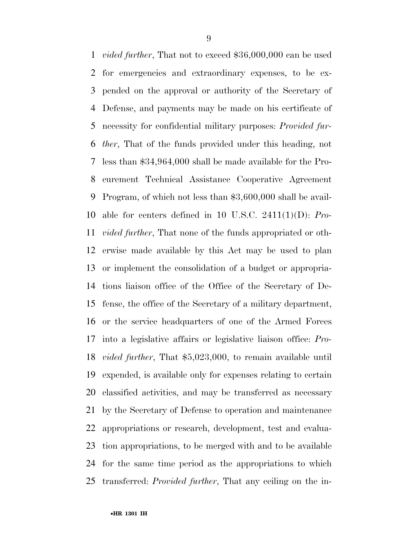*vided further*, That not to exceed \$36,000,000 can be used for emergencies and extraordinary expenses, to be ex- pended on the approval or authority of the Secretary of Defense, and payments may be made on his certificate of necessity for confidential military purposes: *Provided fur- ther*, That of the funds provided under this heading, not less than \$34,964,000 shall be made available for the Pro- curement Technical Assistance Cooperative Agreement Program, of which not less than \$3,600,000 shall be avail- able for centers defined in 10 U.S.C. 2411(1)(D): *Pro- vided further*, That none of the funds appropriated or oth- erwise made available by this Act may be used to plan or implement the consolidation of a budget or appropria- tions liaison office of the Office of the Secretary of De- fense, the office of the Secretary of a military department, or the service headquarters of one of the Armed Forces into a legislative affairs or legislative liaison office: *Pro- vided further*, That \$5,023,000, to remain available until expended, is available only for expenses relating to certain classified activities, and may be transferred as necessary by the Secretary of Defense to operation and maintenance appropriations or research, development, test and evalua- tion appropriations, to be merged with and to be available for the same time period as the appropriations to which transferred: *Provided further*, That any ceiling on the in-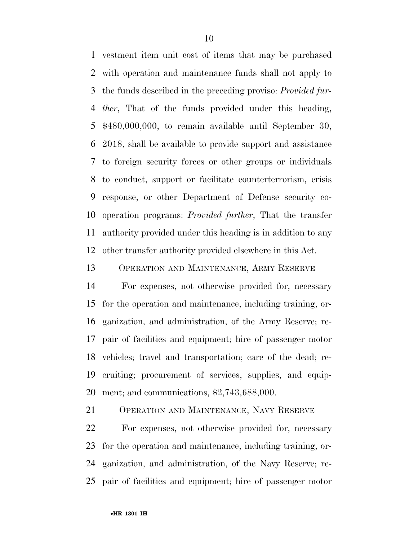vestment item unit cost of items that may be purchased with operation and maintenance funds shall not apply to the funds described in the preceding proviso: *Provided fur- ther*, That of the funds provided under this heading, \$480,000,000, to remain available until September 30, 2018, shall be available to provide support and assistance to foreign security forces or other groups or individuals to conduct, support or facilitate counterterrorism, crisis response, or other Department of Defense security co- operation programs: *Provided further*, That the transfer authority provided under this heading is in addition to any other transfer authority provided elsewhere in this Act.

OPERATION AND MAINTENANCE, ARMY RESERVE

 For expenses, not otherwise provided for, necessary for the operation and maintenance, including training, or- ganization, and administration, of the Army Reserve; re- pair of facilities and equipment; hire of passenger motor vehicles; travel and transportation; care of the dead; re- cruiting; procurement of services, supplies, and equip-ment; and communications, \$2,743,688,000.

OPERATION AND MAINTENANCE, NAVY RESERVE

 For expenses, not otherwise provided for, necessary for the operation and maintenance, including training, or- ganization, and administration, of the Navy Reserve; re-pair of facilities and equipment; hire of passenger motor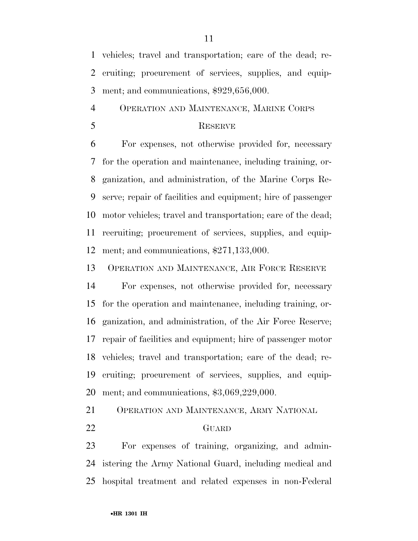vehicles; travel and transportation; care of the dead; re- cruiting; procurement of services, supplies, and equip-ment; and communications, \$929,656,000.

OPERATION AND MAINTENANCE, MARINE CORPS

### RESERVE

 For expenses, not otherwise provided for, necessary for the operation and maintenance, including training, or- ganization, and administration, of the Marine Corps Re- serve; repair of facilities and equipment; hire of passenger motor vehicles; travel and transportation; care of the dead; recruiting; procurement of services, supplies, and equip-ment; and communications, \$271,133,000.

OPERATION AND MAINTENANCE, AIR FORCE RESERVE

 For expenses, not otherwise provided for, necessary for the operation and maintenance, including training, or- ganization, and administration, of the Air Force Reserve; repair of facilities and equipment; hire of passenger motor vehicles; travel and transportation; care of the dead; re- cruiting; procurement of services, supplies, and equip-ment; and communications, \$3,069,229,000.

OPERATION AND MAINTENANCE, ARMY NATIONAL

### GUARD

 For expenses of training, organizing, and admin- istering the Army National Guard, including medical and hospital treatment and related expenses in non-Federal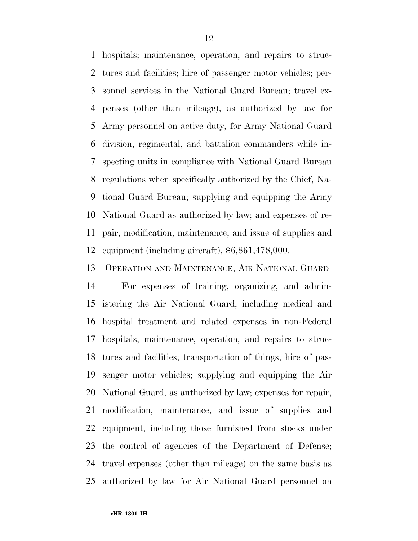hospitals; maintenance, operation, and repairs to struc- tures and facilities; hire of passenger motor vehicles; per- sonnel services in the National Guard Bureau; travel ex- penses (other than mileage), as authorized by law for Army personnel on active duty, for Army National Guard division, regimental, and battalion commanders while in- specting units in compliance with National Guard Bureau regulations when specifically authorized by the Chief, Na- tional Guard Bureau; supplying and equipping the Army National Guard as authorized by law; and expenses of re- pair, modification, maintenance, and issue of supplies and equipment (including aircraft), \$6,861,478,000.

OPERATION AND MAINTENANCE, AIR NATIONAL GUARD

 For expenses of training, organizing, and admin- istering the Air National Guard, including medical and hospital treatment and related expenses in non-Federal hospitals; maintenance, operation, and repairs to struc- tures and facilities; transportation of things, hire of pas- senger motor vehicles; supplying and equipping the Air National Guard, as authorized by law; expenses for repair, modification, maintenance, and issue of supplies and equipment, including those furnished from stocks under the control of agencies of the Department of Defense; travel expenses (other than mileage) on the same basis as authorized by law for Air National Guard personnel on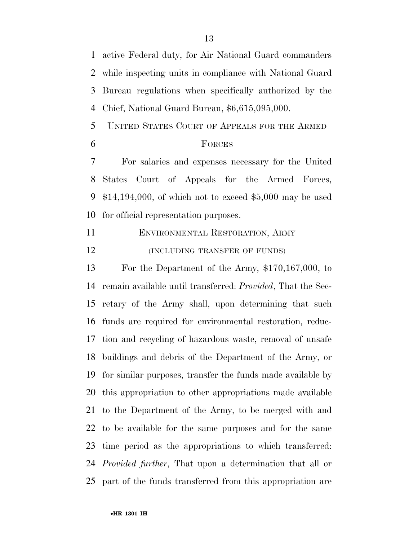active Federal duty, for Air National Guard commanders while inspecting units in compliance with National Guard Bureau regulations when specifically authorized by the Chief, National Guard Bureau, \$6,615,095,000.

- UNITED STATES COURT OF APPEALS FOR THE ARMED
- 

### FORCES

 For salaries and expenses necessary for the United States Court of Appeals for the Armed Forces, \$14,194,000, of which not to exceed \$5,000 may be used for official representation purposes.

 ENVIRONMENTAL RESTORATION, ARMY **(INCLUDING TRANSFER OF FUNDS)** 

 For the Department of the Army, \$170,167,000, to remain available until transferred: *Provided*, That the Sec- retary of the Army shall, upon determining that such funds are required for environmental restoration, reduc- tion and recycling of hazardous waste, removal of unsafe buildings and debris of the Department of the Army, or for similar purposes, transfer the funds made available by this appropriation to other appropriations made available to the Department of the Army, to be merged with and to be available for the same purposes and for the same time period as the appropriations to which transferred: *Provided further*, That upon a determination that all or part of the funds transferred from this appropriation are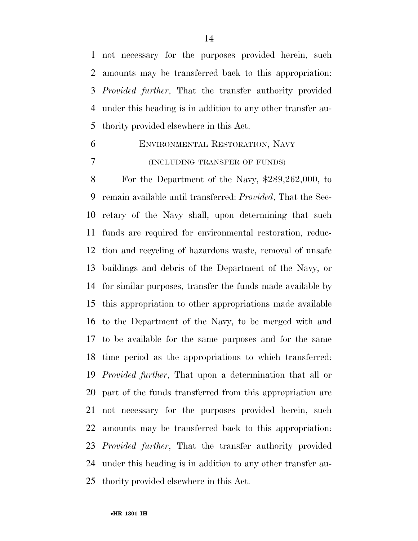not necessary for the purposes provided herein, such amounts may be transferred back to this appropriation: *Provided further*, That the transfer authority provided under this heading is in addition to any other transfer au-thority provided elsewhere in this Act.

 ENVIRONMENTAL RESTORATION, NAVY (INCLUDING TRANSFER OF FUNDS)

 For the Department of the Navy, \$289,262,000, to remain available until transferred: *Provided*, That the Sec- retary of the Navy shall, upon determining that such funds are required for environmental restoration, reduc- tion and recycling of hazardous waste, removal of unsafe buildings and debris of the Department of the Navy, or for similar purposes, transfer the funds made available by this appropriation to other appropriations made available to the Department of the Navy, to be merged with and to be available for the same purposes and for the same time period as the appropriations to which transferred: *Provided further*, That upon a determination that all or part of the funds transferred from this appropriation are not necessary for the purposes provided herein, such amounts may be transferred back to this appropriation: *Provided further*, That the transfer authority provided under this heading is in addition to any other transfer au-thority provided elsewhere in this Act.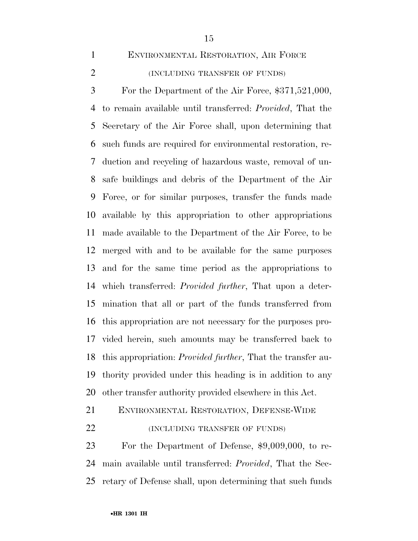- 
- (INCLUDING TRANSFER OF FUNDS)

ENVIRONMENTAL RESTORATION, AIR FORCE

 For the Department of the Air Force, \$371,521,000, to remain available until transferred: *Provided*, That the Secretary of the Air Force shall, upon determining that such funds are required for environmental restoration, re- duction and recycling of hazardous waste, removal of un- safe buildings and debris of the Department of the Air Force, or for similar purposes, transfer the funds made available by this appropriation to other appropriations made available to the Department of the Air Force, to be merged with and to be available for the same purposes and for the same time period as the appropriations to which transferred: *Provided further*, That upon a deter- mination that all or part of the funds transferred from this appropriation are not necessary for the purposes pro- vided herein, such amounts may be transferred back to this appropriation: *Provided further*, That the transfer au- thority provided under this heading is in addition to any other transfer authority provided elsewhere in this Act.

ENVIRONMENTAL RESTORATION, DEFENSE-WIDE

**(INCLUDING TRANSFER OF FUNDS)** 

 For the Department of Defense, \$9,009,000, to re- main available until transferred: *Provided*, That the Sec-retary of Defense shall, upon determining that such funds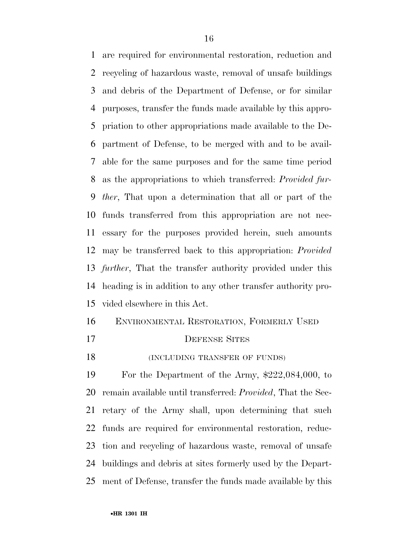are required for environmental restoration, reduction and recycling of hazardous waste, removal of unsafe buildings and debris of the Department of Defense, or for similar purposes, transfer the funds made available by this appro- priation to other appropriations made available to the De- partment of Defense, to be merged with and to be avail- able for the same purposes and for the same time period as the appropriations to which transferred: *Provided fur- ther*, That upon a determination that all or part of the funds transferred from this appropriation are not nec- essary for the purposes provided herein, such amounts may be transferred back to this appropriation: *Provided further*, That the transfer authority provided under this heading is in addition to any other transfer authority pro-vided elsewhere in this Act.

# ENVIRONMENTAL RESTORATION, FORMERLY USED

- 17 DEFENSE SITES
- 18 (INCLUDING TRANSFER OF FUNDS)

 For the Department of the Army, \$222,084,000, to remain available until transferred: *Provided*, That the Sec- retary of the Army shall, upon determining that such funds are required for environmental restoration, reduc- tion and recycling of hazardous waste, removal of unsafe buildings and debris at sites formerly used by the Depart-ment of Defense, transfer the funds made available by this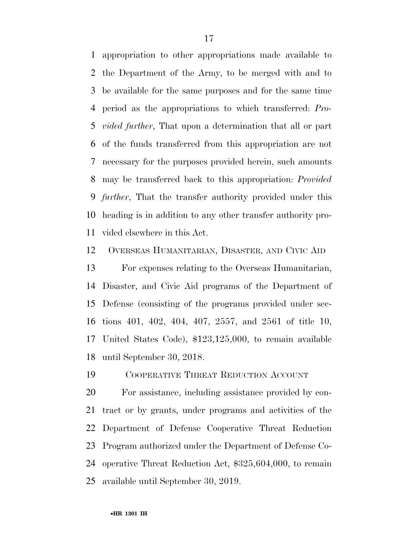appropriation to other appropriations made available to the Department of the Army, to be merged with and to be available for the same purposes and for the same time period as the appropriations to which transferred: *Pro- vided further*, That upon a determination that all or part of the funds transferred from this appropriation are not necessary for the purposes provided herein, such amounts may be transferred back to this appropriation: *Provided further*, That the transfer authority provided under this heading is in addition to any other transfer authority pro-vided elsewhere in this Act.

OVERSEAS HUMANITARIAN, DISASTER, AND CIVIC AID

 For expenses relating to the Overseas Humanitarian, Disaster, and Civic Aid programs of the Department of Defense (consisting of the programs provided under sec- tions 401, 402, 404, 407, 2557, and 2561 of title 10, United States Code), \$123,125,000, to remain available until September 30, 2018.

COOPERATIVE THREAT REDUCTION ACCOUNT

 For assistance, including assistance provided by con- tract or by grants, under programs and activities of the Department of Defense Cooperative Threat Reduction Program authorized under the Department of Defense Co- operative Threat Reduction Act, \$325,604,000, to remain available until September 30, 2019.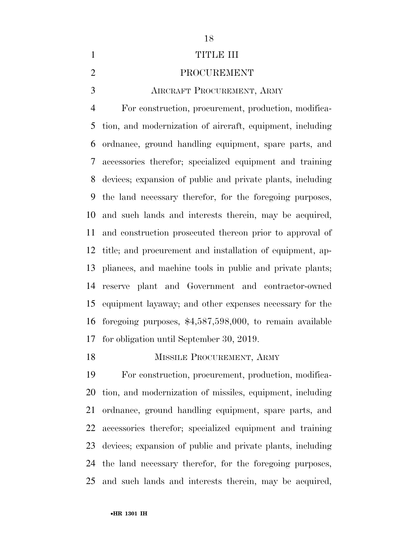# 

# 1 TITLE III

### PROCUREMENT

AIRCRAFT PROCUREMENT, ARMY

 For construction, procurement, production, modifica- tion, and modernization of aircraft, equipment, including ordnance, ground handling equipment, spare parts, and accessories therefor; specialized equipment and training devices; expansion of public and private plants, including the land necessary therefor, for the foregoing purposes, and such lands and interests therein, may be acquired, and construction prosecuted thereon prior to approval of title; and procurement and installation of equipment, ap- pliances, and machine tools in public and private plants; reserve plant and Government and contractor-owned equipment layaway; and other expenses necessary for the foregoing purposes, \$4,587,598,000, to remain available for obligation until September 30, 2019.

## 18 MISSILE PROCUREMENT, ARMY

 For construction, procurement, production, modifica- tion, and modernization of missiles, equipment, including ordnance, ground handling equipment, spare parts, and accessories therefor; specialized equipment and training devices; expansion of public and private plants, including the land necessary therefor, for the foregoing purposes, and such lands and interests therein, may be acquired,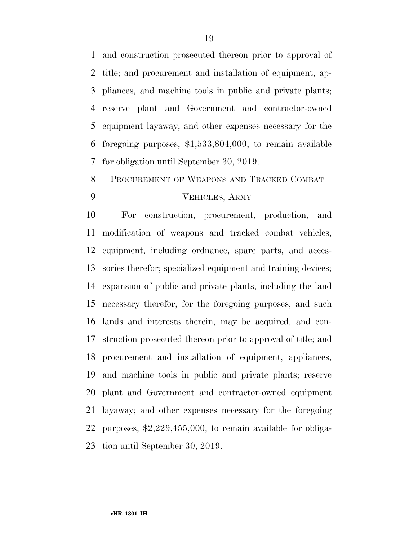and construction prosecuted thereon prior to approval of title; and procurement and installation of equipment, ap- pliances, and machine tools in public and private plants; reserve plant and Government and contractor-owned equipment layaway; and other expenses necessary for the foregoing purposes, \$1,533,804,000, to remain available for obligation until September 30, 2019.

# PROCUREMENT OF WEAPONS AND TRACKED COMBAT VEHICLES, ARMY

 For construction, procurement, production, and modification of weapons and tracked combat vehicles, equipment, including ordnance, spare parts, and acces- sories therefor; specialized equipment and training devices; expansion of public and private plants, including the land necessary therefor, for the foregoing purposes, and such lands and interests therein, may be acquired, and con- struction prosecuted thereon prior to approval of title; and procurement and installation of equipment, appliances, and machine tools in public and private plants; reserve plant and Government and contractor-owned equipment layaway; and other expenses necessary for the foregoing purposes, \$2,229,455,000, to remain available for obliga-tion until September 30, 2019.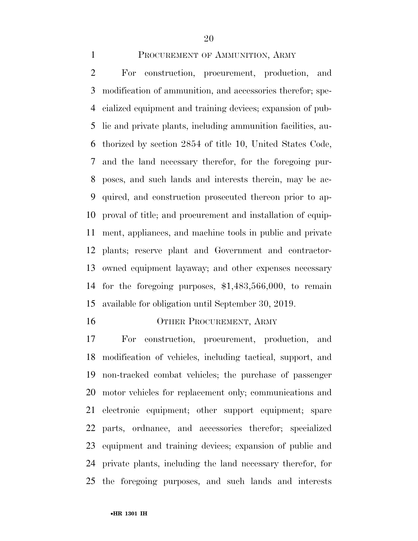### PROCUREMENT OF AMMUNITION, ARMY

 For construction, procurement, production, and modification of ammunition, and accessories therefor; spe- cialized equipment and training devices; expansion of pub- lic and private plants, including ammunition facilities, au- thorized by section 2854 of title 10, United States Code, and the land necessary therefor, for the foregoing pur- poses, and such lands and interests therein, may be ac- quired, and construction prosecuted thereon prior to ap- proval of title; and procurement and installation of equip- ment, appliances, and machine tools in public and private plants; reserve plant and Government and contractor- owned equipment layaway; and other expenses necessary for the foregoing purposes, \$1,483,566,000, to remain available for obligation until September 30, 2019.

16 OTHER PROCUREMENT, ARMY

 For construction, procurement, production, and modification of vehicles, including tactical, support, and non-tracked combat vehicles; the purchase of passenger motor vehicles for replacement only; communications and electronic equipment; other support equipment; spare parts, ordnance, and accessories therefor; specialized equipment and training devices; expansion of public and private plants, including the land necessary therefor, for the foregoing purposes, and such lands and interests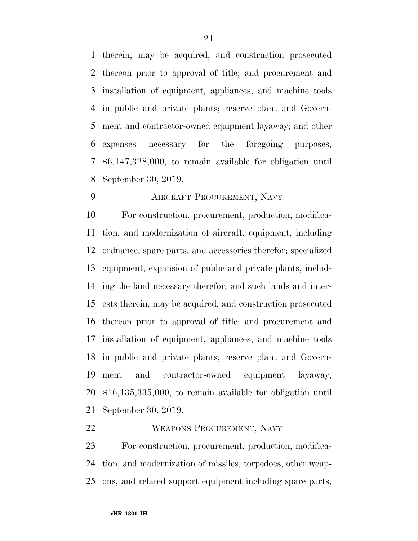therein, may be acquired, and construction prosecuted thereon prior to approval of title; and procurement and installation of equipment, appliances, and machine tools in public and private plants; reserve plant and Govern- ment and contractor-owned equipment layaway; and other expenses necessary for the foregoing purposes, \$6,147,328,000, to remain available for obligation until September 30, 2019.

## AIRCRAFT PROCUREMENT, NAVY

 For construction, procurement, production, modifica- tion, and modernization of aircraft, equipment, including ordnance, spare parts, and accessories therefor; specialized equipment; expansion of public and private plants, includ- ing the land necessary therefor, and such lands and inter- ests therein, may be acquired, and construction prosecuted thereon prior to approval of title; and procurement and installation of equipment, appliances, and machine tools in public and private plants; reserve plant and Govern- ment and contractor-owned equipment layaway, \$16,135,335,000, to remain available for obligation until September 30, 2019.

### WEAPONS PROCUREMENT, NAVY

 For construction, procurement, production, modifica- tion, and modernization of missiles, torpedoes, other weap-ons, and related support equipment including spare parts,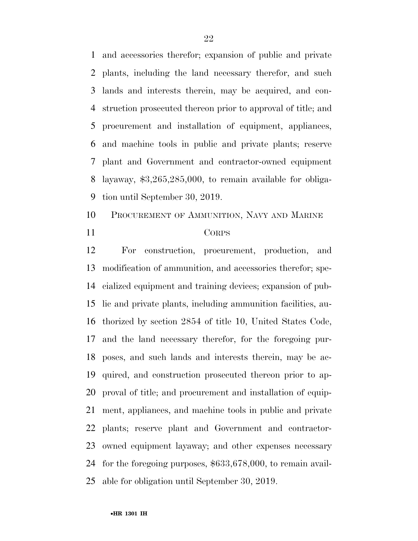and accessories therefor; expansion of public and private plants, including the land necessary therefor, and such lands and interests therein, may be acquired, and con- struction prosecuted thereon prior to approval of title; and procurement and installation of equipment, appliances, and machine tools in public and private plants; reserve plant and Government and contractor-owned equipment layaway, \$3,265,285,000, to remain available for obliga-tion until September 30, 2019.

 PROCUREMENT OF AMMUNITION, NAVY AND MARINE CORPS

 For construction, procurement, production, and modification of ammunition, and accessories therefor; spe- cialized equipment and training devices; expansion of pub- lic and private plants, including ammunition facilities, au- thorized by section 2854 of title 10, United States Code, and the land necessary therefor, for the foregoing pur- poses, and such lands and interests therein, may be ac- quired, and construction prosecuted thereon prior to ap- proval of title; and procurement and installation of equip- ment, appliances, and machine tools in public and private plants; reserve plant and Government and contractor- owned equipment layaway; and other expenses necessary for the foregoing purposes, \$633,678,000, to remain avail-able for obligation until September 30, 2019.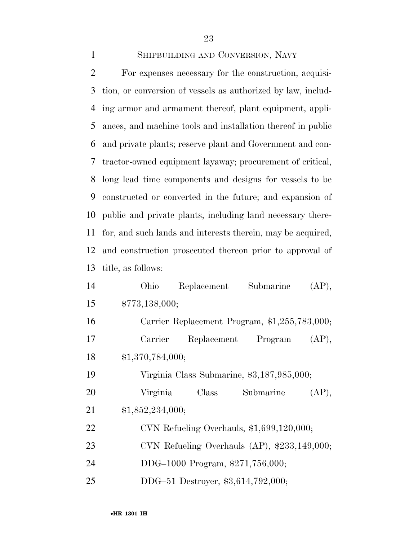SHIPBUILDING AND CONVERSION, NAVY For expenses necessary for the construction, acquisi- tion, or conversion of vessels as authorized by law, includ- ing armor and armament thereof, plant equipment, appli- ances, and machine tools and installation thereof in public and private plants; reserve plant and Government and con- tractor-owned equipment layaway; procurement of critical, long lead time components and designs for vessels to be constructed or converted in the future; and expansion of public and private plants, including land necessary there- for, and such lands and interests therein, may be acquired, and construction prosecuted thereon prior to approval of title, as follows: Ohio Replacement Submarine (AP),

 \$773,138,000; Carrier Replacement Program, \$1,255,783,000; Carrier Replacement Program (AP), \$1,370,784,000; Virginia Class Submarine, \$3,187,985,000; Virginia Class Submarine (AP), \$1,852,234,000; CVN Refueling Overhauls, \$1,699,120,000; CVN Refueling Overhauls (AP), \$233,149,000; DDG–1000 Program, \$271,756,000; DDG–51 Destroyer, \$3,614,792,000;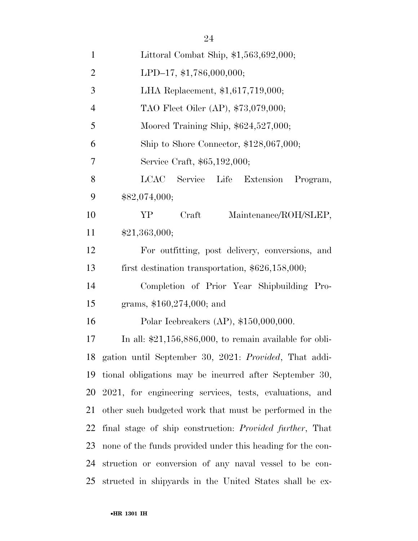| $\mathbf{1}$   | Littoral Combat Ship, \$1,563,692,000;                           |
|----------------|------------------------------------------------------------------|
| $\overline{2}$ | LPD-17, \$1,786,000,000;                                         |
| 3              | LHA Replacement, \$1,617,719,000;                                |
| $\overline{4}$ | TAO Fleet Oiler (AP), \$73,079,000;                              |
| 5              | Moored Training Ship, $$624,527,000;$                            |
| 6              | Ship to Shore Connector, $$128,067,000;$                         |
| 7              | Service Craft, \$65,192,000;                                     |
| 8              | LCAC Service<br>Life Extension<br>Program,                       |
| 9              | \$82,074,000;                                                    |
| 10             | YP.<br>Craft<br>Maintenance/ROH/SLEP,                            |
| 11             | \$21,363,000;                                                    |
| 12             | For outfitting, post delivery, conversions, and                  |
| 13             | first destination transportation, $$626,158,000;$                |
| 14             | Completion of Prior Year Shipbuilding Pro-                       |
| 15             | grams, $$160,274,000$ ; and                                      |
| 16             | Polar Icebreakers (AP), $$150,000,000$ .                         |
| 17             | In all: $$21,156,886,000$ , to remain available for obli-        |
|                | 18 gation until September 30, 2021: Provided, That addi-         |
| 19             | tional obligations may be incurred after September 30,           |
|                | 20 2021, for engineering services, tests, evaluations, and       |
| 21             | other such budgeted work that must be performed in the           |
| 22             | final stage of ship construction: <i>Provided further</i> , That |
| 23             | none of the funds provided under this heading for the con-       |
| 24             | struction or conversion of any naval vessel to be con-           |
| 25             | structed in shippards in the United States shall be ex-          |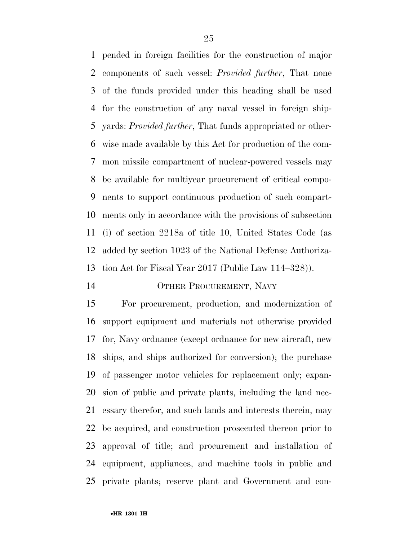pended in foreign facilities for the construction of major components of such vessel: *Provided further*, That none of the funds provided under this heading shall be used for the construction of any naval vessel in foreign ship- yards: *Provided further*, That funds appropriated or other- wise made available by this Act for production of the com- mon missile compartment of nuclear-powered vessels may be available for multiyear procurement of critical compo- nents to support continuous production of such compart- ments only in accordance with the provisions of subsection (i) of section 2218a of title 10, United States Code (as added by section 1023 of the National Defense Authoriza-tion Act for Fiscal Year 2017 (Public Law 114–328)).

## OTHER PROCUREMENT, NAVY

 For procurement, production, and modernization of support equipment and materials not otherwise provided for, Navy ordnance (except ordnance for new aircraft, new ships, and ships authorized for conversion); the purchase of passenger motor vehicles for replacement only; expan- sion of public and private plants, including the land nec- essary therefor, and such lands and interests therein, may be acquired, and construction prosecuted thereon prior to approval of title; and procurement and installation of equipment, appliances, and machine tools in public and private plants; reserve plant and Government and con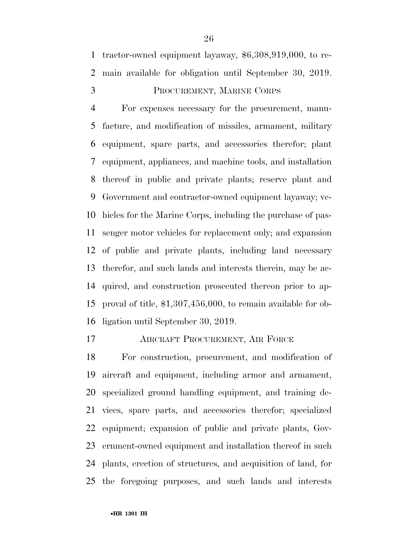tractor-owned equipment layaway, \$6,308,919,000, to re-main available for obligation until September 30, 2019.

# PROCUREMENT, MARINE CORPS

 For expenses necessary for the procurement, manu- facture, and modification of missiles, armament, military equipment, spare parts, and accessories therefor; plant equipment, appliances, and machine tools, and installation thereof in public and private plants; reserve plant and Government and contractor-owned equipment layaway; ve- hicles for the Marine Corps, including the purchase of pas- senger motor vehicles for replacement only; and expansion of public and private plants, including land necessary therefor, and such lands and interests therein, may be ac- quired, and construction prosecuted thereon prior to ap- proval of title, \$1,307,456,000, to remain available for ob-ligation until September 30, 2019.

AIRCRAFT PROCUREMENT, AIR FORCE

 For construction, procurement, and modification of aircraft and equipment, including armor and armament, specialized ground handling equipment, and training de- vices, spare parts, and accessories therefor; specialized equipment; expansion of public and private plants, Gov- ernment-owned equipment and installation thereof in such plants, erection of structures, and acquisition of land, for the foregoing purposes, and such lands and interests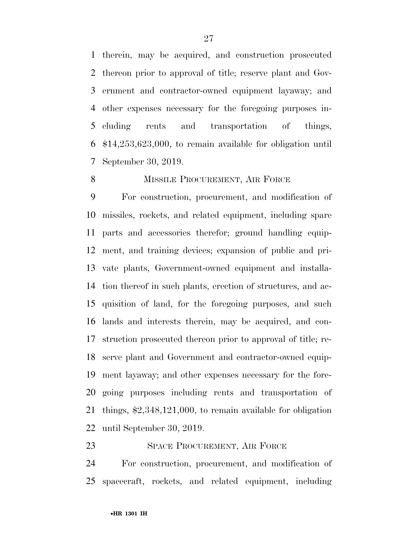therein, may be acquired, and construction prosecuted thereon prior to approval of title; reserve plant and Gov- ernment and contractor-owned equipment layaway; and other expenses necessary for the foregoing purposes in- cluding rents and transportation of things, \$14,253,623,000, to remain available for obligation until September 30, 2019.

### 8 MISSILE PROCUREMENT, AIR FORCE

 For construction, procurement, and modification of missiles, rockets, and related equipment, including spare parts and accessories therefor; ground handling equip- ment, and training devices; expansion of public and pri- vate plants, Government-owned equipment and installa- tion thereof in such plants, erection of structures, and ac- quisition of land, for the foregoing purposes, and such lands and interests therein, may be acquired, and con- struction prosecuted thereon prior to approval of title; re- serve plant and Government and contractor-owned equip- ment layaway; and other expenses necessary for the fore- going purposes including rents and transportation of things, \$2,348,121,000, to remain available for obligation until September 30, 2019.

## 23 SPACE PROCUREMENT, AIR FORCE

 For construction, procurement, and modification of spacecraft, rockets, and related equipment, including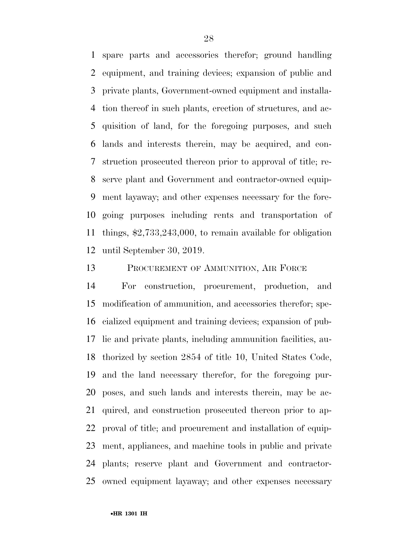spare parts and accessories therefor; ground handling equipment, and training devices; expansion of public and private plants, Government-owned equipment and installa- tion thereof in such plants, erection of structures, and ac- quisition of land, for the foregoing purposes, and such lands and interests therein, may be acquired, and con- struction prosecuted thereon prior to approval of title; re- serve plant and Government and contractor-owned equip- ment layaway; and other expenses necessary for the fore- going purposes including rents and transportation of things, \$2,733,243,000, to remain available for obligation until September 30, 2019.

PROCUREMENT OF AMMUNITION, AIR FORCE

 For construction, procurement, production, and modification of ammunition, and accessories therefor; spe- cialized equipment and training devices; expansion of pub- lic and private plants, including ammunition facilities, au- thorized by section 2854 of title 10, United States Code, and the land necessary therefor, for the foregoing pur- poses, and such lands and interests therein, may be ac- quired, and construction prosecuted thereon prior to ap- proval of title; and procurement and installation of equip- ment, appliances, and machine tools in public and private plants; reserve plant and Government and contractor-owned equipment layaway; and other expenses necessary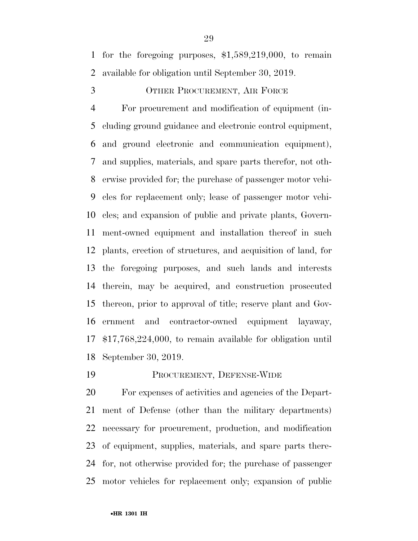for the foregoing purposes, \$1,589,219,000, to remain available for obligation until September 30, 2019.

OTHER PROCUREMENT, AIR FORCE

 For procurement and modification of equipment (in- cluding ground guidance and electronic control equipment, and ground electronic and communication equipment), and supplies, materials, and spare parts therefor, not oth- erwise provided for; the purchase of passenger motor vehi- cles for replacement only; lease of passenger motor vehi- cles; and expansion of public and private plants, Govern- ment-owned equipment and installation thereof in such plants, erection of structures, and acquisition of land, for the foregoing purposes, and such lands and interests therein, may be acquired, and construction prosecuted thereon, prior to approval of title; reserve plant and Gov- ernment and contractor-owned equipment layaway, \$17,768,224,000, to remain available for obligation until September 30, 2019.

PROCUREMENT, DEFENSE-WIDE

 For expenses of activities and agencies of the Depart- ment of Defense (other than the military departments) necessary for procurement, production, and modification of equipment, supplies, materials, and spare parts there- for, not otherwise provided for; the purchase of passenger motor vehicles for replacement only; expansion of public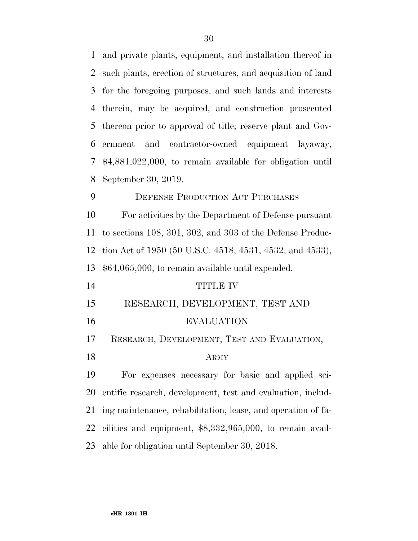and private plants, equipment, and installation thereof in such plants, erection of structures, and acquisition of land for the foregoing purposes, and such lands and interests therein, may be acquired, and construction prosecuted thereon prior to approval of title; reserve plant and Gov- ernment and contractor-owned equipment layaway, \$4,881,022,000, to remain available for obligation until September 30, 2019. DEFENSE PRODUCTION ACT PURCHASES For activities by the Department of Defense pursuant to sections 108, 301, 302, and 303 of the Defense Produc- tion Act of 1950 (50 U.S.C. 4518, 4531, 4532, and 4533), \$64,065,000, to remain available until expended. TITLE IV RESEARCH, DEVELOPMENT, TEST AND EVALUATION RESEARCH, DEVELOPMENT, TEST AND EVALUATION, ARMY For expenses necessary for basic and applied sci- entific research, development, test and evaluation, includ- ing maintenance, rehabilitation, lease, and operation of fa- cilities and equipment, \$8,332,965,000, to remain avail-able for obligation until September 30, 2018.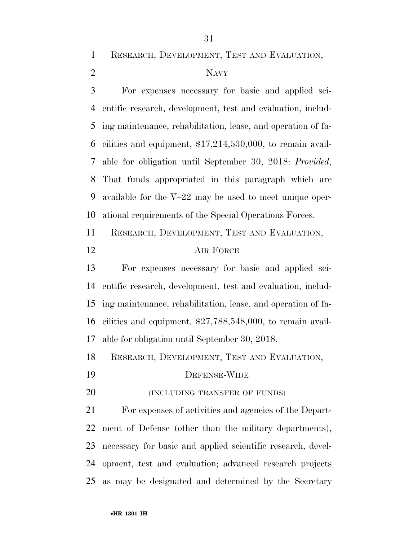RESEARCH, DEVELOPMENT, TEST AND EVALUATION,

# NAVY

 For expenses necessary for basic and applied sci- entific research, development, test and evaluation, includ- ing maintenance, rehabilitation, lease, and operation of fa- cilities and equipment, \$17,214,530,000, to remain avail- able for obligation until September 30, 2018: *Provided*, That funds appropriated in this paragraph which are available for the V–22 may be used to meet unique oper-ational requirements of the Special Operations Forces.

RESEARCH, DEVELOPMENT, TEST AND EVALUATION,

# AIR FORCE

 For expenses necessary for basic and applied sci- entific research, development, test and evaluation, includ- ing maintenance, rehabilitation, lease, and operation of fa- cilities and equipment, \$27,788,548,000, to remain avail-able for obligation until September 30, 2018.

RESEARCH, DEVELOPMENT, TEST AND EVALUATION,

- DEFENSE-WIDE
- **(INCLUDING TRANSFER OF FUNDS)**

 For expenses of activities and agencies of the Depart- ment of Defense (other than the military departments), necessary for basic and applied scientific research, devel- opment, test and evaluation; advanced research projects as may be designated and determined by the Secretary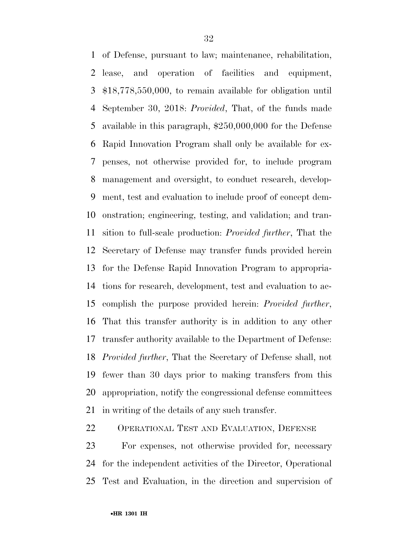of Defense, pursuant to law; maintenance, rehabilitation, lease, and operation of facilities and equipment, \$18,778,550,000, to remain available for obligation until September 30, 2018: *Provided*, That, of the funds made available in this paragraph, \$250,000,000 for the Defense Rapid Innovation Program shall only be available for ex- penses, not otherwise provided for, to include program management and oversight, to conduct research, develop- ment, test and evaluation to include proof of concept dem- onstration; engineering, testing, and validation; and tran- sition to full-scale production: *Provided further*, That the Secretary of Defense may transfer funds provided herein for the Defense Rapid Innovation Program to appropria- tions for research, development, test and evaluation to ac- complish the purpose provided herein: *Provided further*, That this transfer authority is in addition to any other transfer authority available to the Department of Defense: *Provided further*, That the Secretary of Defense shall, not fewer than 30 days prior to making transfers from this appropriation, notify the congressional defense committees in writing of the details of any such transfer.

OPERATIONAL TEST AND EVALUATION, DEFENSE

 For expenses, not otherwise provided for, necessary for the independent activities of the Director, Operational Test and Evaluation, in the direction and supervision of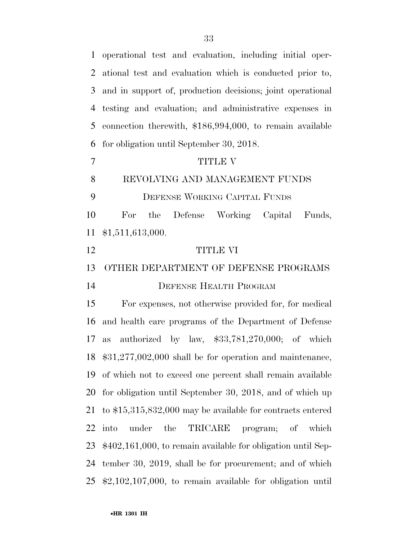operational test and evaluation, including initial oper- ational test and evaluation which is conducted prior to, and in support of, production decisions; joint operational testing and evaluation; and administrative expenses in connection therewith, \$186,994,000, to remain available for obligation until September 30, 2018. 7 TITLE V REVOLVING AND MANAGEMENT FUNDS DEFENSE WORKING CAPITAL FUNDS For the Defense Working Capital Funds, \$1,511,613,000. TITLE VI OTHER DEPARTMENT OF DEFENSE PROGRAMS DEFENSE HEALTH PROGRAM For expenses, not otherwise provided for, for medical and health care programs of the Department of Defense as authorized by law, \$33,781,270,000; of which \$31,277,002,000 shall be for operation and maintenance, of which not to exceed one percent shall remain available for obligation until September 30, 2018, and of which up to \$15,315,832,000 may be available for contracts entered into under the TRICARE program; of which \$402,161,000, to remain available for obligation until Sep- tember 30, 2019, shall be for procurement; and of which \$2,102,107,000, to remain available for obligation until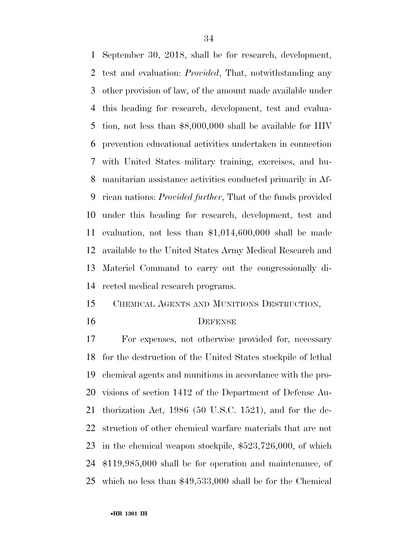September 30, 2018, shall be for research, development, test and evaluation: *Provided*, That, notwithstanding any other provision of law, of the amount made available under this heading for research, development, test and evalua- tion, not less than \$8,000,000 shall be available for HIV prevention educational activities undertaken in connection with United States military training, exercises, and hu- manitarian assistance activities conducted primarily in Af- rican nations: *Provided further*, That of the funds provided under this heading for research, development, test and evaluation, not less than \$1,014,600,000 shall be made available to the United States Army Medical Research and Materiel Command to carry out the congressionally di-rected medical research programs.

CHEMICAL AGENTS AND MUNITIONS DESTRUCTION,

#### DEFENSE

 For expenses, not otherwise provided for, necessary for the destruction of the United States stockpile of lethal chemical agents and munitions in accordance with the pro- visions of section 1412 of the Department of Defense Au- thorization Act, 1986 (50 U.S.C. 1521), and for the de- struction of other chemical warfare materials that are not in the chemical weapon stockpile, \$523,726,000, of which \$119,985,000 shall be for operation and maintenance, of which no less than \$49,533,000 shall be for the Chemical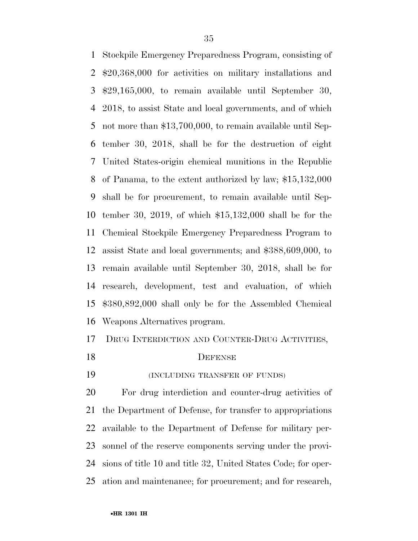Stockpile Emergency Preparedness Program, consisting of \$20,368,000 for activities on military installations and \$29,165,000, to remain available until September 30, 2018, to assist State and local governments, and of which not more than \$13,700,000, to remain available until Sep- tember 30, 2018, shall be for the destruction of eight United States-origin chemical munitions in the Republic of Panama, to the extent authorized by law; \$15,132,000 shall be for procurement, to remain available until Sep- tember 30, 2019, of which \$15,132,000 shall be for the Chemical Stockpile Emergency Preparedness Program to assist State and local governments; and \$388,609,000, to remain available until September 30, 2018, shall be for research, development, test and evaluation, of which \$380,892,000 shall only be for the Assembled Chemical Weapons Alternatives program.

## DRUG INTERDICTION AND COUNTER-DRUG ACTIVITIES,

### 18 DEFENSE

(INCLUDING TRANSFER OF FUNDS)

 For drug interdiction and counter-drug activities of the Department of Defense, for transfer to appropriations available to the Department of Defense for military per- sonnel of the reserve components serving under the provi- sions of title 10 and title 32, United States Code; for oper-ation and maintenance; for procurement; and for research,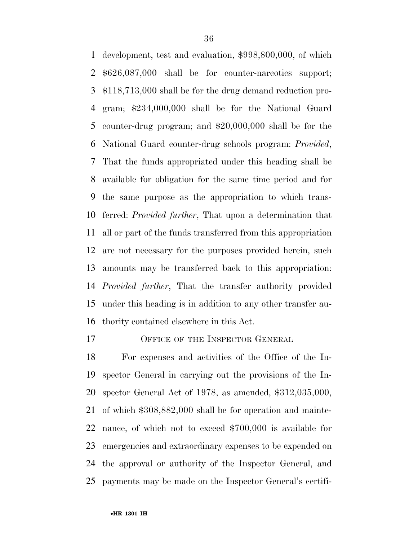development, test and evaluation, \$998,800,000, of which \$626,087,000 shall be for counter-narcotics support; \$118,713,000 shall be for the drug demand reduction pro- gram; \$234,000,000 shall be for the National Guard counter-drug program; and \$20,000,000 shall be for the National Guard counter-drug schools program: *Provided*, That the funds appropriated under this heading shall be available for obligation for the same time period and for the same purpose as the appropriation to which trans- ferred: *Provided further*, That upon a determination that all or part of the funds transferred from this appropriation are not necessary for the purposes provided herein, such amounts may be transferred back to this appropriation: *Provided further*, That the transfer authority provided under this heading is in addition to any other transfer au-thority contained elsewhere in this Act.

17 OFFICE OF THE INSPECTOR GENERAL

 For expenses and activities of the Office of the In- spector General in carrying out the provisions of the In- spector General Act of 1978, as amended, \$312,035,000, of which \$308,882,000 shall be for operation and mainte- nance, of which not to exceed \$700,000 is available for emergencies and extraordinary expenses to be expended on the approval or authority of the Inspector General, and payments may be made on the Inspector General's certifi-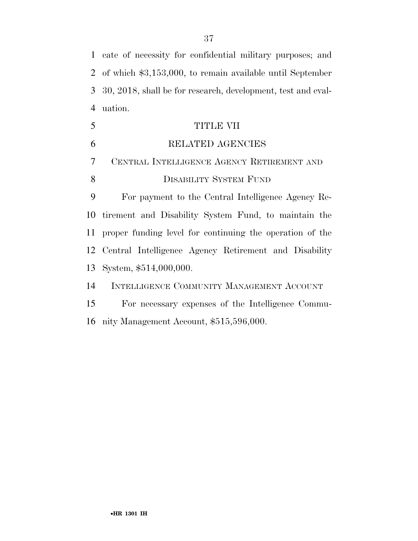cate of necessity for confidential military purposes; and of which \$3,153,000, to remain available until September 30, 2018, shall be for research, development, test and eval-uation.

| 5              | TITLE VII                                                   |
|----------------|-------------------------------------------------------------|
| 6              | RELATED AGENCIES                                            |
| $\overline{7}$ | CENTRAL INTELLIGENCE AGENCY RETIREMENT AND                  |
| 8              | <b>DISABILITY SYSTEM FUND</b>                               |
| 9              | For payment to the Central Intelligence Agency Re-          |
|                | 10 tirement and Disability System Fund, to maintain the     |
|                | 11 proper funding level for continuing the operation of the |
|                | 12 Central Intelligence Agency Retirement and Disability    |
|                | 13 System, \$514,000,000.                                   |
| 14             | INTELLIGENCE COMMUNITY MANAGEMENT ACCOUNT                   |
| 15             | For necessary expenses of the Intelligence Commu-           |

nity Management Account, \$515,596,000.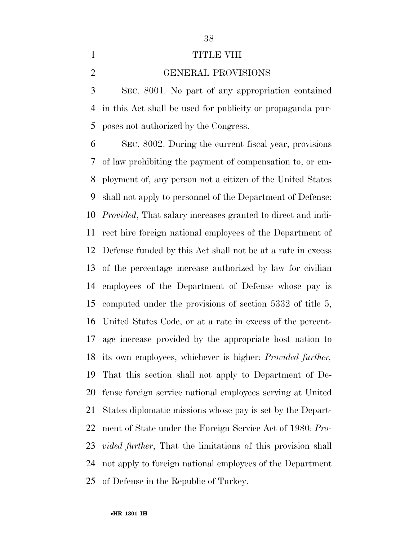## 1 TITLE VIII

GENERAL PROVISIONS

 SEC. 8001. No part of any appropriation contained in this Act shall be used for publicity or propaganda pur-poses not authorized by the Congress.

 SEC. 8002. During the current fiscal year, provisions of law prohibiting the payment of compensation to, or em- ployment of, any person not a citizen of the United States shall not apply to personnel of the Department of Defense: *Provided*, That salary increases granted to direct and indi- rect hire foreign national employees of the Department of Defense funded by this Act shall not be at a rate in excess of the percentage increase authorized by law for civilian employees of the Department of Defense whose pay is computed under the provisions of section 5332 of title 5, United States Code, or at a rate in excess of the percent- age increase provided by the appropriate host nation to its own employees, whichever is higher: *Provided further,*  That this section shall not apply to Department of De- fense foreign service national employees serving at United States diplomatic missions whose pay is set by the Depart- ment of State under the Foreign Service Act of 1980: *Pro- vided further*, That the limitations of this provision shall not apply to foreign national employees of the Department of Defense in the Republic of Turkey.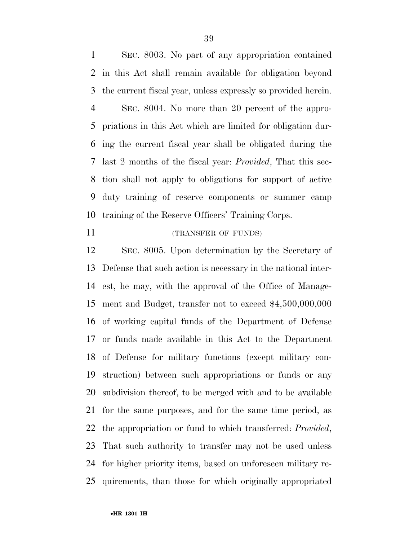SEC. 8003. No part of any appropriation contained in this Act shall remain available for obligation beyond the current fiscal year, unless expressly so provided herein. SEC. 8004. No more than 20 percent of the appro- priations in this Act which are limited for obligation dur- ing the current fiscal year shall be obligated during the last 2 months of the fiscal year: *Provided*, That this sec- tion shall not apply to obligations for support of active duty training of reserve components or summer camp training of the Reserve Officers' Training Corps.

#### 11 (TRANSFER OF FUNDS)

 SEC. 8005. Upon determination by the Secretary of Defense that such action is necessary in the national inter- est, he may, with the approval of the Office of Manage- ment and Budget, transfer not to exceed \$4,500,000,000 of working capital funds of the Department of Defense or funds made available in this Act to the Department of Defense for military functions (except military con- struction) between such appropriations or funds or any subdivision thereof, to be merged with and to be available for the same purposes, and for the same time period, as the appropriation or fund to which transferred: *Provided*, That such authority to transfer may not be used unless for higher priority items, based on unforeseen military re-quirements, than those for which originally appropriated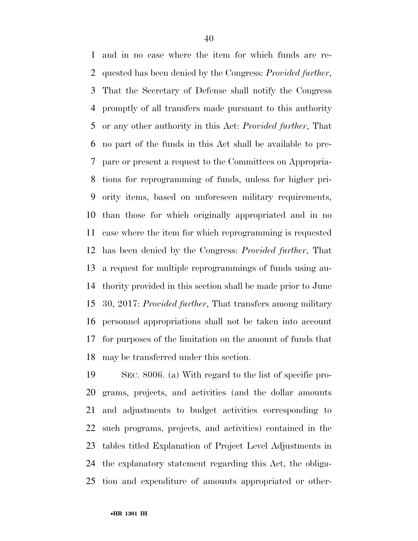and in no case where the item for which funds are re- quested has been denied by the Congress: *Provided further*, That the Secretary of Defense shall notify the Congress promptly of all transfers made pursuant to this authority or any other authority in this Act: *Provided further*, That no part of the funds in this Act shall be available to pre- pare or present a request to the Committees on Appropria- tions for reprogramming of funds, unless for higher pri- ority items, based on unforeseen military requirements, than those for which originally appropriated and in no case where the item for which reprogramming is requested has been denied by the Congress: *Provided further*, That a request for multiple reprogrammings of funds using au- thority provided in this section shall be made prior to June 30, 2017: *Provided further*, That transfers among military personnel appropriations shall not be taken into account for purposes of the limitation on the amount of funds that may be transferred under this section.

 SEC. 8006. (a) With regard to the list of specific pro- grams, projects, and activities (and the dollar amounts and adjustments to budget activities corresponding to such programs, projects, and activities) contained in the tables titled Explanation of Project Level Adjustments in the explanatory statement regarding this Act, the obliga-tion and expenditure of amounts appropriated or other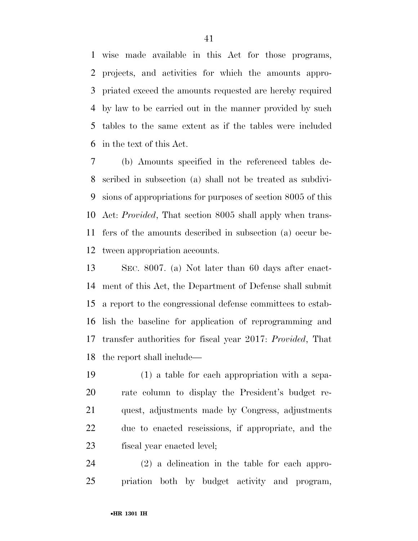wise made available in this Act for those programs, projects, and activities for which the amounts appro- priated exceed the amounts requested are hereby required by law to be carried out in the manner provided by such tables to the same extent as if the tables were included in the text of this Act.

 (b) Amounts specified in the referenced tables de- scribed in subsection (a) shall not be treated as subdivi- sions of appropriations for purposes of section 8005 of this Act: *Provided*, That section 8005 shall apply when trans- fers of the amounts described in subsection (a) occur be-tween appropriation accounts.

 SEC. 8007. (a) Not later than 60 days after enact- ment of this Act, the Department of Defense shall submit a report to the congressional defense committees to estab- lish the baseline for application of reprogramming and transfer authorities for fiscal year 2017: *Provided*, That the report shall include—

 (1) a table for each appropriation with a sepa- rate column to display the President's budget re- quest, adjustments made by Congress, adjustments due to enacted rescissions, if appropriate, and the fiscal year enacted level;

 (2) a delineation in the table for each appro-priation both by budget activity and program,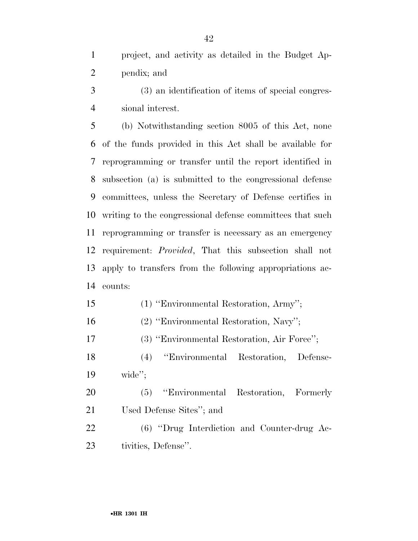project, and activity as detailed in the Budget Ap-pendix; and

 (3) an identification of items of special congres-sional interest.

 (b) Notwithstanding section 8005 of this Act, none of the funds provided in this Act shall be available for reprogramming or transfer until the report identified in subsection (a) is submitted to the congressional defense committees, unless the Secretary of Defense certifies in writing to the congressional defense committees that such reprogramming or transfer is necessary as an emergency requirement: *Provided*, That this subsection shall not apply to transfers from the following appropriations ac-counts:

(1) ''Environmental Restoration, Army'';

(2) ''Environmental Restoration, Navy'';

(3) ''Environmental Restoration, Air Force'';

 (4) ''Environmental Restoration, Defense-wide'';

 (5) ''Environmental Restoration, Formerly Used Defense Sites''; and

 (6) ''Drug Interdiction and Counter-drug Ac-tivities, Defense''.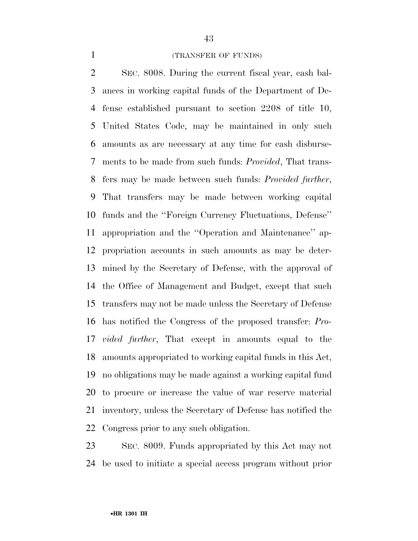## (TRANSFER OF FUNDS)

 SEC. 8008. During the current fiscal year, cash bal- ances in working capital funds of the Department of De- fense established pursuant to section 2208 of title 10, United States Code, may be maintained in only such amounts as are necessary at any time for cash disburse- ments to be made from such funds: *Provided*, That trans- fers may be made between such funds: *Provided further*, That transfers may be made between working capital funds and the ''Foreign Currency Fluctuations, Defense'' appropriation and the ''Operation and Maintenance'' ap- propriation accounts in such amounts as may be deter- mined by the Secretary of Defense, with the approval of the Office of Management and Budget, except that such transfers may not be made unless the Secretary of Defense has notified the Congress of the proposed transfer: *Pro- vided further*, That except in amounts equal to the amounts appropriated to working capital funds in this Act, no obligations may be made against a working capital fund to procure or increase the value of war reserve material inventory, unless the Secretary of Defense has notified the Congress prior to any such obligation.

 SEC. 8009. Funds appropriated by this Act may not be used to initiate a special access program without prior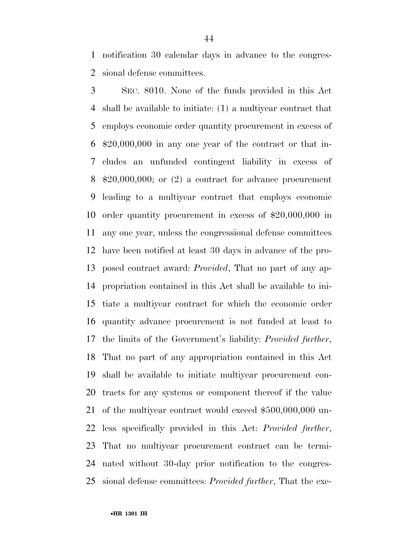notification 30 calendar days in advance to the congres-sional defense committees.

 SEC. 8010. None of the funds provided in this Act shall be available to initiate: (1) a multiyear contract that employs economic order quantity procurement in excess of \$20,000,000 in any one year of the contract or that in- cludes an unfunded contingent liability in excess of \$20,000,000; or (2) a contract for advance procurement leading to a multiyear contract that employs economic order quantity procurement in excess of \$20,000,000 in any one year, unless the congressional defense committees have been notified at least 30 days in advance of the pro- posed contract award: *Provided*, That no part of any ap- propriation contained in this Act shall be available to ini- tiate a multiyear contract for which the economic order quantity advance procurement is not funded at least to the limits of the Government's liability: *Provided further*, That no part of any appropriation contained in this Act shall be available to initiate multiyear procurement con- tracts for any systems or component thereof if the value of the multiyear contract would exceed \$500,000,000 un- less specifically provided in this Act: *Provided further*, That no multiyear procurement contract can be termi- nated without 30-day prior notification to the congres-sional defense committees: *Provided further*, That the exe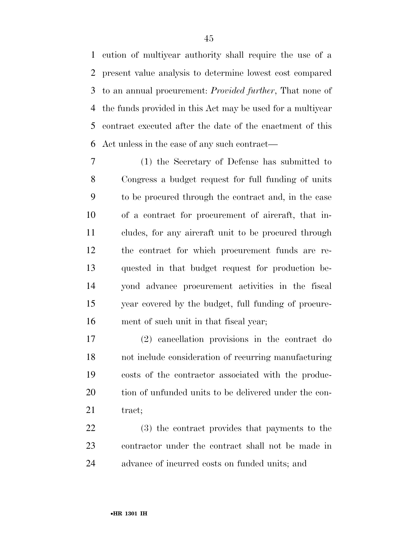cution of multiyear authority shall require the use of a present value analysis to determine lowest cost compared to an annual procurement: *Provided further*, That none of the funds provided in this Act may be used for a multiyear contract executed after the date of the enactment of this Act unless in the case of any such contract—

 (1) the Secretary of Defense has submitted to Congress a budget request for full funding of units to be procured through the contract and, in the case of a contract for procurement of aircraft, that in- cludes, for any aircraft unit to be procured through the contract for which procurement funds are re- quested in that budget request for production be- yond advance procurement activities in the fiscal year covered by the budget, full funding of procure-ment of such unit in that fiscal year;

 (2) cancellation provisions in the contract do not include consideration of recurring manufacturing costs of the contractor associated with the produc-20 tion of unfunded units to be delivered under the con-21 tract;

 (3) the contract provides that payments to the contractor under the contract shall not be made in advance of incurred costs on funded units; and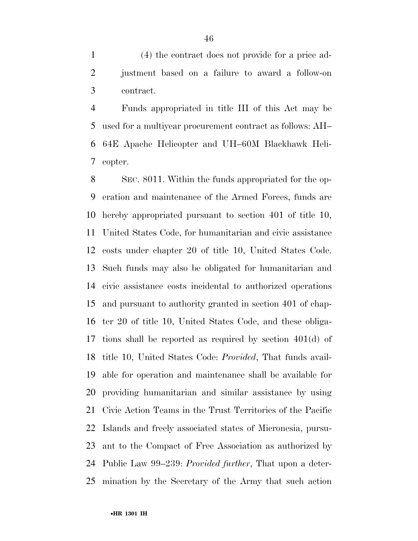(4) the contract does not provide for a price ad- justment based on a failure to award a follow-on contract.

 Funds appropriated in title III of this Act may be used for a multiyear procurement contract as follows: AH– 64E Apache Helicopter and UH–60M Blackhawk Heli-copter.

 SEC. 8011. Within the funds appropriated for the op- eration and maintenance of the Armed Forces, funds are hereby appropriated pursuant to section 401 of title 10, United States Code, for humanitarian and civic assistance costs under chapter 20 of title 10, United States Code. Such funds may also be obligated for humanitarian and civic assistance costs incidental to authorized operations and pursuant to authority granted in section 401 of chap- ter 20 of title 10, United States Code, and these obliga- tions shall be reported as required by section 401(d) of title 10, United States Code: *Provided*, That funds avail- able for operation and maintenance shall be available for providing humanitarian and similar assistance by using Civic Action Teams in the Trust Territories of the Pacific Islands and freely associated states of Micronesia, pursu- ant to the Compact of Free Association as authorized by Public Law 99–239: *Provided further*, That upon a deter-mination by the Secretary of the Army that such action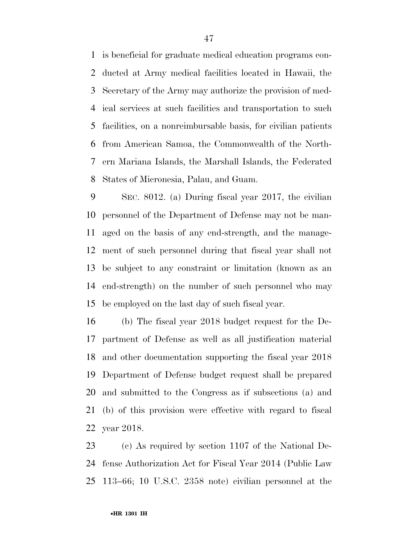is beneficial for graduate medical education programs con- ducted at Army medical facilities located in Hawaii, the Secretary of the Army may authorize the provision of med- ical services at such facilities and transportation to such facilities, on a nonreimbursable basis, for civilian patients from American Samoa, the Commonwealth of the North- ern Mariana Islands, the Marshall Islands, the Federated States of Micronesia, Palau, and Guam.

 SEC. 8012. (a) During fiscal year 2017, the civilian personnel of the Department of Defense may not be man- aged on the basis of any end-strength, and the manage- ment of such personnel during that fiscal year shall not be subject to any constraint or limitation (known as an end-strength) on the number of such personnel who may be employed on the last day of such fiscal year.

 (b) The fiscal year 2018 budget request for the De- partment of Defense as well as all justification material and other documentation supporting the fiscal year 2018 Department of Defense budget request shall be prepared and submitted to the Congress as if subsections (a) and (b) of this provision were effective with regard to fiscal year 2018.

 (c) As required by section 1107 of the National De- fense Authorization Act for Fiscal Year 2014 (Public Law 113–66; 10 U.S.C. 2358 note) civilian personnel at the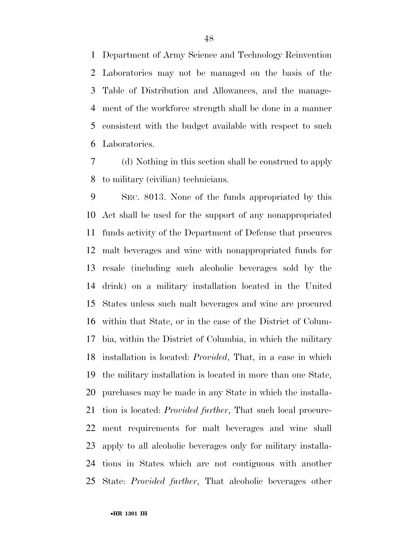Department of Army Science and Technology Reinvention Laboratories may not be managed on the basis of the Table of Distribution and Allowances, and the manage- ment of the workforce strength shall be done in a manner consistent with the budget available with respect to such Laboratories.

 (d) Nothing in this section shall be construed to apply to military (civilian) technicians.

 SEC. 8013. None of the funds appropriated by this Act shall be used for the support of any nonappropriated funds activity of the Department of Defense that procures malt beverages and wine with nonappropriated funds for resale (including such alcoholic beverages sold by the drink) on a military installation located in the United States unless such malt beverages and wine are procured within that State, or in the case of the District of Colum- bia, within the District of Columbia, in which the military installation is located: *Provided*, That, in a case in which the military installation is located in more than one State, purchases may be made in any State in which the installa- tion is located: *Provided further*, That such local procure- ment requirements for malt beverages and wine shall apply to all alcoholic beverages only for military installa- tions in States which are not contiguous with another State: *Provided further*, That alcoholic beverages other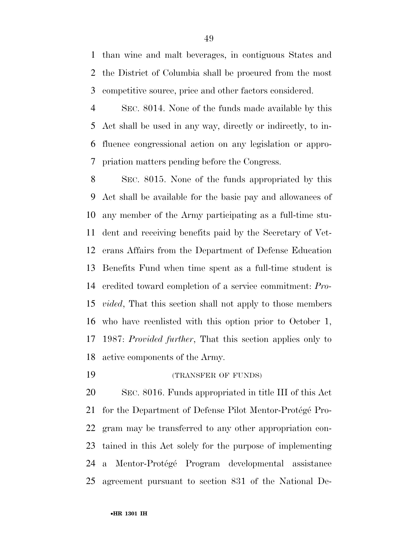than wine and malt beverages, in contiguous States and the District of Columbia shall be procured from the most competitive source, price and other factors considered.

 SEC. 8014. None of the funds made available by this Act shall be used in any way, directly or indirectly, to in- fluence congressional action on any legislation or appro-priation matters pending before the Congress.

 SEC. 8015. None of the funds appropriated by this Act shall be available for the basic pay and allowances of any member of the Army participating as a full-time stu- dent and receiving benefits paid by the Secretary of Vet- erans Affairs from the Department of Defense Education Benefits Fund when time spent as a full-time student is credited toward completion of a service commitment: *Pro- vided*, That this section shall not apply to those members who have reenlisted with this option prior to October 1, 1987: *Provided further*, That this section applies only to active components of the Army.

(TRANSFER OF FUNDS)

 SEC. 8016. Funds appropriated in title III of this Act 21 for the Department of Defense Pilot Mentor-Protégé Pro- gram may be transferred to any other appropriation con- tained in this Act solely for the purpose of implementing 24 a Mentor-Protégé Program developmental assistance agreement pursuant to section 831 of the National De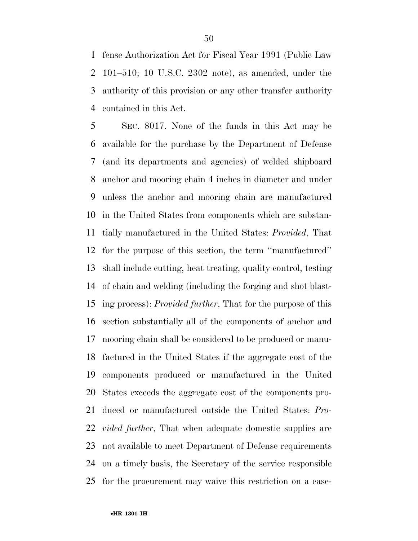fense Authorization Act for Fiscal Year 1991 (Public Law 101–510; 10 U.S.C. 2302 note), as amended, under the authority of this provision or any other transfer authority contained in this Act.

 SEC. 8017. None of the funds in this Act may be available for the purchase by the Department of Defense (and its departments and agencies) of welded shipboard anchor and mooring chain 4 inches in diameter and under unless the anchor and mooring chain are manufactured in the United States from components which are substan- tially manufactured in the United States: *Provided*, That for the purpose of this section, the term ''manufactured'' shall include cutting, heat treating, quality control, testing of chain and welding (including the forging and shot blast- ing process): *Provided further*, That for the purpose of this section substantially all of the components of anchor and mooring chain shall be considered to be produced or manu- factured in the United States if the aggregate cost of the components produced or manufactured in the United States exceeds the aggregate cost of the components pro- duced or manufactured outside the United States: *Pro- vided further*, That when adequate domestic supplies are not available to meet Department of Defense requirements on a timely basis, the Secretary of the service responsible for the procurement may waive this restriction on a case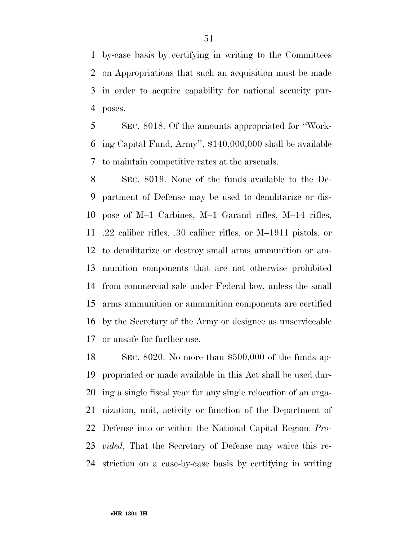by-case basis by certifying in writing to the Committees on Appropriations that such an acquisition must be made in order to acquire capability for national security pur-poses.

 SEC. 8018. Of the amounts appropriated for ''Work- ing Capital Fund, Army'', \$140,000,000 shall be available to maintain competitive rates at the arsenals.

 SEC. 8019. None of the funds available to the De- partment of Defense may be used to demilitarize or dis- pose of M–1 Carbines, M–1 Garand rifles, M–14 rifles, .22 caliber rifles, .30 caliber rifles, or M–1911 pistols, or to demilitarize or destroy small arms ammunition or am- munition components that are not otherwise prohibited from commercial sale under Federal law, unless the small arms ammunition or ammunition components are certified by the Secretary of the Army or designee as unserviceable or unsafe for further use.

 SEC. 8020. No more than \$500,000 of the funds ap- propriated or made available in this Act shall be used dur- ing a single fiscal year for any single relocation of an orga- nization, unit, activity or function of the Department of Defense into or within the National Capital Region: *Pro- vided*, That the Secretary of Defense may waive this re-striction on a case-by-case basis by certifying in writing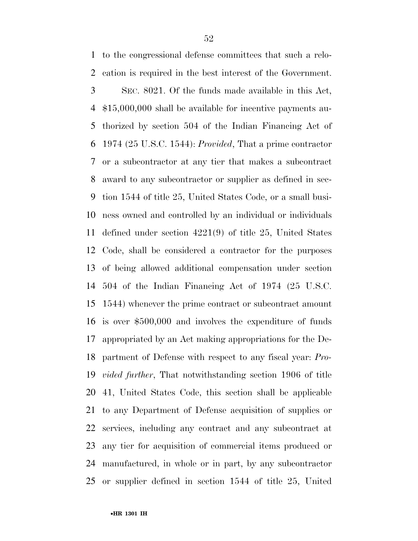to the congressional defense committees that such a relo- cation is required in the best interest of the Government. SEC. 8021. Of the funds made available in this Act, \$15,000,000 shall be available for incentive payments au- thorized by section 504 of the Indian Financing Act of 1974 (25 U.S.C. 1544): *Provided*, That a prime contractor or a subcontractor at any tier that makes a subcontract award to any subcontractor or supplier as defined in sec- tion 1544 of title 25, United States Code, or a small busi- ness owned and controlled by an individual or individuals defined under section 4221(9) of title 25, United States Code, shall be considered a contractor for the purposes of being allowed additional compensation under section 504 of the Indian Financing Act of 1974 (25 U.S.C. 1544) whenever the prime contract or subcontract amount is over \$500,000 and involves the expenditure of funds appropriated by an Act making appropriations for the De- partment of Defense with respect to any fiscal year: *Pro- vided further*, That notwithstanding section 1906 of title 41, United States Code, this section shall be applicable to any Department of Defense acquisition of supplies or services, including any contract and any subcontract at any tier for acquisition of commercial items produced or manufactured, in whole or in part, by any subcontractor or supplier defined in section 1544 of title 25, United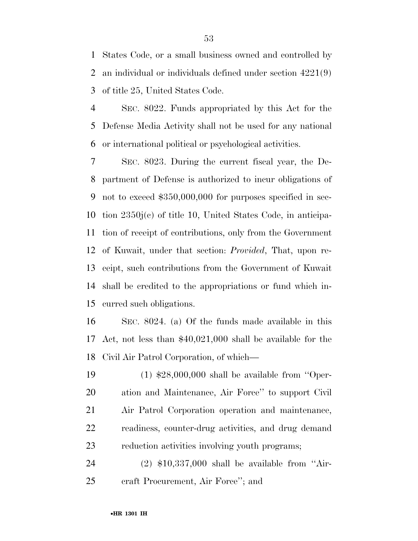States Code, or a small business owned and controlled by an individual or individuals defined under section 4221(9) of title 25, United States Code.

 SEC. 8022. Funds appropriated by this Act for the Defense Media Activity shall not be used for any national or international political or psychological activities.

 SEC. 8023. During the current fiscal year, the De- partment of Defense is authorized to incur obligations of not to exceed \$350,000,000 for purposes specified in sec- tion 2350j(c) of title 10, United States Code, in anticipa- tion of receipt of contributions, only from the Government of Kuwait, under that section: *Provided*, That, upon re- ceipt, such contributions from the Government of Kuwait shall be credited to the appropriations or fund which in-curred such obligations.

 SEC. 8024. (a) Of the funds made available in this Act, not less than \$40,021,000 shall be available for the Civil Air Patrol Corporation, of which—

 (1) \$28,000,000 shall be available from ''Oper- ation and Maintenance, Air Force'' to support Civil Air Patrol Corporation operation and maintenance, readiness, counter-drug activities, and drug demand reduction activities involving youth programs;

 (2) \$10,337,000 shall be available from ''Air-craft Procurement, Air Force''; and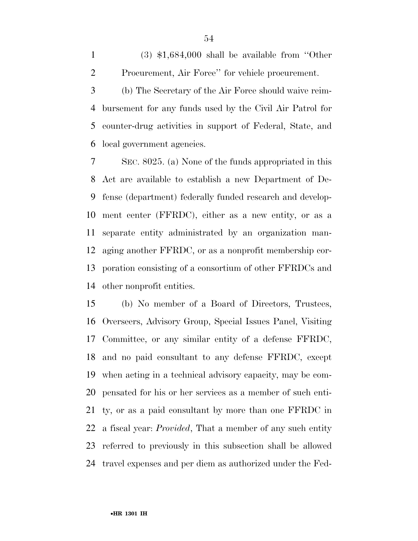1  $(3)$  \$1,684,000 shall be available from "Other Procurement, Air Force'' for vehicle procurement.

 (b) The Secretary of the Air Force should waive reim- bursement for any funds used by the Civil Air Patrol for counter-drug activities in support of Federal, State, and local government agencies.

 SEC. 8025. (a) None of the funds appropriated in this Act are available to establish a new Department of De- fense (department) federally funded research and develop- ment center (FFRDC), either as a new entity, or as a separate entity administrated by an organization man- aging another FFRDC, or as a nonprofit membership cor- poration consisting of a consortium of other FFRDCs and other nonprofit entities.

 (b) No member of a Board of Directors, Trustees, Overseers, Advisory Group, Special Issues Panel, Visiting Committee, or any similar entity of a defense FFRDC, and no paid consultant to any defense FFRDC, except when acting in a technical advisory capacity, may be com- pensated for his or her services as a member of such enti- ty, or as a paid consultant by more than one FFRDC in a fiscal year: *Provided*, That a member of any such entity referred to previously in this subsection shall be allowed travel expenses and per diem as authorized under the Fed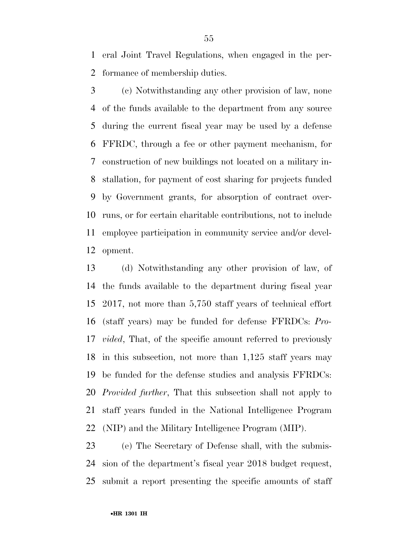eral Joint Travel Regulations, when engaged in the per-formance of membership duties.

 (c) Notwithstanding any other provision of law, none of the funds available to the department from any source during the current fiscal year may be used by a defense FFRDC, through a fee or other payment mechanism, for construction of new buildings not located on a military in- stallation, for payment of cost sharing for projects funded by Government grants, for absorption of contract over- runs, or for certain charitable contributions, not to include employee participation in community service and/or devel-opment.

 (d) Notwithstanding any other provision of law, of the funds available to the department during fiscal year 2017, not more than 5,750 staff years of technical effort (staff years) may be funded for defense FFRDCs: *Pro- vided*, That, of the specific amount referred to previously in this subsection, not more than 1,125 staff years may be funded for the defense studies and analysis FFRDCs: *Provided further*, That this subsection shall not apply to staff years funded in the National Intelligence Program (NIP) and the Military Intelligence Program (MIP).

 (e) The Secretary of Defense shall, with the submis- sion of the department's fiscal year 2018 budget request, submit a report presenting the specific amounts of staff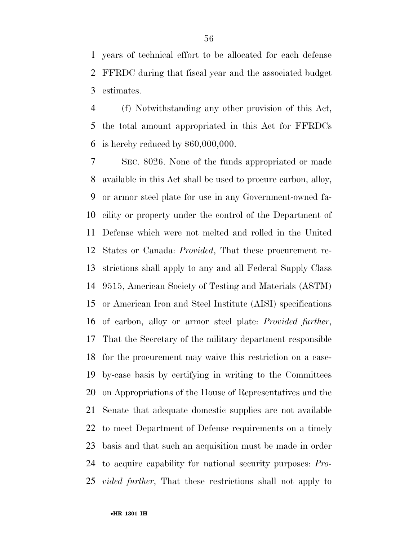years of technical effort to be allocated for each defense FFRDC during that fiscal year and the associated budget estimates.

 (f) Notwithstanding any other provision of this Act, the total amount appropriated in this Act for FFRDCs is hereby reduced by \$60,000,000.

 SEC. 8026. None of the funds appropriated or made available in this Act shall be used to procure carbon, alloy, or armor steel plate for use in any Government-owned fa- cility or property under the control of the Department of Defense which were not melted and rolled in the United States or Canada: *Provided*, That these procurement re- strictions shall apply to any and all Federal Supply Class 9515, American Society of Testing and Materials (ASTM) or American Iron and Steel Institute (AISI) specifications of carbon, alloy or armor steel plate: *Provided further*, That the Secretary of the military department responsible for the procurement may waive this restriction on a case- by-case basis by certifying in writing to the Committees on Appropriations of the House of Representatives and the Senate that adequate domestic supplies are not available to meet Department of Defense requirements on a timely basis and that such an acquisition must be made in order to acquire capability for national security purposes: *Pro-vided further*, That these restrictions shall not apply to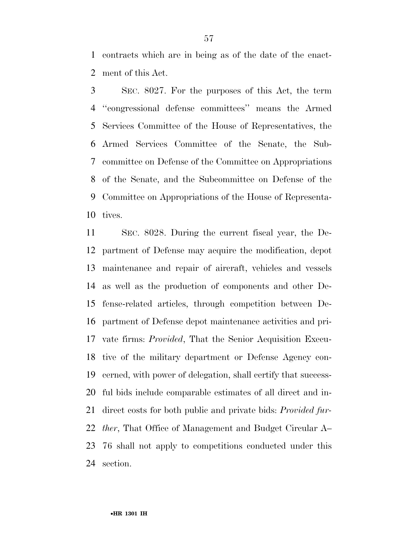contracts which are in being as of the date of the enact-ment of this Act.

 SEC. 8027. For the purposes of this Act, the term ''congressional defense committees'' means the Armed Services Committee of the House of Representatives, the Armed Services Committee of the Senate, the Sub- committee on Defense of the Committee on Appropriations of the Senate, and the Subcommittee on Defense of the Committee on Appropriations of the House of Representa-tives.

 SEC. 8028. During the current fiscal year, the De- partment of Defense may acquire the modification, depot maintenance and repair of aircraft, vehicles and vessels as well as the production of components and other De- fense-related articles, through competition between De- partment of Defense depot maintenance activities and pri- vate firms: *Provided*, That the Senior Acquisition Execu- tive of the military department or Defense Agency con- cerned, with power of delegation, shall certify that success- ful bids include comparable estimates of all direct and in- direct costs for both public and private bids: *Provided fur- ther*, That Office of Management and Budget Circular A– 76 shall not apply to competitions conducted under this section.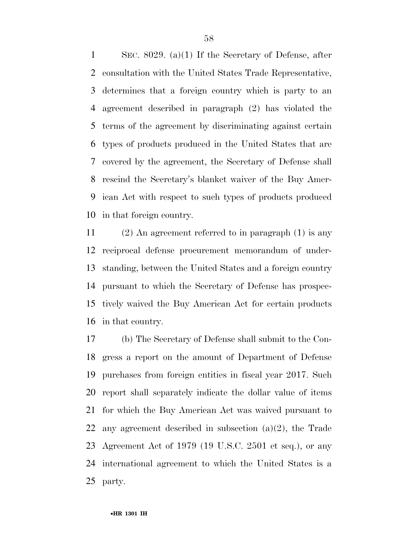SEC. 8029. (a)(1) If the Secretary of Defense, after consultation with the United States Trade Representative, determines that a foreign country which is party to an agreement described in paragraph (2) has violated the terms of the agreement by discriminating against certain types of products produced in the United States that are covered by the agreement, the Secretary of Defense shall rescind the Secretary's blanket waiver of the Buy Amer- ican Act with respect to such types of products produced in that foreign country.

 (2) An agreement referred to in paragraph (1) is any reciprocal defense procurement memorandum of under- standing, between the United States and a foreign country pursuant to which the Secretary of Defense has prospec- tively waived the Buy American Act for certain products in that country.

 (b) The Secretary of Defense shall submit to the Con- gress a report on the amount of Department of Defense purchases from foreign entities in fiscal year 2017. Such report shall separately indicate the dollar value of items for which the Buy American Act was waived pursuant to any agreement described in subsection (a)(2), the Trade Agreement Act of 1979 (19 U.S.C. 2501 et seq.), or any international agreement to which the United States is a party.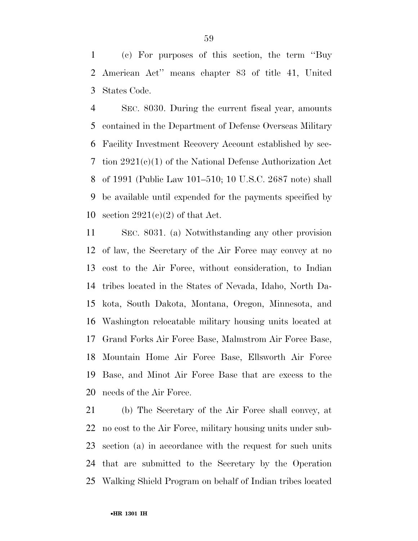(c) For purposes of this section, the term ''Buy American Act'' means chapter 83 of title 41, United States Code.

 SEC. 8030. During the current fiscal year, amounts contained in the Department of Defense Overseas Military Facility Investment Recovery Account established by sec- tion 2921(c)(1) of the National Defense Authorization Act of 1991 (Public Law 101–510; 10 U.S.C. 2687 note) shall be available until expended for the payments specified by 10 section  $2921(e)(2)$  of that Act.

 SEC. 8031. (a) Notwithstanding any other provision of law, the Secretary of the Air Force may convey at no cost to the Air Force, without consideration, to Indian tribes located in the States of Nevada, Idaho, North Da- kota, South Dakota, Montana, Oregon, Minnesota, and Washington relocatable military housing units located at Grand Forks Air Force Base, Malmstrom Air Force Base, Mountain Home Air Force Base, Ellsworth Air Force Base, and Minot Air Force Base that are excess to the needs of the Air Force.

 (b) The Secretary of the Air Force shall convey, at no cost to the Air Force, military housing units under sub- section (a) in accordance with the request for such units that are submitted to the Secretary by the Operation Walking Shield Program on behalf of Indian tribes located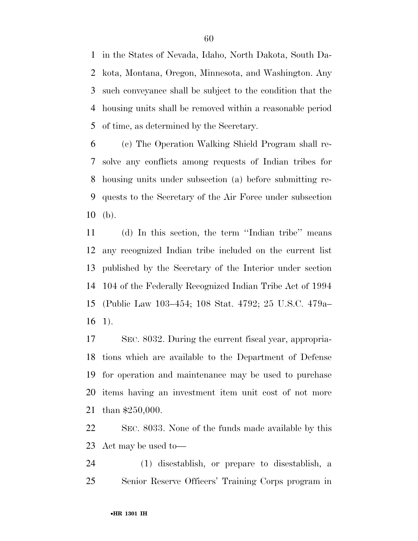in the States of Nevada, Idaho, North Dakota, South Da- kota, Montana, Oregon, Minnesota, and Washington. Any such conveyance shall be subject to the condition that the housing units shall be removed within a reasonable period of time, as determined by the Secretary.

 (c) The Operation Walking Shield Program shall re- solve any conflicts among requests of Indian tribes for housing units under subsection (a) before submitting re- quests to the Secretary of the Air Force under subsection (b).

 (d) In this section, the term ''Indian tribe'' means any recognized Indian tribe included on the current list published by the Secretary of the Interior under section 104 of the Federally Recognized Indian Tribe Act of 1994 (Public Law 103–454; 108 Stat. 4792; 25 U.S.C. 479a– 1).

 SEC. 8032. During the current fiscal year, appropria- tions which are available to the Department of Defense for operation and maintenance may be used to purchase items having an investment item unit cost of not more than \$250,000.

 SEC. 8033. None of the funds made available by this Act may be used to—

 (1) disestablish, or prepare to disestablish, a Senior Reserve Officers' Training Corps program in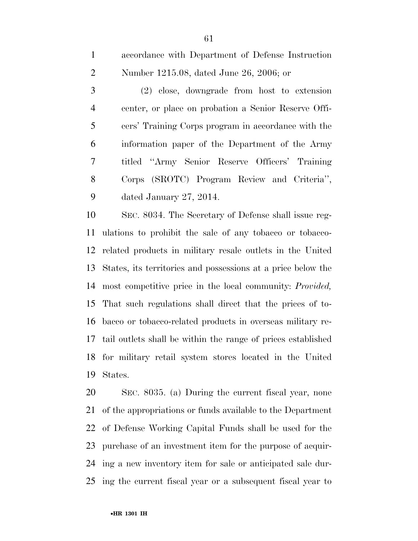accordance with Department of Defense Instruction Number 1215.08, dated June 26, 2006; or

 (2) close, downgrade from host to extension center, or place on probation a Senior Reserve Offi- cers' Training Corps program in accordance with the information paper of the Department of the Army titled ''Army Senior Reserve Officers' Training Corps (SROTC) Program Review and Criteria'', dated January 27, 2014.

 SEC. 8034. The Secretary of Defense shall issue reg- ulations to prohibit the sale of any tobacco or tobacco- related products in military resale outlets in the United States, its territories and possessions at a price below the most competitive price in the local community: *Provided,*  That such regulations shall direct that the prices of to- bacco or tobacco-related products in overseas military re- tail outlets shall be within the range of prices established for military retail system stores located in the United States.

 SEC. 8035. (a) During the current fiscal year, none of the appropriations or funds available to the Department of Defense Working Capital Funds shall be used for the purchase of an investment item for the purpose of acquir- ing a new inventory item for sale or anticipated sale dur-ing the current fiscal year or a subsequent fiscal year to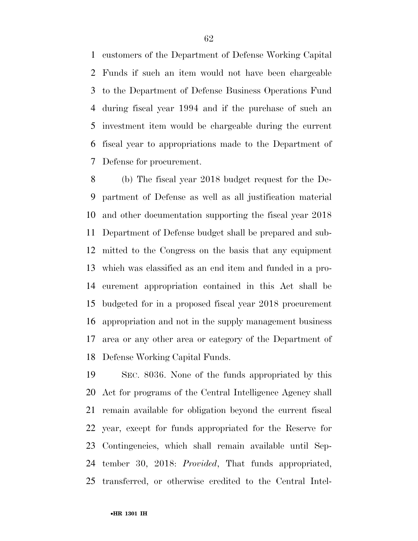customers of the Department of Defense Working Capital Funds if such an item would not have been chargeable to the Department of Defense Business Operations Fund during fiscal year 1994 and if the purchase of such an investment item would be chargeable during the current fiscal year to appropriations made to the Department of Defense for procurement.

 (b) The fiscal year 2018 budget request for the De- partment of Defense as well as all justification material and other documentation supporting the fiscal year 2018 Department of Defense budget shall be prepared and sub- mitted to the Congress on the basis that any equipment which was classified as an end item and funded in a pro- curement appropriation contained in this Act shall be budgeted for in a proposed fiscal year 2018 procurement appropriation and not in the supply management business area or any other area or category of the Department of Defense Working Capital Funds.

 SEC. 8036. None of the funds appropriated by this Act for programs of the Central Intelligence Agency shall remain available for obligation beyond the current fiscal year, except for funds appropriated for the Reserve for Contingencies, which shall remain available until Sep- tember 30, 2018: *Provided*, That funds appropriated, transferred, or otherwise credited to the Central Intel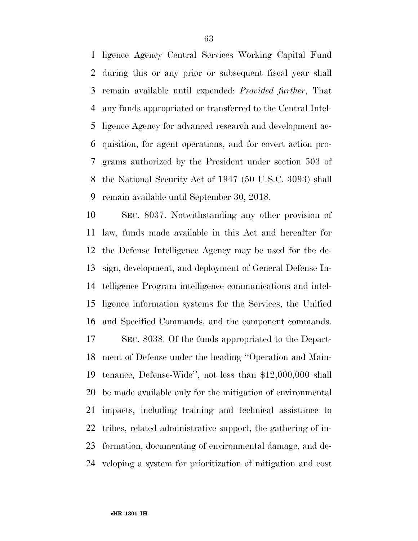ligence Agency Central Services Working Capital Fund during this or any prior or subsequent fiscal year shall remain available until expended: *Provided further*, That any funds appropriated or transferred to the Central Intel- ligence Agency for advanced research and development ac- quisition, for agent operations, and for covert action pro- grams authorized by the President under section 503 of the National Security Act of 1947 (50 U.S.C. 3093) shall remain available until September 30, 2018.

 SEC. 8037. Notwithstanding any other provision of law, funds made available in this Act and hereafter for the Defense Intelligence Agency may be used for the de- sign, development, and deployment of General Defense In- telligence Program intelligence communications and intel- ligence information systems for the Services, the Unified and Specified Commands, and the component commands. SEC. 8038. Of the funds appropriated to the Depart- ment of Defense under the heading ''Operation and Main- tenance, Defense-Wide'', not less than \$12,000,000 shall be made available only for the mitigation of environmental

 impacts, including training and technical assistance to tribes, related administrative support, the gathering of in-

formation, documenting of environmental damage, and de-

veloping a system for prioritization of mitigation and cost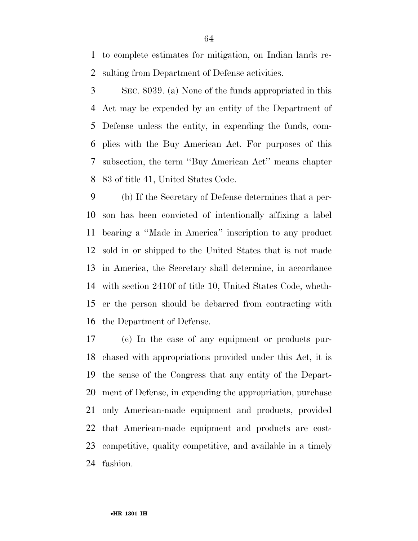to complete estimates for mitigation, on Indian lands re-sulting from Department of Defense activities.

 SEC. 8039. (a) None of the funds appropriated in this Act may be expended by an entity of the Department of Defense unless the entity, in expending the funds, com- plies with the Buy American Act. For purposes of this subsection, the term ''Buy American Act'' means chapter 83 of title 41, United States Code.

 (b) If the Secretary of Defense determines that a per- son has been convicted of intentionally affixing a label bearing a ''Made in America'' inscription to any product sold in or shipped to the United States that is not made in America, the Secretary shall determine, in accordance with section 2410f of title 10, United States Code, wheth- er the person should be debarred from contracting with the Department of Defense.

 (c) In the case of any equipment or products pur- chased with appropriations provided under this Act, it is the sense of the Congress that any entity of the Depart- ment of Defense, in expending the appropriation, purchase only American-made equipment and products, provided that American-made equipment and products are cost- competitive, quality competitive, and available in a timely fashion.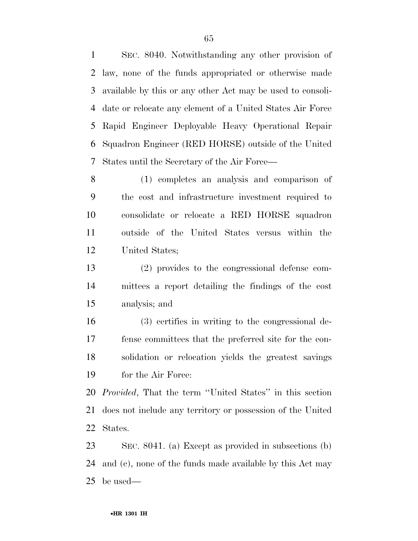SEC. 8040. Notwithstanding any other provision of law, none of the funds appropriated or otherwise made available by this or any other Act may be used to consoli- date or relocate any element of a United States Air Force Rapid Engineer Deployable Heavy Operational Repair Squadron Engineer (RED HORSE) outside of the United States until the Secretary of the Air Force—

 (1) completes an analysis and comparison of the cost and infrastructure investment required to consolidate or relocate a RED HORSE squadron outside of the United States versus within the United States;

 (2) provides to the congressional defense com- mittees a report detailing the findings of the cost analysis; and

 (3) certifies in writing to the congressional de- fense committees that the preferred site for the con- solidation or relocation yields the greatest savings for the Air Force:

 *Provided*, That the term ''United States'' in this section does not include any territory or possession of the United States.

 SEC. 8041. (a) Except as provided in subsections (b) and (c), none of the funds made available by this Act may be used—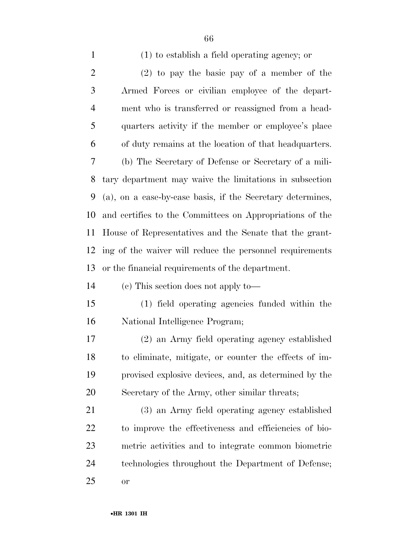| $\mathbf{1}$   | $(1)$ to establish a field operating agency; or            |
|----------------|------------------------------------------------------------|
| $\overline{2}$ | $(2)$ to pay the basic pay of a member of the              |
| 3              | Armed Forces or civilian employee of the depart-           |
| $\overline{4}$ | ment who is transferred or reassigned from a head-         |
| 5              | quarters activity if the member or employee's place        |
| 6              | of duty remains at the location of that headquarters.      |
| $\overline{7}$ | (b) The Secretary of Defense or Secretary of a mili-       |
| 8              | tary department may waive the limitations in subsection    |
| 9              | (a), on a case-by-case basis, if the Secretary determines, |
| 10             | and certifies to the Committees on Appropriations of the   |
| 11             | House of Representatives and the Senate that the grant-    |
| 12             | ing of the waiver will reduce the personnel requirements   |
| 13             | or the financial requirements of the department.           |
| 14             | (c) This section does not apply to—                        |
| 15             | (1) field operating agencies funded within the             |
| 16             | National Intelligence Program;                             |
| 17             | (2) an Army field operating agency established             |
| 18             | to eliminate, mitigate, or counter the effects of im-      |
| 19             | provised explosive devices, and, as determined by the      |
| 20             | Secretary of the Army, other similar threats;              |

 (3) an Army field operating agency established to improve the effectiveness and efficiencies of bio- metric activities and to integrate common biometric technologies throughout the Department of Defense; or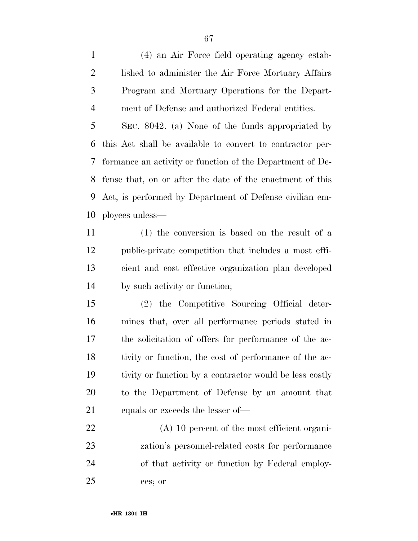(4) an Air Force field operating agency estab- lished to administer the Air Force Mortuary Affairs Program and Mortuary Operations for the Depart-ment of Defense and authorized Federal entities.

 SEC. 8042. (a) None of the funds appropriated by this Act shall be available to convert to contractor per- formance an activity or function of the Department of De- fense that, on or after the date of the enactment of this Act, is performed by Department of Defense civilian em-ployees unless—

 (1) the conversion is based on the result of a public-private competition that includes a most effi- cient and cost effective organization plan developed by such activity or function;

 (2) the Competitive Sourcing Official deter- mines that, over all performance periods stated in the solicitation of offers for performance of the ac- tivity or function, the cost of performance of the ac- tivity or function by a contractor would be less costly to the Department of Defense by an amount that equals or exceeds the lesser of—

 (A) 10 percent of the most efficient organi- zation's personnel-related costs for performance of that activity or function by Federal employ-ees; or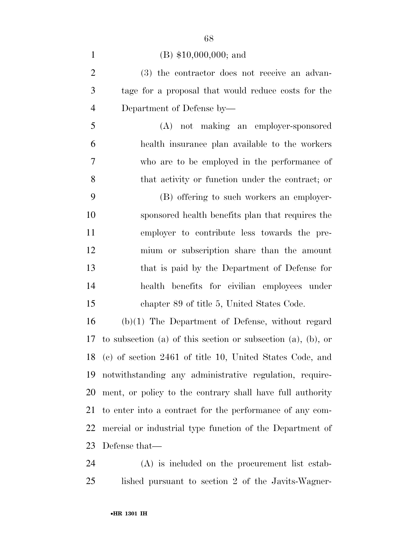## (B) \$10,000,000; and

 (3) the contractor does not receive an advan- tage for a proposal that would reduce costs for the Department of Defense by—

 (A) not making an employer-sponsored health insurance plan available to the workers who are to be employed in the performance of that activity or function under the contract; or

 (B) offering to such workers an employer- sponsored health benefits plan that requires the employer to contribute less towards the pre- mium or subscription share than the amount that is paid by the Department of Defense for health benefits for civilian employees under chapter 89 of title 5, United States Code.

 (b)(1) The Department of Defense, without regard to subsection (a) of this section or subsection (a), (b), or (c) of section 2461 of title 10, United States Code, and notwithstanding any administrative regulation, require- ment, or policy to the contrary shall have full authority to enter into a contract for the performance of any com- mercial or industrial type function of the Department of Defense that—

 (A) is included on the procurement list estab-lished pursuant to section 2 of the Javits-Wagner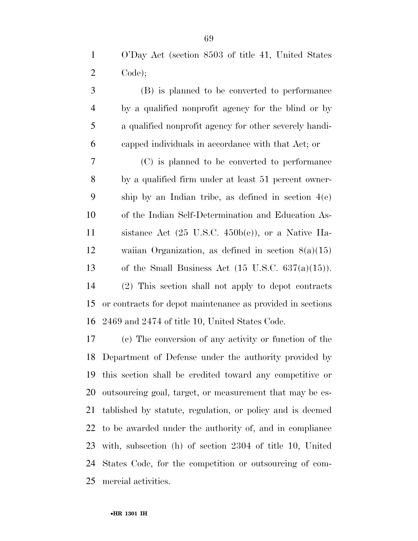(B) is planned to be converted to performance by a qualified nonprofit agency for the blind or by a qualified nonprofit agency for other severely handi-capped individuals in accordance with that Act; or

 (C) is planned to be converted to performance by a qualified firm under at least 51 percent owner- ship by an Indian tribe, as defined in section 4(e) of the Indian Self-Determination and Education As- sistance Act (25 U.S.C. 450b(e)), or a Native Ha- waiian Organization, as defined in section 8(a)(15) 13 of the Small Business Act  $(15 \text{ U.S.C. } 637(a)(15))$ . (2) This section shall not apply to depot contracts or contracts for depot maintenance as provided in sections 2469 and 2474 of title 10, United States Code.

 (c) The conversion of any activity or function of the Department of Defense under the authority provided by this section shall be credited toward any competitive or outsourcing goal, target, or measurement that may be es- tablished by statute, regulation, or policy and is deemed to be awarded under the authority of, and in compliance with, subsection (h) of section 2304 of title 10, United States Code, for the competition or outsourcing of com-mercial activities.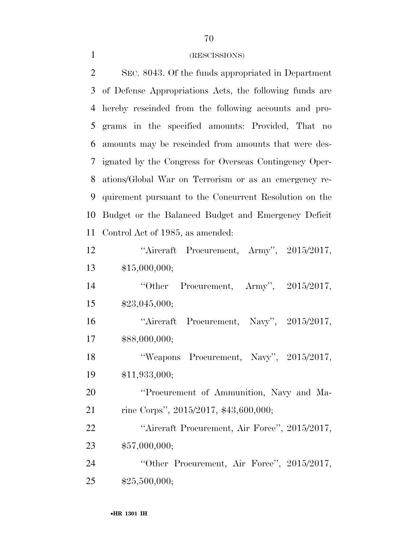# (RESCISSIONS)

| $\overline{2}$ | SEC. 8043. Of the funds appropriated in Department      |
|----------------|---------------------------------------------------------|
| 3              | of Defense Appropriations Acts, the following funds are |
| 4              | hereby rescinded from the following accounts and pro-   |
| 5              | grams in the specified amounts: Provided, That no       |
| 6              | amounts may be rescinded from amounts that were des-    |
| 7              | ignated by the Congress for Overseas Contingency Oper-  |
| 8              | ations/Global War on Terrorism or as an emergency re-   |
| 9              | quirement pursuant to the Concurrent Resolution on the  |
| 10             | Budget or the Balanced Budget and Emergency Deficit     |
| 11             | Control Act of 1985, as amended:                        |
| 12             | "Aircraft Procurement, Army", 2015/2017,                |
| 13             | \$15,000,000;                                           |
| 14             | Procurement, Army", $2015/2017$ ,<br>"Other             |
| 15             | \$23,045,000;                                           |
| 16             | "Aircraft Procurement, Navy", 2015/2017,                |
| 17             | \$88,000,000;                                           |
| 18             | "Weapons Procurement, Navy", 2015/2017,                 |
| 19             | \$11,933,000;                                           |
| 20             | "Procurement of Ammunition, Navy and Ma-                |
| 21             | rine Corps", 2015/2017, \$43,600,000;                   |
| 22             | "Aircraft Procurement, Air Force", 2015/2017,           |

\$57,000,000;

 ''Other Procurement, Air Force'', 2015/2017, \$25,500,000;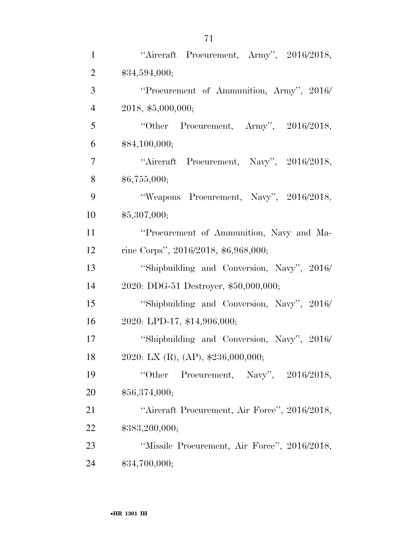| $\mathbf{1}$   | "Aircraft Procurement, Army", 2016/2018,      |
|----------------|-----------------------------------------------|
| $\overline{2}$ | \$34,594,000;                                 |
| 3              | "Procurement of Ammunition, Army", 2016/      |
| $\overline{4}$ | 2018, \$5,000,000;                            |
| 5              | "Other Procurement, Army", $2016/2018$ ,      |
| 6              | \$84,100,000;                                 |
| $\tau$         | "Aircraft Procurement, Navy", 2016/2018,      |
| 8              | \$6,755,000;                                  |
| 9              | "Weapons Procurement, Navy", 2016/2018,       |
| 10             | \$5,307,000;                                  |
| 11             | "Procurement of Ammunition, Navy and Ma-      |
| 12             | rine Corps", 2016/2018, \$6,968,000;          |
| 13             | "Shipbuilding and Conversion, Navy", 2016/    |
| 14             | 2020: DDG-51 Destroyer, \$50,000,000;         |
| 15             | "Shipbuilding and Conversion, Navy", 2016/    |
| 16             | 2020: LPD-17, \$14,906,000;                   |
| 17             | "Shipbuilding and Conversion, Navy", 2016/    |
| 18             | 2020: LX (R), (AP), $$236,000,000;$           |
| 19             | Procurement, Navy", 2016/2018,<br>"Other      |
| 20             | \$56,374,000;                                 |
| 21             | "Aircraft Procurement, Air Force", 2016/2018, |
| 22             | \$383,200,000;                                |
| 23             | "Missile Procurement, Air Force", 2016/2018,  |
| 24             | \$34,700,000;                                 |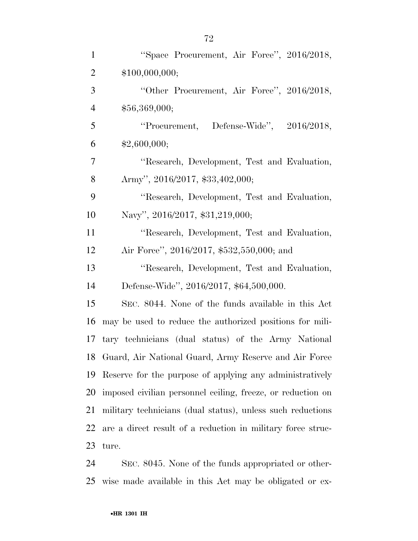| $\mathbf{1}$   | "Space Procurement, Air Force", 2016/2018,                  |
|----------------|-------------------------------------------------------------|
| $\overline{2}$ | \$100,000,000;                                              |
|                |                                                             |
| 3              | "Other Procurement, Air Force", 2016/2018,                  |
| $\overline{4}$ | \$56,369,000;                                               |
| 5              | "Procurement, Defense-Wide", 2016/2018,                     |
| 6              | \$2,600,000;                                                |
| $\overline{7}$ | "Research, Development, Test and Evaluation,                |
| 8              | Army", 2016/2017, \$33,402,000;                             |
| 9              | "Research, Development, Test and Evaluation,                |
| 10             | Navy", 2016/2017, \$31,219,000;                             |
| 11             | "Research, Development, Test and Evaluation,                |
| 12             | Air Force", 2016/2017, \$532,550,000; and                   |
| 13             | "Research, Development, Test and Evaluation,                |
| 14             | Defense-Wide", 2016/2017, \$64,500,000.                     |
| 15             | SEC. 8044. None of the funds available in this Act          |
| 16             | may be used to reduce the authorized positions for mili-    |
| 17             | tary technicians (dual status) of the Army National         |
| 18             | Guard, Air National Guard, Army Reserve and Air Force       |
| 19             | Reserve for the purpose of applying any administratively    |
| 20             | imposed civilian personnel ceiling, freeze, or reduction on |
| 21             | military technicians (dual status), unless such reductions  |
| 22             | are a direct result of a reduction in military force struc- |
| 23             | ture.                                                       |
|                |                                                             |

 SEC. 8045. None of the funds appropriated or other-wise made available in this Act may be obligated or ex-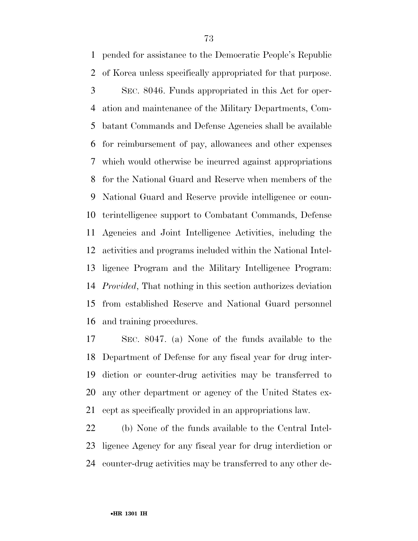pended for assistance to the Democratic People's Republic of Korea unless specifically appropriated for that purpose. SEC. 8046. Funds appropriated in this Act for oper- ation and maintenance of the Military Departments, Com- batant Commands and Defense Agencies shall be available for reimbursement of pay, allowances and other expenses which would otherwise be incurred against appropriations for the National Guard and Reserve when members of the National Guard and Reserve provide intelligence or coun- terintelligence support to Combatant Commands, Defense Agencies and Joint Intelligence Activities, including the activities and programs included within the National Intel- ligence Program and the Military Intelligence Program: *Provided*, That nothing in this section authorizes deviation from established Reserve and National Guard personnel and training procedures.

 SEC. 8047. (a) None of the funds available to the Department of Defense for any fiscal year for drug inter- diction or counter-drug activities may be transferred to any other department or agency of the United States ex-cept as specifically provided in an appropriations law.

 (b) None of the funds available to the Central Intel- ligence Agency for any fiscal year for drug interdiction or counter-drug activities may be transferred to any other de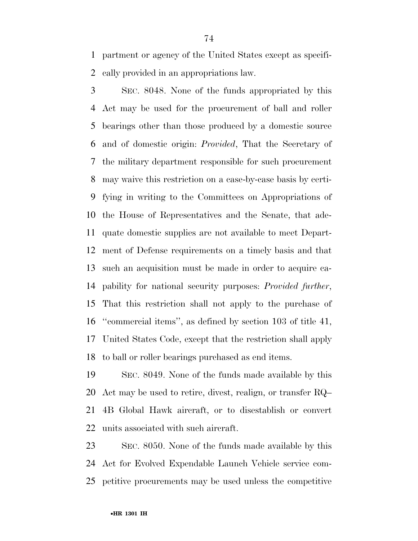partment or agency of the United States except as specifi-cally provided in an appropriations law.

 SEC. 8048. None of the funds appropriated by this Act may be used for the procurement of ball and roller bearings other than those produced by a domestic source and of domestic origin: *Provided*, That the Secretary of the military department responsible for such procurement may waive this restriction on a case-by-case basis by certi- fying in writing to the Committees on Appropriations of the House of Representatives and the Senate, that ade- quate domestic supplies are not available to meet Depart- ment of Defense requirements on a timely basis and that such an acquisition must be made in order to acquire ca- pability for national security purposes: *Provided further*, That this restriction shall not apply to the purchase of ''commercial items'', as defined by section 103 of title 41, United States Code, except that the restriction shall apply to ball or roller bearings purchased as end items.

 SEC. 8049. None of the funds made available by this Act may be used to retire, divest, realign, or transfer RQ– 4B Global Hawk aircraft, or to disestablish or convert units associated with such aircraft.

 SEC. 8050. None of the funds made available by this Act for Evolved Expendable Launch Vehicle service com-petitive procurements may be used unless the competitive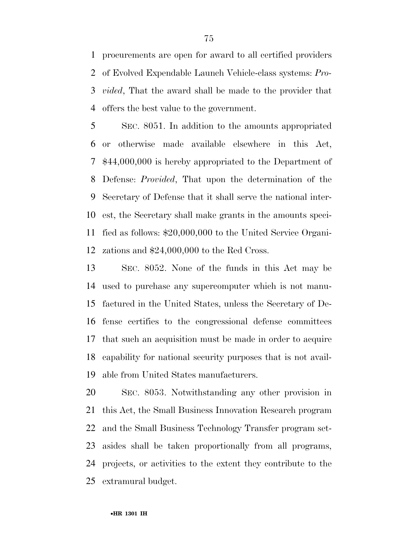procurements are open for award to all certified providers of Evolved Expendable Launch Vehicle-class systems: *Pro- vided*, That the award shall be made to the provider that offers the best value to the government.

 SEC. 8051. In addition to the amounts appropriated or otherwise made available elsewhere in this Act, \$44,000,000 is hereby appropriated to the Department of Defense: *Provided*, That upon the determination of the Secretary of Defense that it shall serve the national inter- est, the Secretary shall make grants in the amounts speci- fied as follows: \$20,000,000 to the United Service Organi-zations and \$24,000,000 to the Red Cross.

 SEC. 8052. None of the funds in this Act may be used to purchase any supercomputer which is not manu- factured in the United States, unless the Secretary of De- fense certifies to the congressional defense committees that such an acquisition must be made in order to acquire capability for national security purposes that is not avail-able from United States manufacturers.

 SEC. 8053. Notwithstanding any other provision in this Act, the Small Business Innovation Research program and the Small Business Technology Transfer program set- asides shall be taken proportionally from all programs, projects, or activities to the extent they contribute to the extramural budget.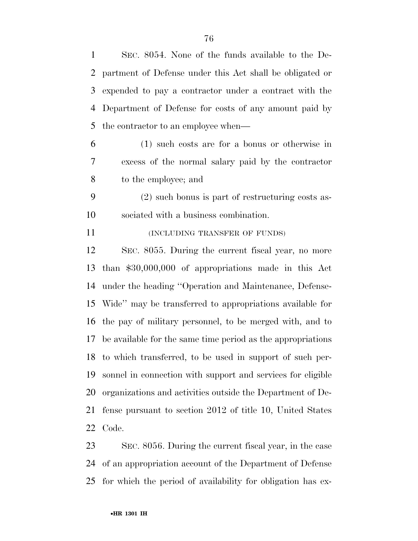SEC. 8054. None of the funds available to the De- partment of Defense under this Act shall be obligated or expended to pay a contractor under a contract with the Department of Defense for costs of any amount paid by the contractor to an employee when— (1) such costs are for a bonus or otherwise in excess of the normal salary paid by the contractor to the employee; and (2) such bonus is part of restructuring costs as- sociated with a business combination. **INCLUDING TRANSFER OF FUNDS**  SEC. 8055. During the current fiscal year, no more than \$30,000,000 of appropriations made in this Act under the heading ''Operation and Maintenance, Defense- Wide'' may be transferred to appropriations available for the pay of military personnel, to be merged with, and to be available for the same time period as the appropriations to which transferred, to be used in support of such per-

 sonnel in connection with support and services for eligible organizations and activities outside the Department of De- fense pursuant to section 2012 of title 10, United States Code.

 SEC. 8056. During the current fiscal year, in the case of an appropriation account of the Department of Defense for which the period of availability for obligation has ex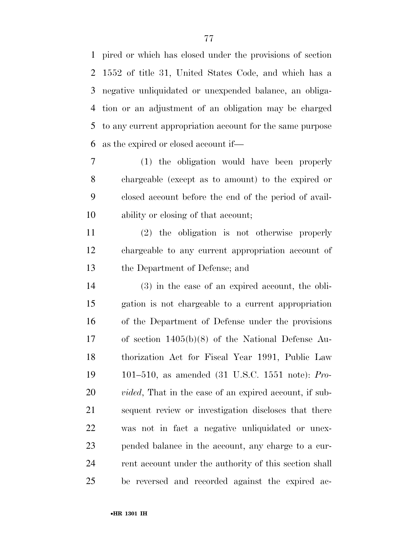pired or which has closed under the provisions of section 1552 of title 31, United States Code, and which has a negative unliquidated or unexpended balance, an obliga- tion or an adjustment of an obligation may be charged to any current appropriation account for the same purpose as the expired or closed account if—

 (1) the obligation would have been properly chargeable (except as to amount) to the expired or closed account before the end of the period of avail-ability or closing of that account;

 (2) the obligation is not otherwise properly chargeable to any current appropriation account of the Department of Defense; and

 (3) in the case of an expired account, the obli- gation is not chargeable to a current appropriation of the Department of Defense under the provisions of section 1405(b)(8) of the National Defense Au- thorization Act for Fiscal Year 1991, Public Law 101–510, as amended (31 U.S.C. 1551 note): *Pro- vided*, That in the case of an expired account, if sub- sequent review or investigation discloses that there was not in fact a negative unliquidated or unex- pended balance in the account, any charge to a cur-24 rent account under the authority of this section shall be reversed and recorded against the expired ac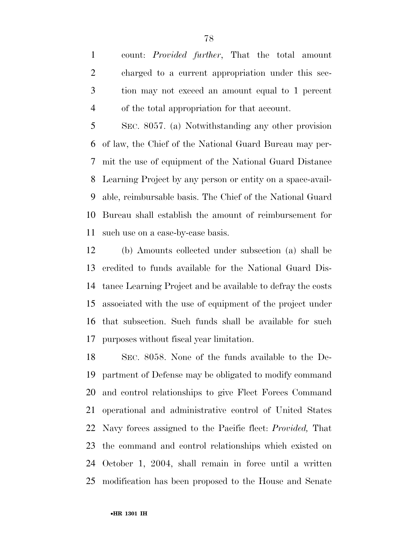count: *Provided further*, That the total amount charged to a current appropriation under this sec- tion may not exceed an amount equal to 1 percent of the total appropriation for that account.

 SEC. 8057. (a) Notwithstanding any other provision of law, the Chief of the National Guard Bureau may per- mit the use of equipment of the National Guard Distance Learning Project by any person or entity on a space-avail- able, reimbursable basis. The Chief of the National Guard Bureau shall establish the amount of reimbursement for such use on a case-by-case basis.

 (b) Amounts collected under subsection (a) shall be credited to funds available for the National Guard Dis- tance Learning Project and be available to defray the costs associated with the use of equipment of the project under that subsection. Such funds shall be available for such purposes without fiscal year limitation.

 SEC. 8058. None of the funds available to the De- partment of Defense may be obligated to modify command and control relationships to give Fleet Forces Command operational and administrative control of United States Navy forces assigned to the Pacific fleet: *Provided,* That the command and control relationships which existed on October 1, 2004, shall remain in force until a written modification has been proposed to the House and Senate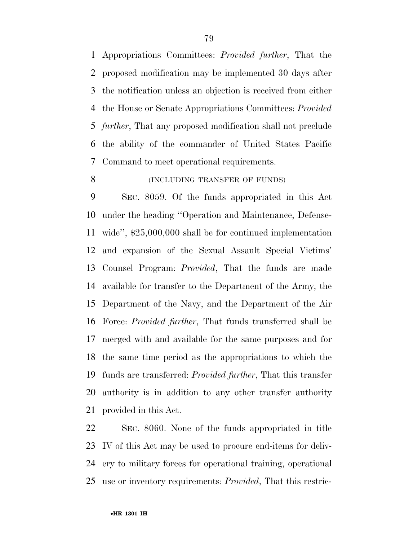Appropriations Committees: *Provided further*, That the proposed modification may be implemented 30 days after the notification unless an objection is received from either the House or Senate Appropriations Committees: *Provided further*, That any proposed modification shall not preclude the ability of the commander of United States Pacific Command to meet operational requirements.

## 8 (INCLUDING TRANSFER OF FUNDS)

 SEC. 8059. Of the funds appropriated in this Act under the heading ''Operation and Maintenance, Defense- wide'', \$25,000,000 shall be for continued implementation and expansion of the Sexual Assault Special Victims' Counsel Program: *Provided*, That the funds are made available for transfer to the Department of the Army, the Department of the Navy, and the Department of the Air Force: *Provided further*, That funds transferred shall be merged with and available for the same purposes and for the same time period as the appropriations to which the funds are transferred: *Provided further*, That this transfer authority is in addition to any other transfer authority provided in this Act.

 SEC. 8060. None of the funds appropriated in title IV of this Act may be used to procure end-items for deliv- ery to military forces for operational training, operational use or inventory requirements: *Provided*, That this restric-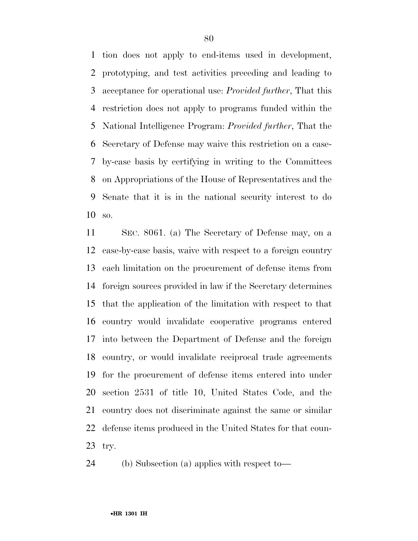tion does not apply to end-items used in development, prototyping, and test activities preceding and leading to acceptance for operational use: *Provided further*, That this restriction does not apply to programs funded within the National Intelligence Program: *Provided further*, That the Secretary of Defense may waive this restriction on a case- by-case basis by certifying in writing to the Committees on Appropriations of the House of Representatives and the Senate that it is in the national security interest to do so.

 SEC. 8061. (a) The Secretary of Defense may, on a case-by-case basis, waive with respect to a foreign country each limitation on the procurement of defense items from foreign sources provided in law if the Secretary determines that the application of the limitation with respect to that country would invalidate cooperative programs entered into between the Department of Defense and the foreign country, or would invalidate reciprocal trade agreements for the procurement of defense items entered into under section 2531 of title 10, United States Code, and the country does not discriminate against the same or similar defense items produced in the United States for that coun-try.

(b) Subsection (a) applies with respect to—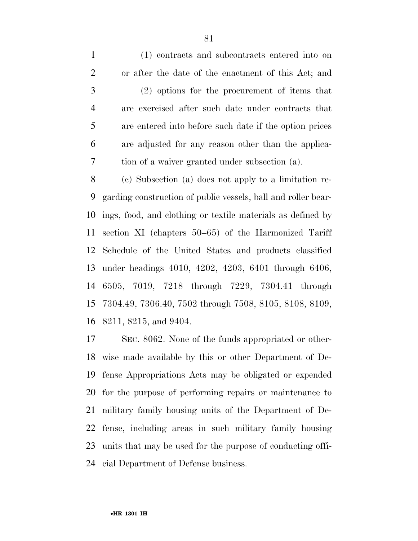(1) contracts and subcontracts entered into on or after the date of the enactment of this Act; and (2) options for the procurement of items that are exercised after such date under contracts that are entered into before such date if the option prices are adjusted for any reason other than the applica-tion of a waiver granted under subsection (a).

 (c) Subsection (a) does not apply to a limitation re- garding construction of public vessels, ball and roller bear- ings, food, and clothing or textile materials as defined by section XI (chapters 50–65) of the Harmonized Tariff Schedule of the United States and products classified under headings 4010, 4202, 4203, 6401 through 6406, 6505, 7019, 7218 through 7229, 7304.41 through 7304.49, 7306.40, 7502 through 7508, 8105, 8108, 8109, 8211, 8215, and 9404.

 SEC. 8062. None of the funds appropriated or other- wise made available by this or other Department of De- fense Appropriations Acts may be obligated or expended for the purpose of performing repairs or maintenance to military family housing units of the Department of De- fense, including areas in such military family housing units that may be used for the purpose of conducting offi-cial Department of Defense business.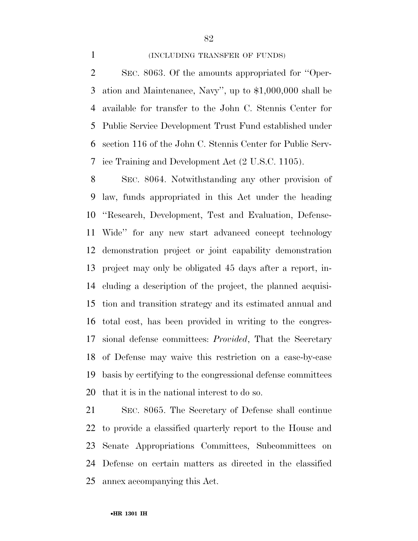### 1 (INCLUDING TRANSFER OF FUNDS)

 SEC. 8063. Of the amounts appropriated for ''Oper- ation and Maintenance, Navy'', up to \$1,000,000 shall be available for transfer to the John C. Stennis Center for Public Service Development Trust Fund established under section 116 of the John C. Stennis Center for Public Serv-ice Training and Development Act (2 U.S.C. 1105).

 SEC. 8064. Notwithstanding any other provision of law, funds appropriated in this Act under the heading ''Research, Development, Test and Evaluation, Defense- Wide'' for any new start advanced concept technology demonstration project or joint capability demonstration project may only be obligated 45 days after a report, in- cluding a description of the project, the planned acquisi- tion and transition strategy and its estimated annual and total cost, has been provided in writing to the congres- sional defense committees: *Provided*, That the Secretary of Defense may waive this restriction on a case-by-case basis by certifying to the congressional defense committees that it is in the national interest to do so.

 SEC. 8065. The Secretary of Defense shall continue to provide a classified quarterly report to the House and Senate Appropriations Committees, Subcommittees on Defense on certain matters as directed in the classified annex accompanying this Act.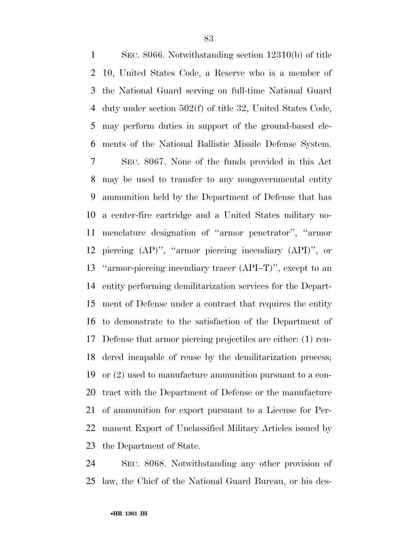SEC. 8066. Notwithstanding section 12310(b) of title 10, United States Code, a Reserve who is a member of the National Guard serving on full-time National Guard duty under section 502(f) of title 32, United States Code, may perform duties in support of the ground-based ele- ments of the National Ballistic Missile Defense System. SEC. 8067. None of the funds provided in this Act may be used to transfer to any nongovernmental entity ammunition held by the Department of Defense that has a center-fire cartridge and a United States military no- menclature designation of ''armor penetrator'', ''armor piercing (AP)'', ''armor piercing incendiary (API)'', or ''armor-piercing incendiary tracer (API–T)'', except to an entity performing demilitarization services for the Depart- ment of Defense under a contract that requires the entity to demonstrate to the satisfaction of the Department of Defense that armor piercing projectiles are either: (1) ren- dered incapable of reuse by the demilitarization process; or (2) used to manufacture ammunition pursuant to a con- tract with the Department of Defense or the manufacture of ammunition for export pursuant to a License for Per- manent Export of Unclassified Military Articles issued by the Department of State.

 SEC. 8068. Notwithstanding any other provision of law, the Chief of the National Guard Bureau, or his des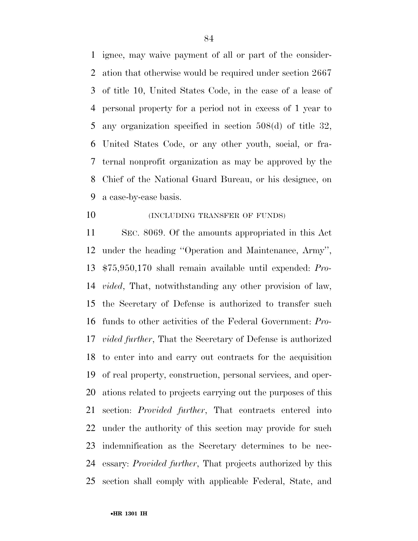ignee, may waive payment of all or part of the consider- ation that otherwise would be required under section 2667 of title 10, United States Code, in the case of a lease of personal property for a period not in excess of 1 year to any organization specified in section 508(d) of title 32, United States Code, or any other youth, social, or fra- ternal nonprofit organization as may be approved by the Chief of the National Guard Bureau, or his designee, on a case-by-case basis.

**(INCLUDING TRANSFER OF FUNDS)** 

 SEC. 8069. Of the amounts appropriated in this Act under the heading ''Operation and Maintenance, Army'', \$75,950,170 shall remain available until expended: *Pro- vided*, That, notwithstanding any other provision of law, the Secretary of Defense is authorized to transfer such funds to other activities of the Federal Government: *Pro- vided further*, That the Secretary of Defense is authorized to enter into and carry out contracts for the acquisition of real property, construction, personal services, and oper- ations related to projects carrying out the purposes of this section: *Provided further*, That contracts entered into under the authority of this section may provide for such indemnification as the Secretary determines to be nec- essary: *Provided further*, That projects authorized by this section shall comply with applicable Federal, State, and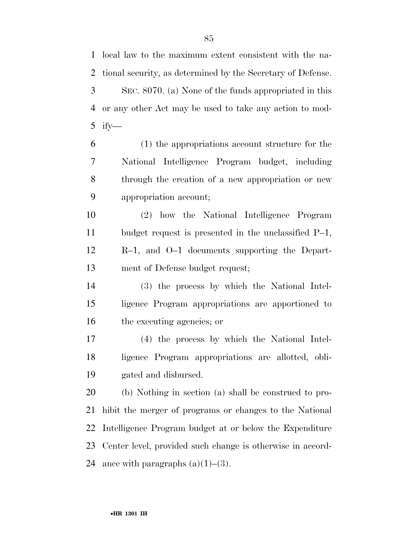local law to the maximum extent consistent with the na-

 tional security, as determined by the Secretary of Defense. SEC. 8070. (a) None of the funds appropriated in this or any other Act may be used to take any action to mod- ify— (1) the appropriations account structure for the National Intelligence Program budget, including through the creation of a new appropriation or new appropriation account; (2) how the National Intelligence Program budget request is presented in the unclassified P–1, R–1, and O–1 documents supporting the Depart- ment of Defense budget request; (3) the process by which the National Intel- ligence Program appropriations are apportioned to the executing agencies; or (4) the process by which the National Intel- ligence Program appropriations are allotted, obli- gated and disbursed. (b) Nothing in section (a) shall be construed to pro- hibit the merger of programs or changes to the National Intelligence Program budget at or below the Expenditure Center level, provided such change is otherwise in accord-24 ance with paragraphs  $(a)(1)$ – $(3)$ .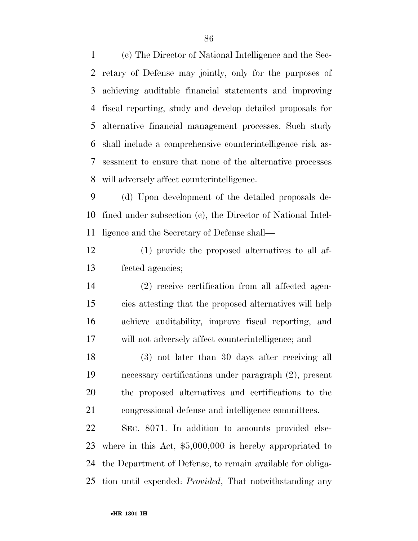(c) The Director of National Intelligence and the Sec- retary of Defense may jointly, only for the purposes of achieving auditable financial statements and improving fiscal reporting, study and develop detailed proposals for alternative financial management processes. Such study shall include a comprehensive counterintelligence risk as- sessment to ensure that none of the alternative processes will adversely affect counterintelligence.

 (d) Upon development of the detailed proposals de- fined under subsection (c), the Director of National Intel-ligence and the Secretary of Defense shall—

 (1) provide the proposed alternatives to all af-fected agencies;

 (2) receive certification from all affected agen- cies attesting that the proposed alternatives will help achieve auditability, improve fiscal reporting, and will not adversely affect counterintelligence; and

 (3) not later than 30 days after receiving all necessary certifications under paragraph (2), present the proposed alternatives and certifications to the congressional defense and intelligence committees.

 SEC. 8071. In addition to amounts provided else- where in this Act, \$5,000,000 is hereby appropriated to the Department of Defense, to remain available for obliga-tion until expended: *Provided*, That notwithstanding any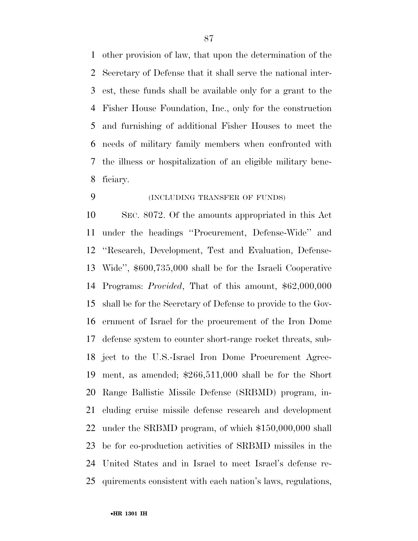other provision of law, that upon the determination of the Secretary of Defense that it shall serve the national inter- est, these funds shall be available only for a grant to the Fisher House Foundation, Inc., only for the construction and furnishing of additional Fisher Houses to meet the needs of military family members when confronted with the illness or hospitalization of an eligible military bene-ficiary.

(INCLUDING TRANSFER OF FUNDS)

 SEC. 8072. Of the amounts appropriated in this Act under the headings ''Procurement, Defense-Wide'' and ''Research, Development, Test and Evaluation, Defense- Wide'', \$600,735,000 shall be for the Israeli Cooperative Programs: *Provided*, That of this amount, \$62,000,000 shall be for the Secretary of Defense to provide to the Gov- ernment of Israel for the procurement of the Iron Dome defense system to counter short-range rocket threats, sub- ject to the U.S.-Israel Iron Dome Procurement Agree- ment, as amended; \$266,511,000 shall be for the Short Range Ballistic Missile Defense (SRBMD) program, in- cluding cruise missile defense research and development under the SRBMD program, of which \$150,000,000 shall be for co-production activities of SRBMD missiles in the United States and in Israel to meet Israel's defense re-quirements consistent with each nation's laws, regulations,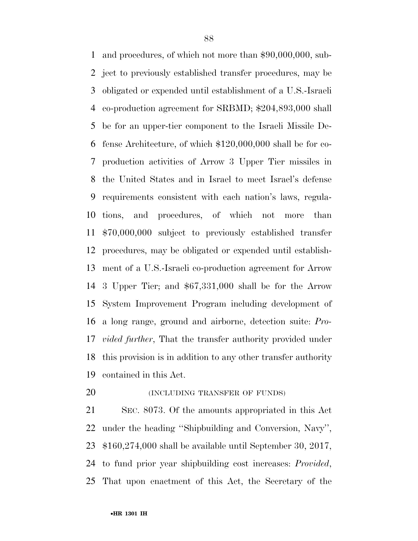and procedures, of which not more than \$90,000,000, sub- ject to previously established transfer procedures, may be obligated or expended until establishment of a U.S.-Israeli co-production agreement for SRBMD; \$204,893,000 shall be for an upper-tier component to the Israeli Missile De- fense Architecture, of which \$120,000,000 shall be for co- production activities of Arrow 3 Upper Tier missiles in the United States and in Israel to meet Israel's defense requirements consistent with each nation's laws, regula- tions, and procedures, of which not more than \$70,000,000 subject to previously established transfer procedures, may be obligated or expended until establish- ment of a U.S.-Israeli co-production agreement for Arrow 3 Upper Tier; and \$67,331,000 shall be for the Arrow System Improvement Program including development of a long range, ground and airborne, detection suite: *Pro- vided further*, That the transfer authority provided under this provision is in addition to any other transfer authority contained in this Act.

**(INCLUDING TRANSFER OF FUNDS)** 

 SEC. 8073. Of the amounts appropriated in this Act under the heading ''Shipbuilding and Conversion, Navy'', \$160,274,000 shall be available until September 30, 2017, to fund prior year shipbuilding cost increases: *Provided*, That upon enactment of this Act, the Secretary of the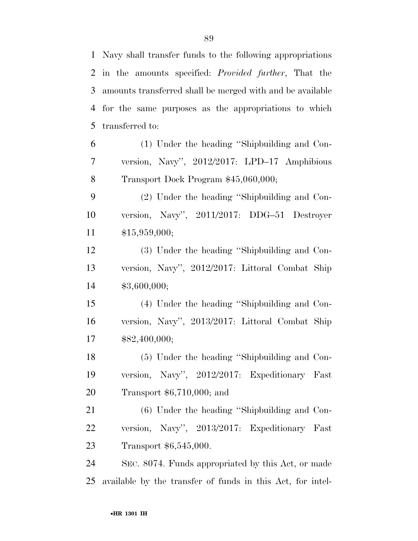| 2              | in the amounts specified: <i>Provided further</i> , That the |
|----------------|--------------------------------------------------------------|
| 3              | amounts transferred shall be merged with and be available    |
| $\overline{4}$ | for the same purposes as the appropriations to which         |
| 5              | transferred to:                                              |
| 6              | (1) Under the heading "Shipbuilding and Con-                 |
| $\overline{7}$ | version, Navy", 2012/2017: LPD-17 Amphibious                 |
| $8\,$          | Transport Dock Program \$45,060,000;                         |
| 9              | (2) Under the heading "Shipbuilding and Con-                 |
| 10             | version, Navy", 2011/2017: DDG-51 Destroyer                  |
| 11             | \$15,959,000;                                                |
| 12             | (3) Under the heading "Shipbuilding and Con-                 |
| 13             | version, Navy", 2012/2017: Littoral Combat Ship              |
| 14             | \$3,600,000;                                                 |
| 15             | (4) Under the heading "Shipbuilding and Con-                 |
| 16             | version, Navy", 2013/2017: Littoral Combat Ship              |
| 17             | \$82,400,000;                                                |
| 18             | (5) Under the heading "Shipbuilding and Con-                 |
| 19             | version, Navy", 2012/2017: Expeditionary Fast                |
| 20             | Transport $$6,710,000;$ and                                  |

 (6) Under the heading ''Shipbuilding and Con- version, Navy'', 2013/2017: Expeditionary Fast Transport \$6,545,000.

 SEC. 8074. Funds appropriated by this Act, or made available by the transfer of funds in this Act, for intel-

Navy shall transfer funds to the following appropriations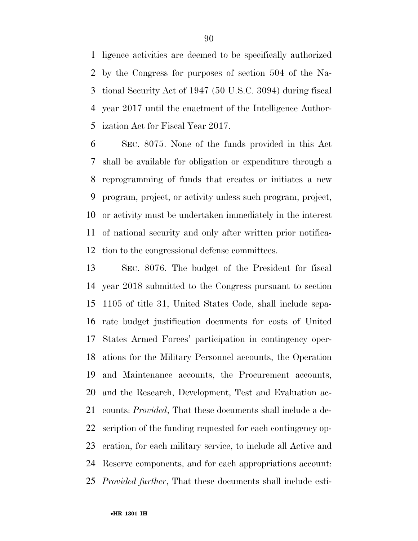ligence activities are deemed to be specifically authorized by the Congress for purposes of section 504 of the Na- tional Security Act of 1947 (50 U.S.C. 3094) during fiscal year 2017 until the enactment of the Intelligence Author-ization Act for Fiscal Year 2017.

 SEC. 8075. None of the funds provided in this Act shall be available for obligation or expenditure through a reprogramming of funds that creates or initiates a new program, project, or activity unless such program, project, or activity must be undertaken immediately in the interest of national security and only after written prior notifica-tion to the congressional defense committees.

 SEC. 8076. The budget of the President for fiscal year 2018 submitted to the Congress pursuant to section 1105 of title 31, United States Code, shall include sepa- rate budget justification documents for costs of United States Armed Forces' participation in contingency oper- ations for the Military Personnel accounts, the Operation and Maintenance accounts, the Procurement accounts, and the Research, Development, Test and Evaluation ac- counts: *Provided*, That these documents shall include a de- scription of the funding requested for each contingency op- eration, for each military service, to include all Active and Reserve components, and for each appropriations account: *Provided further*, That these documents shall include esti-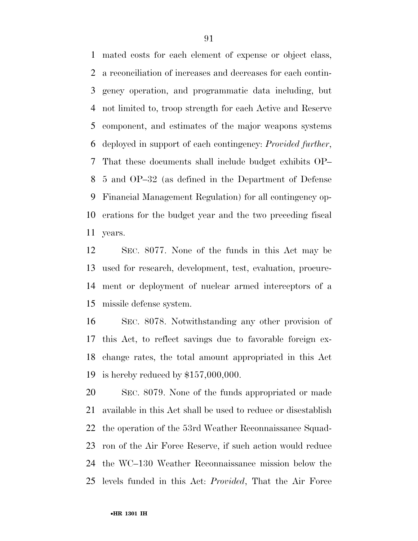mated costs for each element of expense or object class, a reconciliation of increases and decreases for each contin- gency operation, and programmatic data including, but not limited to, troop strength for each Active and Reserve component, and estimates of the major weapons systems deployed in support of each contingency: *Provided further*, That these documents shall include budget exhibits OP– 5 and OP–32 (as defined in the Department of Defense Financial Management Regulation) for all contingency op- erations for the budget year and the two preceding fiscal years.

 SEC. 8077. None of the funds in this Act may be used for research, development, test, evaluation, procure- ment or deployment of nuclear armed interceptors of a missile defense system.

 SEC. 8078. Notwithstanding any other provision of this Act, to reflect savings due to favorable foreign ex- change rates, the total amount appropriated in this Act is hereby reduced by \$157,000,000.

 SEC. 8079. None of the funds appropriated or made available in this Act shall be used to reduce or disestablish the operation of the 53rd Weather Reconnaissance Squad- ron of the Air Force Reserve, if such action would reduce the WC–130 Weather Reconnaissance mission below the levels funded in this Act: *Provided*, That the Air Force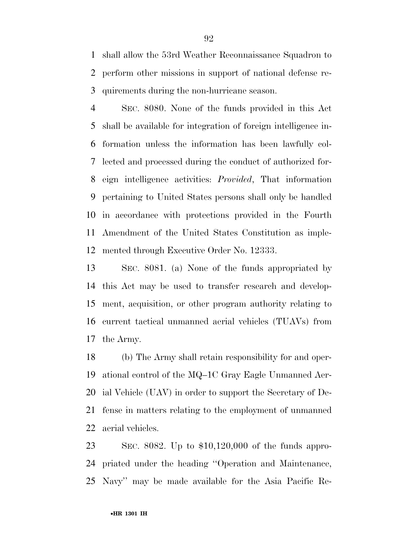shall allow the 53rd Weather Reconnaissance Squadron to perform other missions in support of national defense re-quirements during the non-hurricane season.

 SEC. 8080. None of the funds provided in this Act shall be available for integration of foreign intelligence in- formation unless the information has been lawfully col- lected and processed during the conduct of authorized for- eign intelligence activities: *Provided*, That information pertaining to United States persons shall only be handled in accordance with protections provided in the Fourth Amendment of the United States Constitution as imple-mented through Executive Order No. 12333.

 SEC. 8081. (a) None of the funds appropriated by this Act may be used to transfer research and develop- ment, acquisition, or other program authority relating to current tactical unmanned aerial vehicles (TUAVs) from the Army.

 (b) The Army shall retain responsibility for and oper- ational control of the MQ–1C Gray Eagle Unmanned Aer- ial Vehicle (UAV) in order to support the Secretary of De- fense in matters relating to the employment of unmanned aerial vehicles.

 SEC. 8082. Up to \$10,120,000 of the funds appro- priated under the heading ''Operation and Maintenance, Navy'' may be made available for the Asia Pacific Re-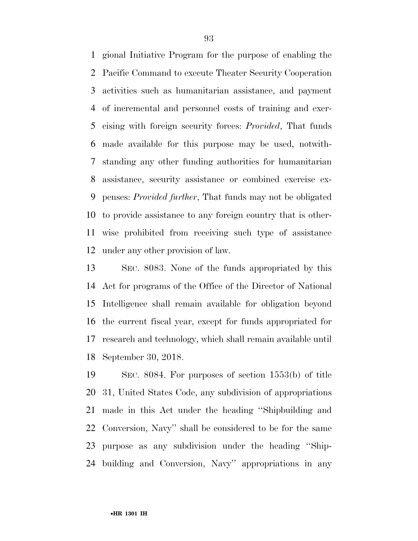gional Initiative Program for the purpose of enabling the Pacific Command to execute Theater Security Cooperation activities such as humanitarian assistance, and payment of incremental and personnel costs of training and exer- cising with foreign security forces: *Provided*, That funds made available for this purpose may be used, notwith- standing any other funding authorities for humanitarian assistance, security assistance or combined exercise ex- penses: *Provided further*, That funds may not be obligated to provide assistance to any foreign country that is other- wise prohibited from receiving such type of assistance under any other provision of law.

 SEC. 8083. None of the funds appropriated by this Act for programs of the Office of the Director of National Intelligence shall remain available for obligation beyond the current fiscal year, except for funds appropriated for research and technology, which shall remain available until September 30, 2018.

 SEC. 8084. For purposes of section 1553(b) of title 31, United States Code, any subdivision of appropriations made in this Act under the heading ''Shipbuilding and Conversion, Navy'' shall be considered to be for the same purpose as any subdivision under the heading ''Ship-building and Conversion, Navy'' appropriations in any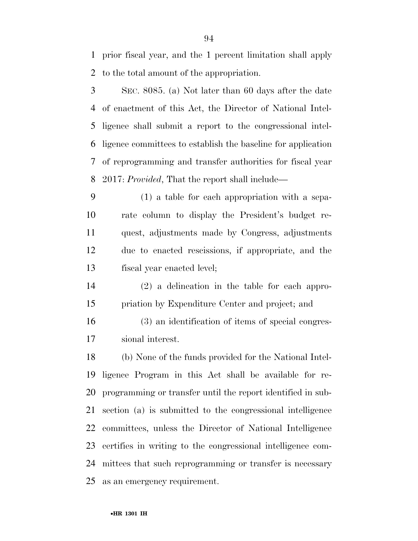prior fiscal year, and the 1 percent limitation shall apply to the total amount of the appropriation.

 SEC. 8085. (a) Not later than 60 days after the date of enactment of this Act, the Director of National Intel- ligence shall submit a report to the congressional intel- ligence committees to establish the baseline for application of reprogramming and transfer authorities for fiscal year 2017: *Provided*, That the report shall include—

 (1) a table for each appropriation with a sepa- rate column to display the President's budget re- quest, adjustments made by Congress, adjustments due to enacted rescissions, if appropriate, and the fiscal year enacted level;

 (2) a delineation in the table for each appro-priation by Expenditure Center and project; and

 (3) an identification of items of special congres-sional interest.

 (b) None of the funds provided for the National Intel- ligence Program in this Act shall be available for re- programming or transfer until the report identified in sub- section (a) is submitted to the congressional intelligence committees, unless the Director of National Intelligence certifies in writing to the congressional intelligence com- mittees that such reprogramming or transfer is necessary as an emergency requirement.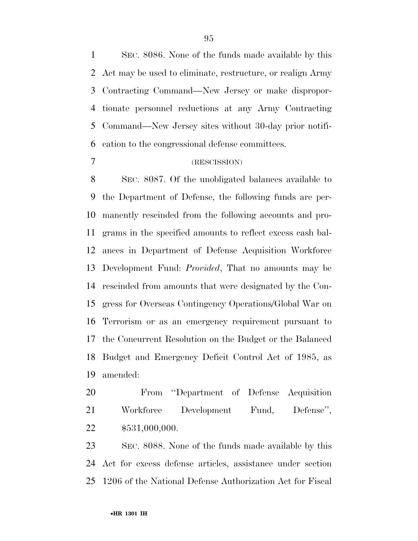SEC. 8086. None of the funds made available by this Act may be used to eliminate, restructure, or realign Army Contracting Command—New Jersey or make dispropor- tionate personnel reductions at any Army Contracting Command—New Jersey sites without 30-day prior notifi-cation to the congressional defense committees.

### (RESCISSION)

 SEC. 8087. Of the unobligated balances available to the Department of Defense, the following funds are per- manently rescinded from the following accounts and pro- grams in the specified amounts to reflect excess cash bal- ances in Department of Defense Acquisition Workforce Development Fund: *Provided*, That no amounts may be rescinded from amounts that were designated by the Con- gress for Overseas Contingency Operations/Global War on Terrorism or as an emergency requirement pursuant to the Concurrent Resolution on the Budget or the Balanced Budget and Emergency Deficit Control Act of 1985, as amended:

 From ''Department of Defense Acquisition 21 Workforce Development Fund, Defense", \$531,000,000.

 SEC. 8088. None of the funds made available by this Act for excess defense articles, assistance under section 1206 of the National Defense Authorization Act for Fiscal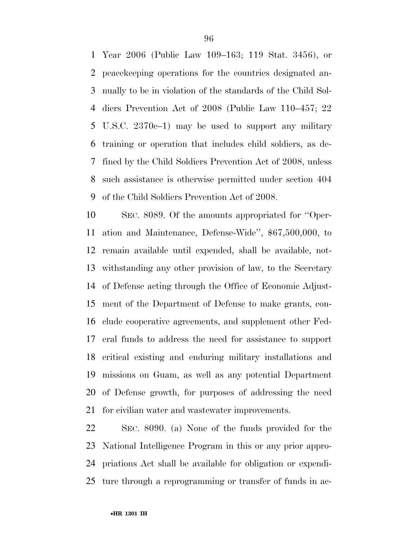Year 2006 (Public Law 109–163; 119 Stat. 3456), or peacekeeping operations for the countries designated an- nually to be in violation of the standards of the Child Sol- diers Prevention Act of 2008 (Public Law 110–457; 22 U.S.C. 2370c–1) may be used to support any military training or operation that includes child soldiers, as de- fined by the Child Soldiers Prevention Act of 2008, unless such assistance is otherwise permitted under section 404 of the Child Soldiers Prevention Act of 2008.

 SEC. 8089. Of the amounts appropriated for ''Oper- ation and Maintenance, Defense-Wide'', \$67,500,000, to remain available until expended, shall be available, not- withstanding any other provision of law, to the Secretary of Defense acting through the Office of Economic Adjust- ment of the Department of Defense to make grants, con- clude cooperative agreements, and supplement other Fed- eral funds to address the need for assistance to support critical existing and enduring military installations and missions on Guam, as well as any potential Department of Defense growth, for purposes of addressing the need for civilian water and wastewater improvements.

 SEC. 8090. (a) None of the funds provided for the National Intelligence Program in this or any prior appro- priations Act shall be available for obligation or expendi-ture through a reprogramming or transfer of funds in ac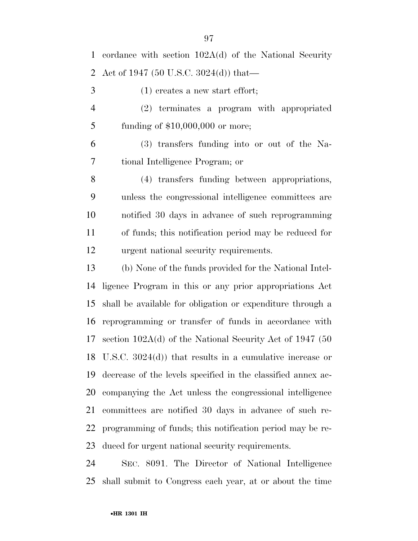(1) creates a new start effort;

 (2) terminates a program with appropriated funding of \$10,000,000 or more;

 (3) transfers funding into or out of the Na-tional Intelligence Program; or

 (4) transfers funding between appropriations, unless the congressional intelligence committees are notified 30 days in advance of such reprogramming of funds; this notification period may be reduced for urgent national security requirements.

 (b) None of the funds provided for the National Intel- ligence Program in this or any prior appropriations Act shall be available for obligation or expenditure through a reprogramming or transfer of funds in accordance with section 102A(d) of the National Security Act of 1947 (50 U.S.C. 3024(d)) that results in a cumulative increase or decrease of the levels specified in the classified annex ac- companying the Act unless the congressional intelligence committees are notified 30 days in advance of such re- programming of funds; this notification period may be re-duced for urgent national security requirements.

 SEC. 8091. The Director of National Intelligence shall submit to Congress each year, at or about the time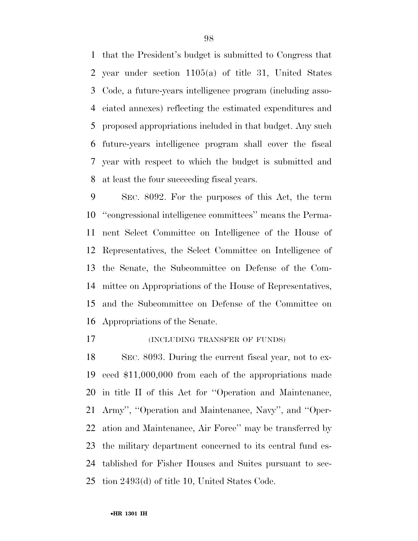that the President's budget is submitted to Congress that year under section 1105(a) of title 31, United States Code, a future-years intelligence program (including asso- ciated annexes) reflecting the estimated expenditures and proposed appropriations included in that budget. Any such future-years intelligence program shall cover the fiscal year with respect to which the budget is submitted and at least the four succeeding fiscal years.

 SEC. 8092. For the purposes of this Act, the term ''congressional intelligence committees'' means the Perma- nent Select Committee on Intelligence of the House of Representatives, the Select Committee on Intelligence of the Senate, the Subcommittee on Defense of the Com- mittee on Appropriations of the House of Representatives, and the Subcommittee on Defense of the Committee on Appropriations of the Senate.

(INCLUDING TRANSFER OF FUNDS)

 SEC. 8093. During the current fiscal year, not to ex- ceed \$11,000,000 from each of the appropriations made in title II of this Act for ''Operation and Maintenance, Army'', ''Operation and Maintenance, Navy'', and ''Oper- ation and Maintenance, Air Force'' may be transferred by the military department concerned to its central fund es- tablished for Fisher Houses and Suites pursuant to sec-tion 2493(d) of title 10, United States Code.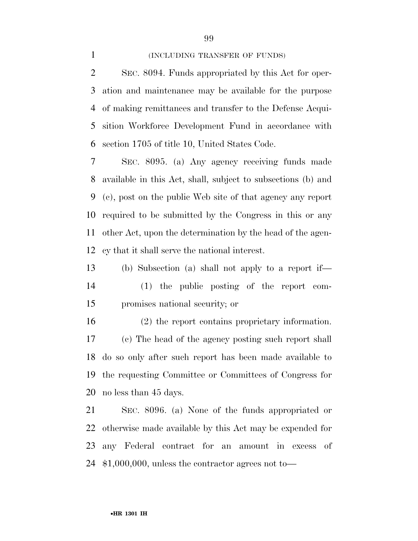#### 1 (INCLUDING TRANSFER OF FUNDS)

 SEC. 8094. Funds appropriated by this Act for oper- ation and maintenance may be available for the purpose of making remittances and transfer to the Defense Acqui- sition Workforce Development Fund in accordance with section 1705 of title 10, United States Code.

 SEC. 8095. (a) Any agency receiving funds made available in this Act, shall, subject to subsections (b) and (c), post on the public Web site of that agency any report required to be submitted by the Congress in this or any other Act, upon the determination by the head of the agen-cy that it shall serve the national interest.

 (b) Subsection (a) shall not apply to a report if— (1) the public posting of the report com-promises national security; or

 (2) the report contains proprietary information. (c) The head of the agency posting such report shall do so only after such report has been made available to the requesting Committee or Committees of Congress for no less than 45 days.

 SEC. 8096. (a) None of the funds appropriated or otherwise made available by this Act may be expended for any Federal contract for an amount in excess of \$1,000,000, unless the contractor agrees not to—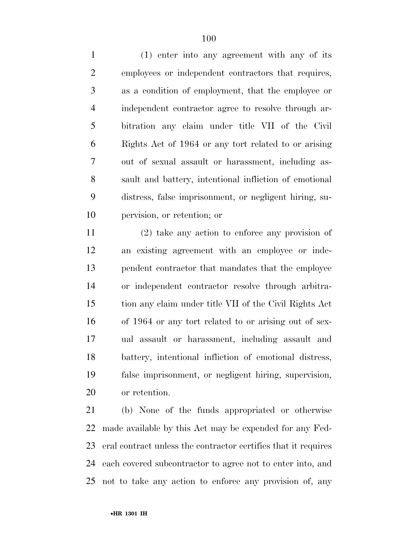(1) enter into any agreement with any of its employees or independent contractors that requires, as a condition of employment, that the employee or independent contractor agree to resolve through ar- bitration any claim under title VII of the Civil Rights Act of 1964 or any tort related to or arising out of sexual assault or harassment, including as- sault and battery, intentional infliction of emotional distress, false imprisonment, or negligent hiring, su-pervision, or retention; or

 (2) take any action to enforce any provision of an existing agreement with an employee or inde- pendent contractor that mandates that the employee or independent contractor resolve through arbitra- tion any claim under title VII of the Civil Rights Act of 1964 or any tort related to or arising out of sex- ual assault or harassment, including assault and battery, intentional infliction of emotional distress, false imprisonment, or negligent hiring, supervision, or retention.

 (b) None of the funds appropriated or otherwise made available by this Act may be expended for any Fed- eral contract unless the contractor certifies that it requires each covered subcontractor to agree not to enter into, and not to take any action to enforce any provision of, any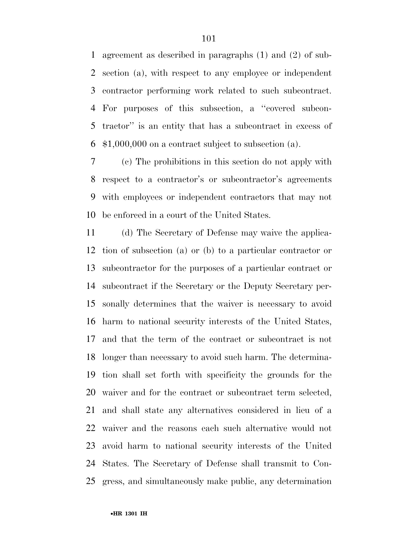agreement as described in paragraphs (1) and (2) of sub- section (a), with respect to any employee or independent contractor performing work related to such subcontract. For purposes of this subsection, a ''covered subcon- tractor'' is an entity that has a subcontract in excess of \$1,000,000 on a contract subject to subsection (a).

 (c) The prohibitions in this section do not apply with respect to a contractor's or subcontractor's agreements with employees or independent contractors that may not be enforced in a court of the United States.

 (d) The Secretary of Defense may waive the applica- tion of subsection (a) or (b) to a particular contractor or subcontractor for the purposes of a particular contract or subcontract if the Secretary or the Deputy Secretary per- sonally determines that the waiver is necessary to avoid harm to national security interests of the United States, and that the term of the contract or subcontract is not longer than necessary to avoid such harm. The determina- tion shall set forth with specificity the grounds for the waiver and for the contract or subcontract term selected, and shall state any alternatives considered in lieu of a waiver and the reasons each such alternative would not avoid harm to national security interests of the United States. The Secretary of Defense shall transmit to Con-gress, and simultaneously make public, any determination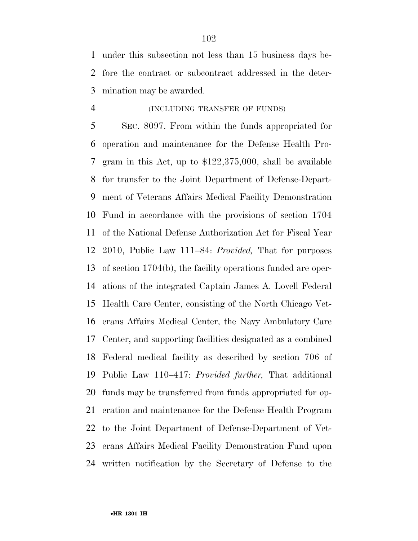under this subsection not less than 15 business days be- fore the contract or subcontract addressed in the deter-mination may be awarded.

# (INCLUDING TRANSFER OF FUNDS)

 SEC. 8097. From within the funds appropriated for operation and maintenance for the Defense Health Pro- gram in this Act, up to \$122,375,000, shall be available for transfer to the Joint Department of Defense-Depart- ment of Veterans Affairs Medical Facility Demonstration Fund in accordance with the provisions of section 1704 of the National Defense Authorization Act for Fiscal Year 2010, Public Law 111–84: *Provided,* That for purposes of section 1704(b), the facility operations funded are oper- ations of the integrated Captain James A. Lovell Federal Health Care Center, consisting of the North Chicago Vet- erans Affairs Medical Center, the Navy Ambulatory Care Center, and supporting facilities designated as a combined Federal medical facility as described by section 706 of Public Law 110–417: *Provided further,* That additional funds may be transferred from funds appropriated for op- eration and maintenance for the Defense Health Program to the Joint Department of Defense-Department of Vet- erans Affairs Medical Facility Demonstration Fund upon written notification by the Secretary of Defense to the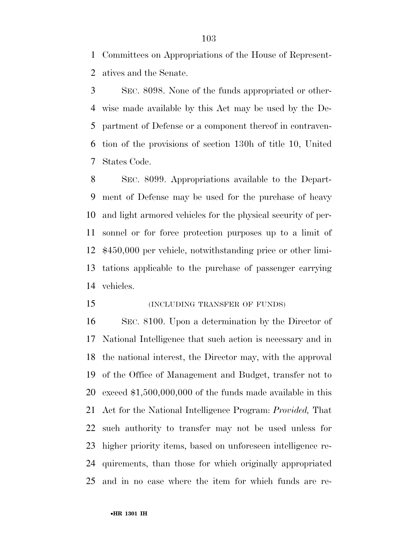Committees on Appropriations of the House of Represent-atives and the Senate.

 SEC. 8098. None of the funds appropriated or other- wise made available by this Act may be used by the De- partment of Defense or a component thereof in contraven- tion of the provisions of section 130h of title 10, United States Code.

 SEC. 8099. Appropriations available to the Depart- ment of Defense may be used for the purchase of heavy and light armored vehicles for the physical security of per- sonnel or for force protection purposes up to a limit of \$450,000 per vehicle, notwithstanding price or other limi- tations applicable to the purchase of passenger carrying vehicles.

15 (INCLUDING TRANSFER OF FUNDS)

 SEC. 8100. Upon a determination by the Director of National Intelligence that such action is necessary and in the national interest, the Director may, with the approval of the Office of Management and Budget, transfer not to exceed \$1,500,000,000 of the funds made available in this Act for the National Intelligence Program: *Provided,* That such authority to transfer may not be used unless for higher priority items, based on unforeseen intelligence re- quirements, than those for which originally appropriated and in no case where the item for which funds are re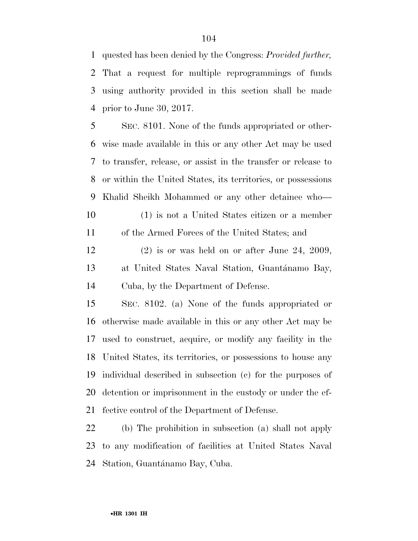quested has been denied by the Congress: *Provided further,*  That a request for multiple reprogrammings of funds using authority provided in this section shall be made prior to June 30, 2017.

 SEC. 8101. None of the funds appropriated or other- wise made available in this or any other Act may be used to transfer, release, or assist in the transfer or release to or within the United States, its territories, or possessions Khalid Sheikh Mohammed or any other detainee who— (1) is not a United States citizen or a member

of the Armed Forces of the United States; and

 (2) is or was held on or after June 24, 2009, 13 at United States Naval Station, Guantánamo Bay, Cuba, by the Department of Defense.

 SEC. 8102. (a) None of the funds appropriated or otherwise made available in this or any other Act may be used to construct, acquire, or modify any facility in the United States, its territories, or possessions to house any individual described in subsection (c) for the purposes of detention or imprisonment in the custody or under the ef-fective control of the Department of Defense.

 (b) The prohibition in subsection (a) shall not apply to any modification of facilities at United States Naval 24 Station, Guantánamo Bay, Cuba.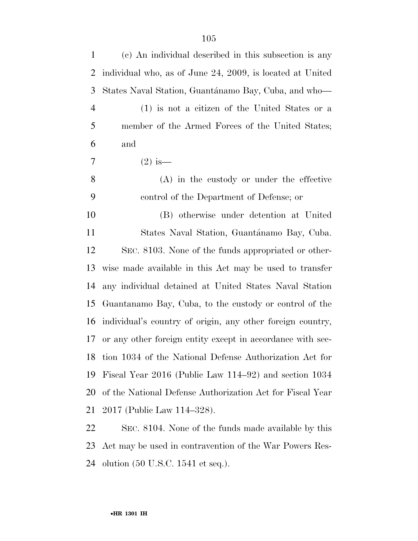| $\mathbf{1}$   | (c) An individual described in this subsection is any      |
|----------------|------------------------------------------------------------|
| 2              | individual who, as of June 24, 2009, is located at United  |
| 3              | States Naval Station, Guantánamo Bay, Cuba, and who—       |
| $\overline{4}$ | (1) is not a citizen of the United States or a             |
| 5              | member of the Armed Forces of the United States;           |
| 6              | and                                                        |
| 7              | $(2)$ is —                                                 |
| 8              | $(A)$ in the custody or under the effective                |
| 9              | control of the Department of Defense; or                   |
| 10             | (B) otherwise under detention at United                    |
| 11             | States Naval Station, Guantánamo Bay, Cuba.                |
| 12             | SEC. 8103. None of the funds appropriated or other-        |
| 13             | wise made available in this Act may be used to transfer    |
| 14             | any individual detained at United States Naval Station     |
| 15             | Guantanamo Bay, Cuba, to the custody or control of the     |
| 16             | individual's country of origin, any other foreign country, |
| 17             | or any other foreign entity except in accordance with sec- |
| 18             | tion 1034 of the National Defense Authorization Act for    |
| 19             | Fiscal Year 2016 (Public Law 114–92) and section 1034      |
| 20             | of the National Defense Authorization Act for Fiscal Year  |
| 21             | 2017 (Public Law 114–328).                                 |
| 22             | SEC. 8104. None of the funds made available by this        |

 Act may be used in contravention of the War Powers Res- $24\;$  olution (50 U.S.C. 1541 et seq.).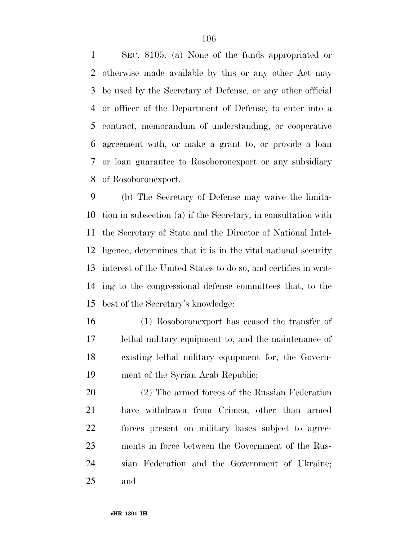SEC. 8105. (a) None of the funds appropriated or otherwise made available by this or any other Act may be used by the Secretary of Defense, or any other official or officer of the Department of Defense, to enter into a contract, memorandum of understanding, or cooperative agreement with, or make a grant to, or provide a loan or loan guarantee to Rosoboronexport or any subsidiary of Rosoboronexport.

 (b) The Secretary of Defense may waive the limita- tion in subsection (a) if the Secretary, in consultation with the Secretary of State and the Director of National Intel- ligence, determines that it is in the vital national security interest of the United States to do so, and certifies in writ- ing to the congressional defense committees that, to the best of the Secretary's knowledge:

 (1) Rosoboronexport has ceased the transfer of lethal military equipment to, and the maintenance of existing lethal military equipment for, the Govern-ment of the Syrian Arab Republic;

 (2) The armed forces of the Russian Federation have withdrawn from Crimea, other than armed forces present on military bases subject to agree- ments in force between the Government of the Rus- sian Federation and the Government of Ukraine; and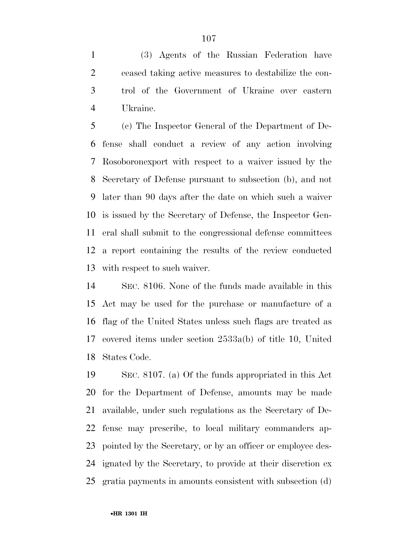(3) Agents of the Russian Federation have ceased taking active measures to destabilize the con- trol of the Government of Ukraine over eastern Ukraine.

 (c) The Inspector General of the Department of De- fense shall conduct a review of any action involving Rosoboronexport with respect to a waiver issued by the Secretary of Defense pursuant to subsection (b), and not later than 90 days after the date on which such a waiver is issued by the Secretary of Defense, the Inspector Gen- eral shall submit to the congressional defense committees a report containing the results of the review conducted with respect to such waiver.

 SEC. 8106. None of the funds made available in this Act may be used for the purchase or manufacture of a flag of the United States unless such flags are treated as covered items under section 2533a(b) of title 10, United States Code.

 SEC. 8107. (a) Of the funds appropriated in this Act for the Department of Defense, amounts may be made available, under such regulations as the Secretary of De- fense may prescribe, to local military commanders ap- pointed by the Secretary, or by an officer or employee des- ignated by the Secretary, to provide at their discretion ex gratia payments in amounts consistent with subsection (d)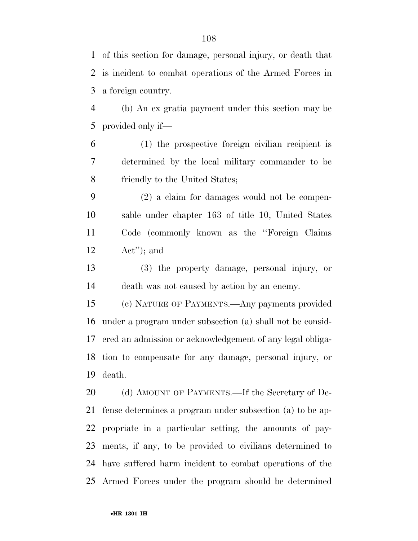of this section for damage, personal injury, or death that is incident to combat operations of the Armed Forces in a foreign country.

 (b) An ex gratia payment under this section may be provided only if—

 (1) the prospective foreign civilian recipient is determined by the local military commander to be friendly to the United States;

 (2) a claim for damages would not be compen- sable under chapter 163 of title 10, United States Code (commonly known as the ''Foreign Claims Act''); and

 (3) the property damage, personal injury, or death was not caused by action by an enemy.

 (c) NATURE OF PAYMENTS.—Any payments provided under a program under subsection (a) shall not be consid- ered an admission or acknowledgement of any legal obliga- tion to compensate for any damage, personal injury, or death.

20 (d) AMOUNT OF PAYMENTS.—If the Secretary of De- fense determines a program under subsection (a) to be ap- propriate in a particular setting, the amounts of pay- ments, if any, to be provided to civilians determined to have suffered harm incident to combat operations of the Armed Forces under the program should be determined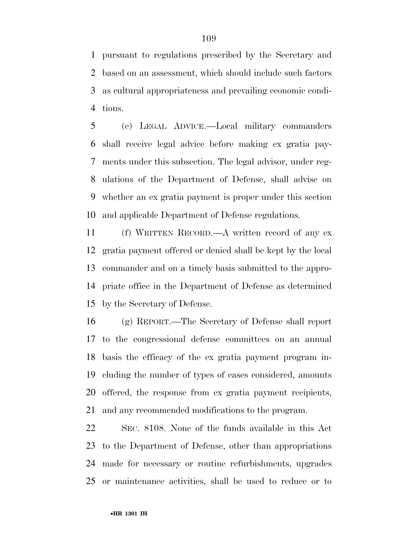pursuant to regulations prescribed by the Secretary and based on an assessment, which should include such factors as cultural appropriateness and prevailing economic condi-tions.

 (e) LEGAL ADVICE.—Local military commanders shall receive legal advice before making ex gratia pay- ments under this subsection. The legal advisor, under reg- ulations of the Department of Defense, shall advise on whether an ex gratia payment is proper under this section and applicable Department of Defense regulations.

 (f) WRITTEN RECORD.—A written record of any ex gratia payment offered or denied shall be kept by the local commander and on a timely basis submitted to the appro- priate office in the Department of Defense as determined by the Secretary of Defense.

 (g) REPORT.—The Secretary of Defense shall report to the congressional defense committees on an annual basis the efficacy of the ex gratia payment program in- cluding the number of types of cases considered, amounts offered, the response from ex gratia payment recipients, and any recommended modifications to the program.

 SEC. 8108. None of the funds available in this Act to the Department of Defense, other than appropriations made for necessary or routine refurbishments, upgrades or maintenance activities, shall be used to reduce or to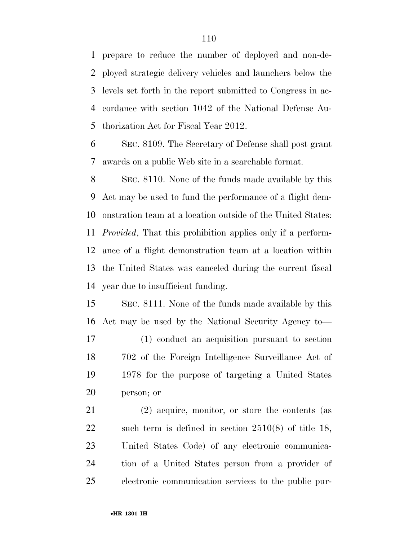prepare to reduce the number of deployed and non-de- ployed strategic delivery vehicles and launchers below the levels set forth in the report submitted to Congress in ac- cordance with section 1042 of the National Defense Au-thorization Act for Fiscal Year 2012.

 SEC. 8109. The Secretary of Defense shall post grant awards on a public Web site in a searchable format.

 SEC. 8110. None of the funds made available by this Act may be used to fund the performance of a flight dem- onstration team at a location outside of the United States: *Provided*, That this prohibition applies only if a perform- ance of a flight demonstration team at a location within the United States was canceled during the current fiscal year due to insufficient funding.

 SEC. 8111. None of the funds made available by this Act may be used by the National Security Agency to—

 (1) conduct an acquisition pursuant to section 702 of the Foreign Intelligence Surveillance Act of 1978 for the purpose of targeting a United States person; or

 (2) acquire, monitor, or store the contents (as such term is defined in section 2510(8) of title 18, United States Code) of any electronic communica- tion of a United States person from a provider of electronic communication services to the public pur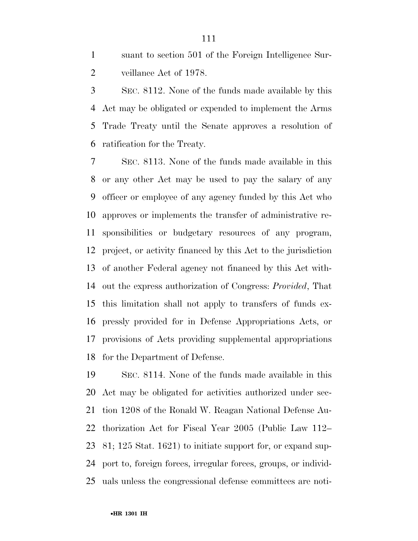suant to section 501 of the Foreign Intelligence Sur-veillance Act of 1978.

 SEC. 8112. None of the funds made available by this Act may be obligated or expended to implement the Arms Trade Treaty until the Senate approves a resolution of ratification for the Treaty.

 SEC. 8113. None of the funds made available in this or any other Act may be used to pay the salary of any officer or employee of any agency funded by this Act who approves or implements the transfer of administrative re- sponsibilities or budgetary resources of any program, project, or activity financed by this Act to the jurisdiction of another Federal agency not financed by this Act with- out the express authorization of Congress: *Provided*, That this limitation shall not apply to transfers of funds ex- pressly provided for in Defense Appropriations Acts, or provisions of Acts providing supplemental appropriations for the Department of Defense.

 SEC. 8114. None of the funds made available in this Act may be obligated for activities authorized under sec- tion 1208 of the Ronald W. Reagan National Defense Au- thorization Act for Fiscal Year 2005 (Public Law 112– 81; 125 Stat. 1621) to initiate support for, or expand sup- port to, foreign forces, irregular forces, groups, or individ-uals unless the congressional defense committees are noti-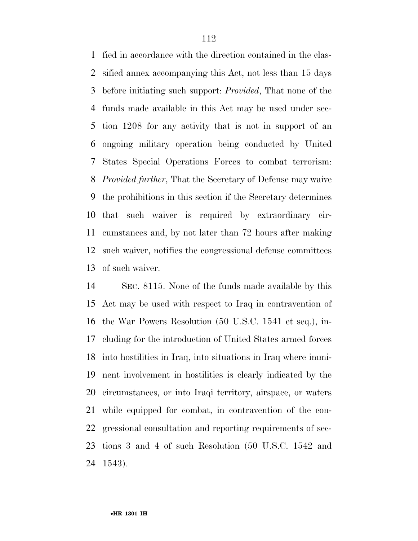fied in accordance with the direction contained in the clas- sified annex accompanying this Act, not less than 15 days before initiating such support: *Provided*, That none of the funds made available in this Act may be used under sec- tion 1208 for any activity that is not in support of an ongoing military operation being conducted by United States Special Operations Forces to combat terrorism: *Provided further*, That the Secretary of Defense may waive the prohibitions in this section if the Secretary determines that such waiver is required by extraordinary cir- cumstances and, by not later than 72 hours after making such waiver, notifies the congressional defense committees of such waiver.

 SEC. 8115. None of the funds made available by this Act may be used with respect to Iraq in contravention of the War Powers Resolution (50 U.S.C. 1541 et seq.), in- cluding for the introduction of United States armed forces into hostilities in Iraq, into situations in Iraq where immi- nent involvement in hostilities is clearly indicated by the circumstances, or into Iraqi territory, airspace, or waters while equipped for combat, in contravention of the con- gressional consultation and reporting requirements of sec- tions 3 and 4 of such Resolution (50 U.S.C. 1542 and 1543).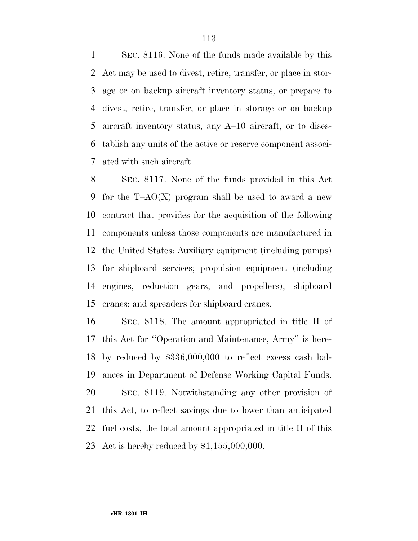SEC. 8116. None of the funds made available by this Act may be used to divest, retire, transfer, or place in stor- age or on backup aircraft inventory status, or prepare to divest, retire, transfer, or place in storage or on backup aircraft inventory status, any A–10 aircraft, or to dises- tablish any units of the active or reserve component associ-ated with such aircraft.

 SEC. 8117. None of the funds provided in this Act for the T–AO(X) program shall be used to award a new contract that provides for the acquisition of the following components unless those components are manufactured in the United States: Auxiliary equipment (including pumps) for shipboard services; propulsion equipment (including engines, reduction gears, and propellers); shipboard cranes; and spreaders for shipboard cranes.

 SEC. 8118. The amount appropriated in title II of this Act for ''Operation and Maintenance, Army'' is here- by reduced by \$336,000,000 to reflect excess cash bal- ances in Department of Defense Working Capital Funds. SEC. 8119. Notwithstanding any other provision of this Act, to reflect savings due to lower than anticipated fuel costs, the total amount appropriated in title II of this Act is hereby reduced by \$1,155,000,000.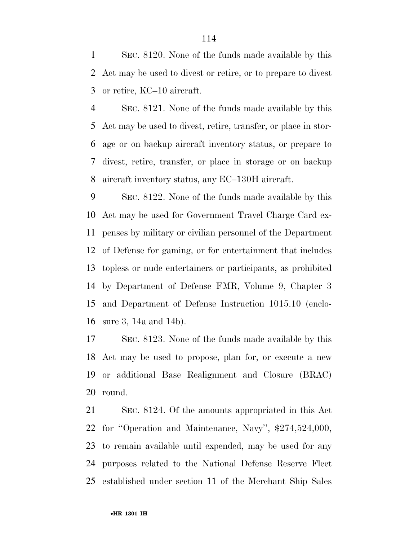SEC. 8120. None of the funds made available by this Act may be used to divest or retire, or to prepare to divest or retire, KC–10 aircraft.

 SEC. 8121. None of the funds made available by this Act may be used to divest, retire, transfer, or place in stor- age or on backup aircraft inventory status, or prepare to divest, retire, transfer, or place in storage or on backup aircraft inventory status, any EC–130H aircraft.

 SEC. 8122. None of the funds made available by this Act may be used for Government Travel Charge Card ex- penses by military or civilian personnel of the Department of Defense for gaming, or for entertainment that includes topless or nude entertainers or participants, as prohibited by Department of Defense FMR, Volume 9, Chapter 3 and Department of Defense Instruction 1015.10 (enclo-sure 3, 14a and 14b).

 SEC. 8123. None of the funds made available by this Act may be used to propose, plan for, or execute a new or additional Base Realignment and Closure (BRAC) round.

 SEC. 8124. Of the amounts appropriated in this Act for ''Operation and Maintenance, Navy'', \$274,524,000, to remain available until expended, may be used for any purposes related to the National Defense Reserve Fleet established under section 11 of the Merchant Ship Sales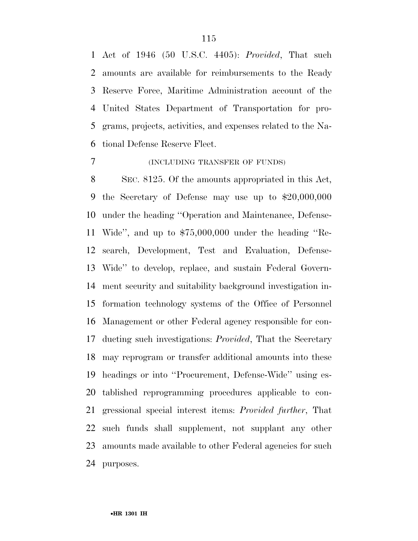Act of 1946 (50 U.S.C. 4405): *Provided*, That such amounts are available for reimbursements to the Ready Reserve Force, Maritime Administration account of the United States Department of Transportation for pro- grams, projects, activities, and expenses related to the Na-tional Defense Reserve Fleet.

#### (INCLUDING TRANSFER OF FUNDS)

 SEC. 8125. Of the amounts appropriated in this Act, the Secretary of Defense may use up to \$20,000,000 under the heading ''Operation and Maintenance, Defense- Wide'', and up to \$75,000,000 under the heading ''Re- search, Development, Test and Evaluation, Defense- Wide'' to develop, replace, and sustain Federal Govern- ment security and suitability background investigation in- formation technology systems of the Office of Personnel Management or other Federal agency responsible for con- ducting such investigations: *Provided*, That the Secretary may reprogram or transfer additional amounts into these headings or into ''Procurement, Defense-Wide'' using es- tablished reprogramming procedures applicable to con- gressional special interest items: *Provided further*, That such funds shall supplement, not supplant any other amounts made available to other Federal agencies for such purposes.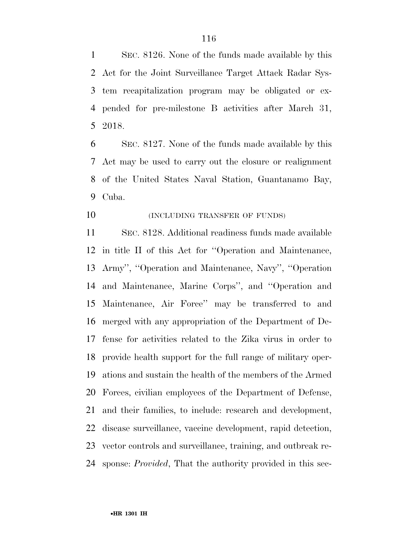SEC. 8126. None of the funds made available by this Act for the Joint Surveillance Target Attack Radar Sys- tem recapitalization program may be obligated or ex- pended for pre-milestone B activities after March 31, 2018.

 SEC. 8127. None of the funds made available by this Act may be used to carry out the closure or realignment of the United States Naval Station, Guantanamo Bay, Cuba.

**(INCLUDING TRANSFER OF FUNDS)** 

 SEC. 8128. Additional readiness funds made available in title II of this Act for ''Operation and Maintenance, Army'', ''Operation and Maintenance, Navy'', ''Operation and Maintenance, Marine Corps'', and ''Operation and Maintenance, Air Force'' may be transferred to and merged with any appropriation of the Department of De- fense for activities related to the Zika virus in order to provide health support for the full range of military oper- ations and sustain the health of the members of the Armed Forces, civilian employees of the Department of Defense, and their families, to include: research and development, disease surveillance, vaccine development, rapid detection, vector controls and surveillance, training, and outbreak re-sponse: *Provided*, That the authority provided in this sec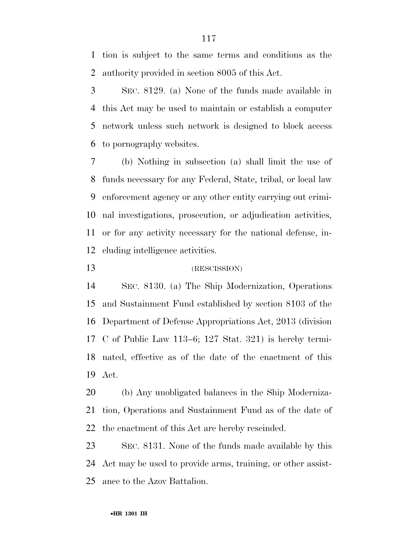tion is subject to the same terms and conditions as the authority provided in section 8005 of this Act.

 SEC. 8129. (a) None of the funds made available in this Act may be used to maintain or establish a computer network unless such network is designed to block access to pornography websites.

 (b) Nothing in subsection (a) shall limit the use of funds necessary for any Federal, State, tribal, or local law enforcement agency or any other entity carrying out crimi- nal investigations, prosecution, or adjudication activities, or for any activity necessary for the national defense, in-cluding intelligence activities.

#### (RESCISSION)

 SEC. 8130. (a) The Ship Modernization, Operations and Sustainment Fund established by section 8103 of the Department of Defense Appropriations Act, 2013 (division C of Public Law 113–6; 127 Stat. 321) is hereby termi- nated, effective as of the date of the enactment of this Act.

 (b) Any unobligated balances in the Ship Moderniza- tion, Operations and Sustainment Fund as of the date of the enactment of this Act are hereby rescinded.

 SEC. 8131. None of the funds made available by this Act may be used to provide arms, training, or other assist-ance to the Azov Battalion.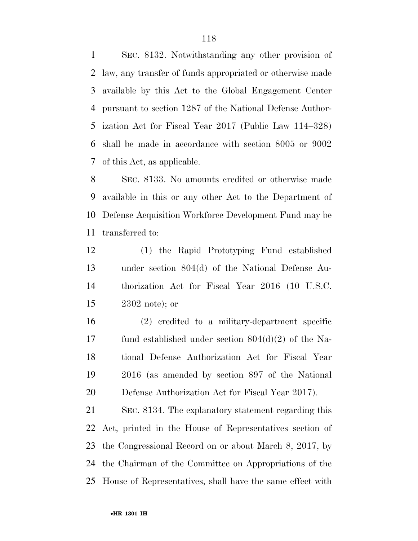SEC. 8132. Notwithstanding any other provision of law, any transfer of funds appropriated or otherwise made available by this Act to the Global Engagement Center pursuant to section 1287 of the National Defense Author- ization Act for Fiscal Year 2017 (Public Law 114–328) shall be made in accordance with section 8005 or 9002 of this Act, as applicable.

 SEC. 8133. No amounts credited or otherwise made available in this or any other Act to the Department of Defense Acquisition Workforce Development Fund may be transferred to:

 (1) the Rapid Prototyping Fund established under section 804(d) of the National Defense Au- thorization Act for Fiscal Year 2016 (10 U.S.C. 2302 note); or

 (2) credited to a military-department specific fund established under section 804(d)(2) of the Na- tional Defense Authorization Act for Fiscal Year 2016 (as amended by section 897 of the National Defense Authorization Act for Fiscal Year 2017).

 SEC. 8134. The explanatory statement regarding this Act, printed in the House of Representatives section of the Congressional Record on or about March 8, 2017, by the Chairman of the Committee on Appropriations of the House of Representatives, shall have the same effect with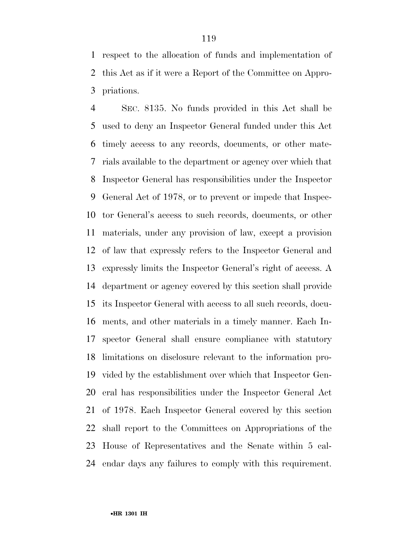respect to the allocation of funds and implementation of this Act as if it were a Report of the Committee on Appro-priations.

 SEC. 8135. No funds provided in this Act shall be used to deny an Inspector General funded under this Act timely access to any records, documents, or other mate- rials available to the department or agency over which that Inspector General has responsibilities under the Inspector General Act of 1978, or to prevent or impede that Inspec- tor General's access to such records, documents, or other materials, under any provision of law, except a provision of law that expressly refers to the Inspector General and expressly limits the Inspector General's right of access. A department or agency covered by this section shall provide its Inspector General with access to all such records, docu- ments, and other materials in a timely manner. Each In- spector General shall ensure compliance with statutory limitations on disclosure relevant to the information pro- vided by the establishment over which that Inspector Gen- eral has responsibilities under the Inspector General Act of 1978. Each Inspector General covered by this section shall report to the Committees on Appropriations of the House of Representatives and the Senate within 5 cal-endar days any failures to comply with this requirement.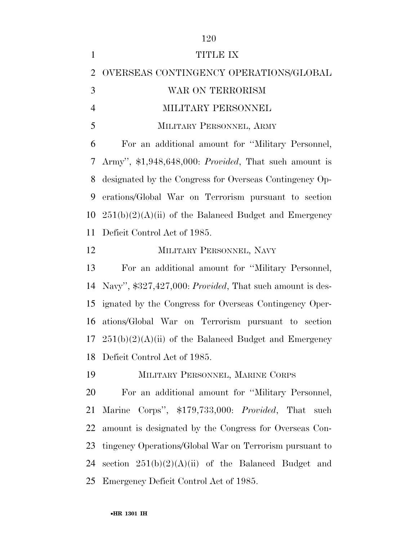|                | 120                                                        |
|----------------|------------------------------------------------------------|
| $\mathbf{1}$   | TITLE IX                                                   |
| $\overline{2}$ | OVERSEAS CONTINGENCY OPERATIONS/GLOBAL                     |
| 3              | WAR ON TERRORISM                                           |
| $\overline{4}$ | MILITARY PERSONNEL                                         |
| 5              | MILITARY PERSONNEL, ARMY                                   |
| 6              | For an additional amount for "Military Personnel,          |
| 7              | Army", \$1,948,648,000: Provided, That such amount is      |
| 8              | designated by the Congress for Overseas Contingency Op-    |
| 9              | erations/Global War on Terrorism pursuant to section       |
| 10             | $251(b)(2)(A)(ii)$ of the Balanced Budget and Emergency    |
| 11             | Deficit Control Act of 1985.                               |
| 12             | MILITARY PERSONNEL, NAVY                                   |
| 13             | For an additional amount for "Military Personnel,          |
| 14             | Navy", \$327,427,000: Provided, That such amount is des-   |
| 15             | ignated by the Congress for Overseas Contingency Oper-     |
| 16             | ations/Global War on Terrorism pursuant to section         |
|                | 17 $251(b)(2)(A)(ii)$ of the Balanced Budget and Emergency |
| 18             | Deficit Control Act of 1985.                               |
| 19             | MILITARY PERSONNEL, MARINE CORPS                           |
| 20             |                                                            |
|                | For an additional amount for "Military Personnel,          |
| 21             | Marine Corps", \$179,733,000: Provided, That such          |
| 22             | amount is designated by the Congress for Overseas Con-     |
| 23             | tingency Operations/Global War on Terrorism pursuant to    |
| 24             | section $251(b)(2)(A)(ii)$ of the Balanced Budget and      |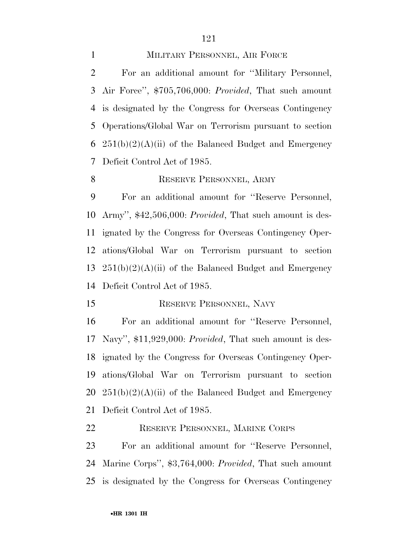#### MILITARY PERSONNEL, AIR FORCE

 For an additional amount for ''Military Personnel, Air Force'', \$705,706,000: *Provided*, That such amount is designated by the Congress for Overseas Contingency Operations/Global War on Terrorism pursuant to section  $251(b)(2)(A)(ii)$  of the Balanced Budget and Emergency Deficit Control Act of 1985.

#### 8 RESERVE PERSONNEL, ARMY

 For an additional amount for ''Reserve Personnel, Army'', \$42,506,000: *Provided*, That such amount is des- ignated by the Congress for Overseas Contingency Oper- ations/Global War on Terrorism pursuant to section  $251(b)(2)(A)(ii)$  of the Balanced Budget and Emergency Deficit Control Act of 1985.

#### 15 RESERVE PERSONNEL, NAVY

 For an additional amount for ''Reserve Personnel, Navy'', \$11,929,000: *Provided*, That such amount is des- ignated by the Congress for Overseas Contingency Oper- ations/Global War on Terrorism pursuant to section  $251(b)(2)(A)(ii)$  of the Balanced Budget and Emergency Deficit Control Act of 1985.

RESERVE PERSONNEL, MARINE CORPS

 For an additional amount for ''Reserve Personnel, Marine Corps'', \$3,764,000: *Provided*, That such amount is designated by the Congress for Overseas Contingency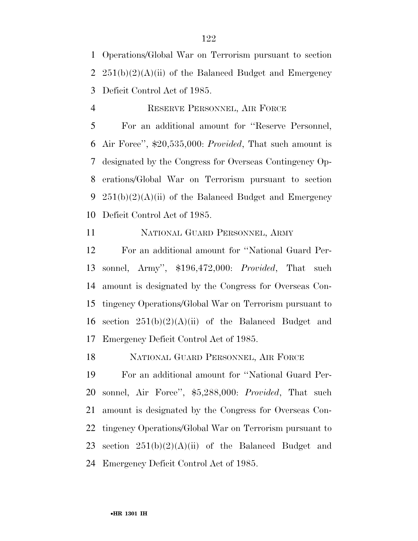Operations/Global War on Terrorism pursuant to section 2  $251(b)(2)(A)(ii)$  of the Balanced Budget and Emergency Deficit Control Act of 1985.

 RESERVE PERSONNEL, AIR FORCE For an additional amount for ''Reserve Personnel, Air Force'', \$20,535,000: *Provided*, That such amount is designated by the Congress for Overseas Contingency Op-

 erations/Global War on Terrorism pursuant to section 9 251(b)(2)(A)(ii) of the Balanced Budget and Emergency Deficit Control Act of 1985.

NATIONAL GUARD PERSONNEL, ARMY

 For an additional amount for ''National Guard Per- sonnel, Army'', \$196,472,000: *Provided*, That such amount is designated by the Congress for Overseas Con- tingency Operations/Global War on Terrorism pursuant to 16 section  $251(b)(2)(A)(ii)$  of the Balanced Budget and Emergency Deficit Control Act of 1985.

NATIONAL GUARD PERSONNEL, AIR FORCE

 For an additional amount for ''National Guard Per- sonnel, Air Force'', \$5,288,000: *Provided*, That such amount is designated by the Congress for Overseas Con- tingency Operations/Global War on Terrorism pursuant to 23 section  $251(b)(2)(A)(ii)$  of the Balanced Budget and Emergency Deficit Control Act of 1985.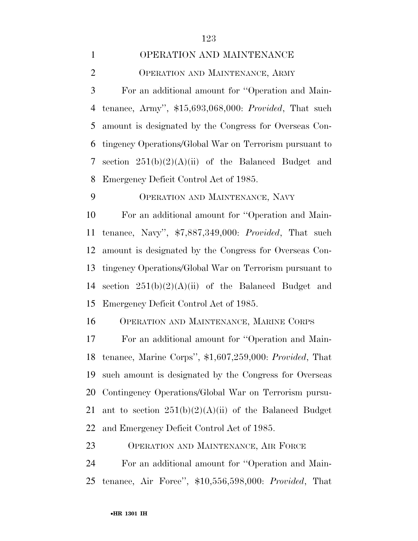#### OPERATION AND MAINTENANCE

OPERATION AND MAINTENANCE, ARMY

 For an additional amount for ''Operation and Main- tenance, Army'', \$15,693,068,000: *Provided*, That such amount is designated by the Congress for Overseas Con- tingency Operations/Global War on Terrorism pursuant to section 251(b)(2)(A)(ii) of the Balanced Budget and Emergency Deficit Control Act of 1985.

OPERATION AND MAINTENANCE, NAVY

 For an additional amount for ''Operation and Main- tenance, Navy'', \$7,887,349,000: *Provided*, That such amount is designated by the Congress for Overseas Con- tingency Operations/Global War on Terrorism pursuant to section 251(b)(2)(A)(ii) of the Balanced Budget and Emergency Deficit Control Act of 1985.

OPERATION AND MAINTENANCE, MARINE CORPS

 For an additional amount for ''Operation and Main- tenance, Marine Corps'', \$1,607,259,000: *Provided*, That such amount is designated by the Congress for Overseas Contingency Operations/Global War on Terrorism pursu-21 ant to section  $251(b)(2)(A)(ii)$  of the Balanced Budget and Emergency Deficit Control Act of 1985.

OPERATION AND MAINTENANCE, AIR FORCE

 For an additional amount for ''Operation and Main-tenance, Air Force'', \$10,556,598,000: *Provided*, That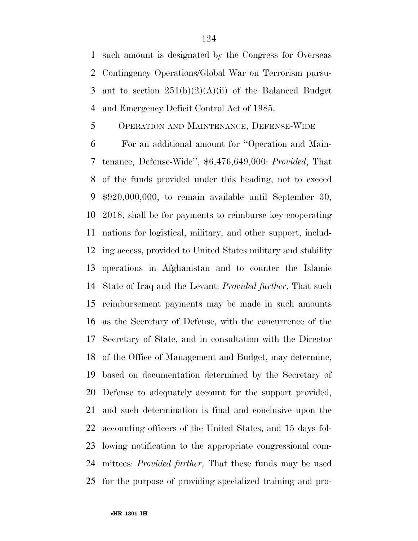such amount is designated by the Congress for Overseas Contingency Operations/Global War on Terrorism pursu-3 ant to section  $251(b)(2)(A)(ii)$  of the Balanced Budget and Emergency Deficit Control Act of 1985.

### OPERATION AND MAINTENANCE, DEFENSE-WIDE

 For an additional amount for ''Operation and Main- tenance, Defense-Wide'', \$6,476,649,000: *Provided*, That of the funds provided under this heading, not to exceed \$920,000,000, to remain available until September 30, 2018, shall be for payments to reimburse key cooperating nations for logistical, military, and other support, includ- ing access, provided to United States military and stability operations in Afghanistan and to counter the Islamic State of Iraq and the Levant: *Provided further*, That such reimbursement payments may be made in such amounts as the Secretary of Defense, with the concurrence of the Secretary of State, and in consultation with the Director of the Office of Management and Budget, may determine, based on documentation determined by the Secretary of Defense to adequately account for the support provided, and such determination is final and conclusive upon the accounting officers of the United States, and 15 days fol- lowing notification to the appropriate congressional com- mittees: *Provided further*, That these funds may be used for the purpose of providing specialized training and pro-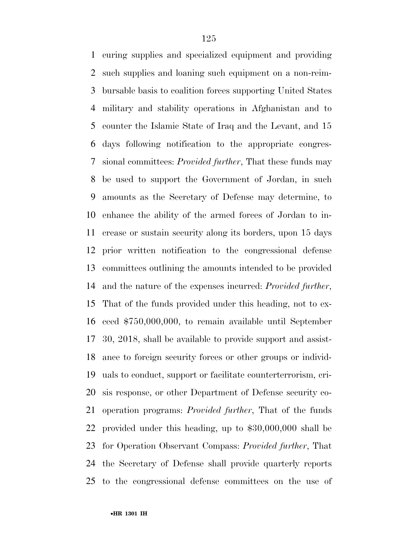curing supplies and specialized equipment and providing such supplies and loaning such equipment on a non-reim- bursable basis to coalition forces supporting United States military and stability operations in Afghanistan and to counter the Islamic State of Iraq and the Levant, and 15 days following notification to the appropriate congres- sional committees: *Provided further*, That these funds may be used to support the Government of Jordan, in such amounts as the Secretary of Defense may determine, to enhance the ability of the armed forces of Jordan to in- crease or sustain security along its borders, upon 15 days prior written notification to the congressional defense committees outlining the amounts intended to be provided and the nature of the expenses incurred: *Provided further*, That of the funds provided under this heading, not to ex- ceed \$750,000,000, to remain available until September 30, 2018, shall be available to provide support and assist- ance to foreign security forces or other groups or individ- uals to conduct, support or facilitate counterterrorism, cri- sis response, or other Department of Defense security co- operation programs: *Provided further*, That of the funds provided under this heading, up to \$30,000,000 shall be for Operation Observant Compass: *Provided further*, That the Secretary of Defense shall provide quarterly reports to the congressional defense committees on the use of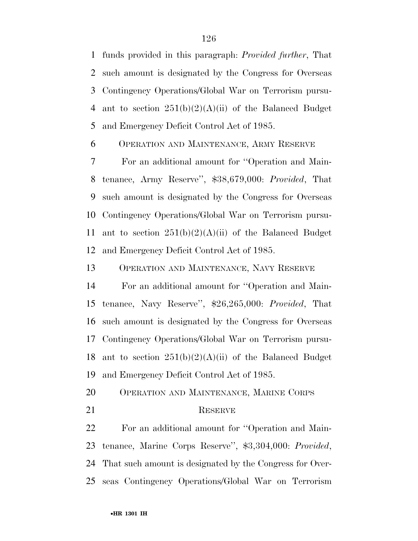funds provided in this paragraph: *Provided further*, That such amount is designated by the Congress for Overseas Contingency Operations/Global War on Terrorism pursu-4 ant to section  $251(b)(2)(A)(ii)$  of the Balanced Budget and Emergency Deficit Control Act of 1985.

OPERATION AND MAINTENANCE, ARMY RESERVE

 For an additional amount for ''Operation and Main- tenance, Army Reserve'', \$38,679,000: *Provided*, That such amount is designated by the Congress for Overseas Contingency Operations/Global War on Terrorism pursu-11 ant to section  $251(b)(2)(A)(ii)$  of the Balanced Budget and Emergency Deficit Control Act of 1985.

OPERATION AND MAINTENANCE, NAVY RESERVE

 For an additional amount for ''Operation and Main- tenance, Navy Reserve'', \$26,265,000: *Provided*, That such amount is designated by the Congress for Overseas Contingency Operations/Global War on Terrorism pursu-18 ant to section  $251(b)(2)(A)(ii)$  of the Balanced Budget and Emergency Deficit Control Act of 1985.

- OPERATION AND MAINTENANCE, MARINE CORPS
- 

#### 21 RESERVE

 For an additional amount for ''Operation and Main- tenance, Marine Corps Reserve'', \$3,304,000: *Provided*, That such amount is designated by the Congress for Over-seas Contingency Operations/Global War on Terrorism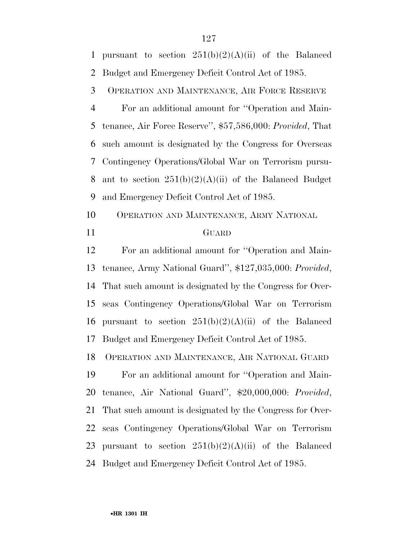1 pursuant to section  $251(b)(2)(A)(ii)$  of the Balanced Budget and Emergency Deficit Control Act of 1985.

OPERATION AND MAINTENANCE, AIR FORCE RESERVE

 For an additional amount for ''Operation and Main- tenance, Air Force Reserve'', \$57,586,000: *Provided*, That such amount is designated by the Congress for Overseas Contingency Operations/Global War on Terrorism pursu-8 ant to section  $251(b)(2)(A)(ii)$  of the Balanced Budget and Emergency Deficit Control Act of 1985.

 OPERATION AND MAINTENANCE, ARMY NATIONAL GUARD

 For an additional amount for ''Operation and Main- tenance, Army National Guard'', \$127,035,000: *Provided*, That such amount is designated by the Congress for Over- seas Contingency Operations/Global War on Terrorism 16 pursuant to section  $251(b)(2)(A)(ii)$  of the Balanced Budget and Emergency Deficit Control Act of 1985.

OPERATION AND MAINTENANCE, AIR NATIONAL GUARD

 For an additional amount for ''Operation and Main- tenance, Air National Guard'', \$20,000,000: *Provided*, That such amount is designated by the Congress for Over- seas Contingency Operations/Global War on Terrorism 23 pursuant to section  $251(b)(2)(A)(ii)$  of the Balanced Budget and Emergency Deficit Control Act of 1985.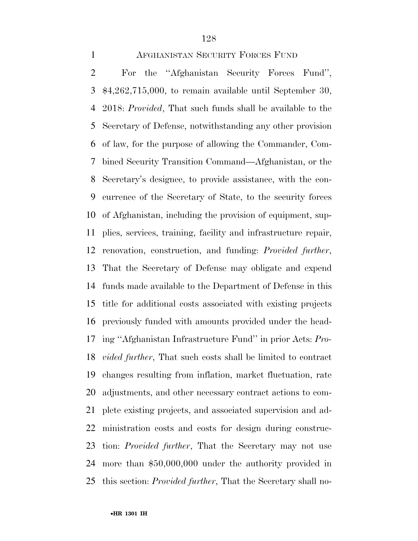#### AFGHANISTAN SECURITY FORCES FUND

 For the ''Afghanistan Security Forces Fund'', \$4,262,715,000, to remain available until September 30, 2018: *Provided*, That such funds shall be available to the Secretary of Defense, notwithstanding any other provision of law, for the purpose of allowing the Commander, Com- bined Security Transition Command—Afghanistan, or the Secretary's designee, to provide assistance, with the con- currence of the Secretary of State, to the security forces of Afghanistan, including the provision of equipment, sup- plies, services, training, facility and infrastructure repair, renovation, construction, and funding: *Provided further*, That the Secretary of Defense may obligate and expend funds made available to the Department of Defense in this title for additional costs associated with existing projects previously funded with amounts provided under the head- ing ''Afghanistan Infrastructure Fund'' in prior Acts: *Pro- vided further*, That such costs shall be limited to contract changes resulting from inflation, market fluctuation, rate adjustments, and other necessary contract actions to com- plete existing projects, and associated supervision and ad- ministration costs and costs for design during construc- tion: *Provided further*, That the Secretary may not use more than \$50,000,000 under the authority provided in this section: *Provided further*, That the Secretary shall no-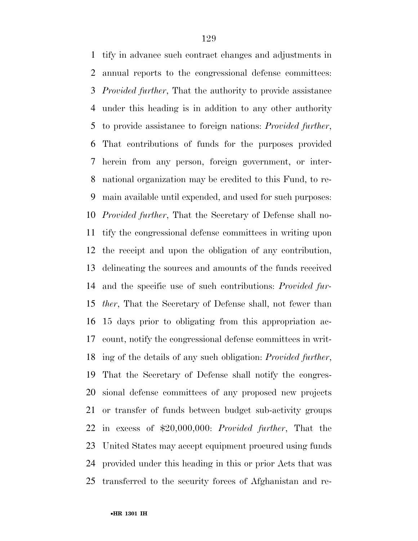tify in advance such contract changes and adjustments in annual reports to the congressional defense committees: *Provided further*, That the authority to provide assistance under this heading is in addition to any other authority to provide assistance to foreign nations: *Provided further*, That contributions of funds for the purposes provided herein from any person, foreign government, or inter- national organization may be credited to this Fund, to re- main available until expended, and used for such purposes: *Provided further*, That the Secretary of Defense shall no- tify the congressional defense committees in writing upon the receipt and upon the obligation of any contribution, delineating the sources and amounts of the funds received and the specific use of such contributions: *Provided fur- ther*, That the Secretary of Defense shall, not fewer than 15 days prior to obligating from this appropriation ac- count, notify the congressional defense committees in writ- ing of the details of any such obligation: *Provided further*, That the Secretary of Defense shall notify the congres- sional defense committees of any proposed new projects or transfer of funds between budget sub-activity groups in excess of \$20,000,000: *Provided further*, That the United States may accept equipment procured using funds provided under this heading in this or prior Acts that was transferred to the security forces of Afghanistan and re-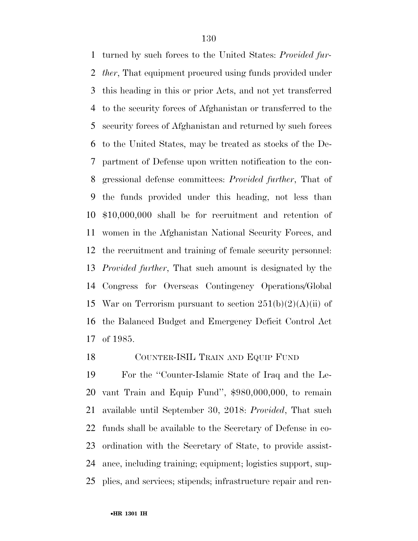turned by such forces to the United States: *Provided fur- ther*, That equipment procured using funds provided under this heading in this or prior Acts, and not yet transferred to the security forces of Afghanistan or transferred to the security forces of Afghanistan and returned by such forces to the United States, may be treated as stocks of the De- partment of Defense upon written notification to the con- gressional defense committees: *Provided further*, That of the funds provided under this heading, not less than \$10,000,000 shall be for recruitment and retention of women in the Afghanistan National Security Forces, and the recruitment and training of female security personnel: *Provided further*, That such amount is designated by the Congress for Overseas Contingency Operations/Global 15 War on Terrorism pursuant to section  $251(b)(2)(A)(ii)$  of the Balanced Budget and Emergency Deficit Control Act of 1985.

### COUNTER-ISIL TRAIN AND EQUIP FUND

 For the ''Counter-Islamic State of Iraq and the Le- vant Train and Equip Fund'', \$980,000,000, to remain available until September 30, 2018: *Provided*, That such funds shall be available to the Secretary of Defense in co- ordination with the Secretary of State, to provide assist- ance, including training; equipment; logistics support, sup-plies, and services; stipends; infrastructure repair and ren-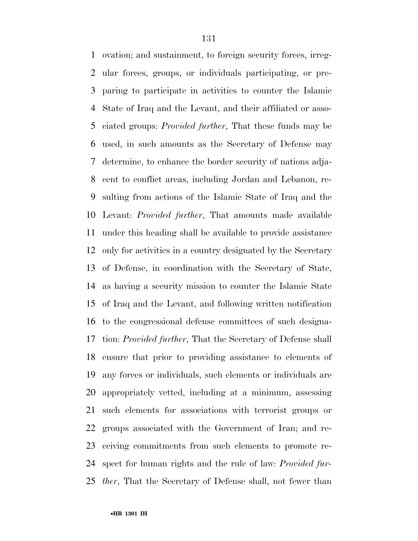ovation; and sustainment, to foreign security forces, irreg- ular forces, groups, or individuals participating, or pre- paring to participate in activities to counter the Islamic State of Iraq and the Levant, and their affiliated or asso- ciated groups: *Provided further*, That these funds may be used, in such amounts as the Secretary of Defense may determine, to enhance the border security of nations adja- cent to conflict areas, including Jordan and Lebanon, re- sulting from actions of the Islamic State of Iraq and the Levant: *Provided further*, That amounts made available under this heading shall be available to provide assistance only for activities in a country designated by the Secretary of Defense, in coordination with the Secretary of State, as having a security mission to counter the Islamic State of Iraq and the Levant, and following written notification to the congressional defense committees of such designa- tion: *Provided further*, That the Secretary of Defense shall ensure that prior to providing assistance to elements of any forces or individuals, such elements or individuals are appropriately vetted, including at a minimum, assessing such elements for associations with terrorist groups or groups associated with the Government of Iran; and re- ceiving commitments from such elements to promote re- spect for human rights and the rule of law: *Provided fur-ther*, That the Secretary of Defense shall, not fewer than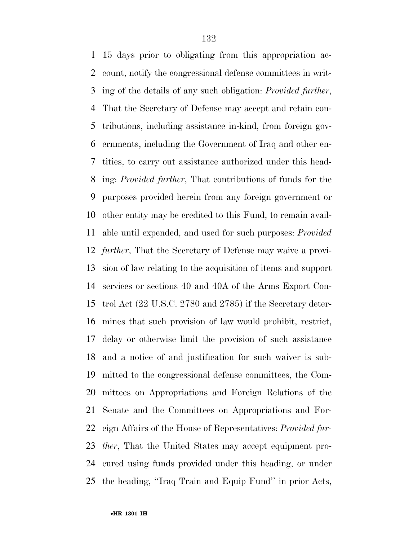15 days prior to obligating from this appropriation ac- count, notify the congressional defense committees in writ- ing of the details of any such obligation: *Provided further*, That the Secretary of Defense may accept and retain con- tributions, including assistance in-kind, from foreign gov- ernments, including the Government of Iraq and other en- tities, to carry out assistance authorized under this head- ing: *Provided further*, That contributions of funds for the purposes provided herein from any foreign government or other entity may be credited to this Fund, to remain avail- able until expended, and used for such purposes: *Provided further*, That the Secretary of Defense may waive a provi- sion of law relating to the acquisition of items and support services or sections 40 and 40A of the Arms Export Con- trol Act (22 U.S.C. 2780 and 2785) if the Secretary deter- mines that such provision of law would prohibit, restrict, delay or otherwise limit the provision of such assistance and a notice of and justification for such waiver is sub- mitted to the congressional defense committees, the Com- mittees on Appropriations and Foreign Relations of the Senate and the Committees on Appropriations and For- eign Affairs of the House of Representatives: *Provided fur- ther*, That the United States may accept equipment pro- cured using funds provided under this heading, or under the heading, ''Iraq Train and Equip Fund'' in prior Acts,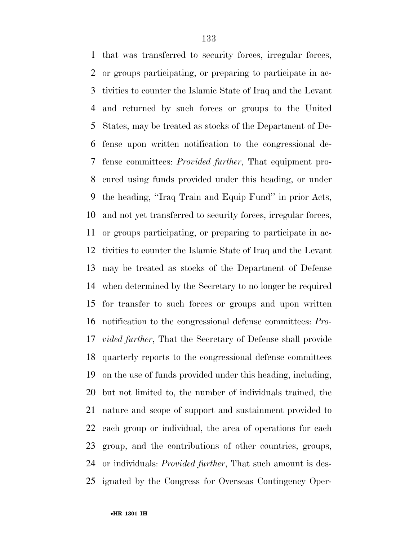that was transferred to security forces, irregular forces, or groups participating, or preparing to participate in ac- tivities to counter the Islamic State of Iraq and the Levant and returned by such forces or groups to the United States, may be treated as stocks of the Department of De- fense upon written notification to the congressional de- fense committees: *Provided further*, That equipment pro- cured using funds provided under this heading, or under the heading, ''Iraq Train and Equip Fund'' in prior Acts, and not yet transferred to security forces, irregular forces, or groups participating, or preparing to participate in ac- tivities to counter the Islamic State of Iraq and the Levant may be treated as stocks of the Department of Defense when determined by the Secretary to no longer be required for transfer to such forces or groups and upon written notification to the congressional defense committees: *Pro- vided further*, That the Secretary of Defense shall provide quarterly reports to the congressional defense committees on the use of funds provided under this heading, including, but not limited to, the number of individuals trained, the nature and scope of support and sustainment provided to each group or individual, the area of operations for each group, and the contributions of other countries, groups, or individuals: *Provided further*, That such amount is des-ignated by the Congress for Overseas Contingency Oper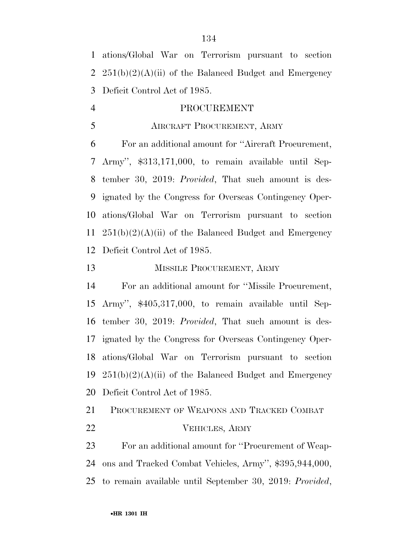ations/Global War on Terrorism pursuant to section  $251(b)(2)(A)(ii)$  of the Balanced Budget and Emergency Deficit Control Act of 1985.

# PROCUREMENT

# AIRCRAFT PROCUREMENT, ARMY

 For an additional amount for ''Aircraft Procurement, Army'', \$313,171,000, to remain available until Sep- tember 30, 2019: *Provided*, That such amount is des- ignated by the Congress for Overseas Contingency Oper- ations/Global War on Terrorism pursuant to section  $251(b)(2)(A)(ii)$  of the Balanced Budget and Emergency Deficit Control Act of 1985.

## MISSILE PROCUREMENT, ARMY

 For an additional amount for ''Missile Procurement, Army'', \$405,317,000, to remain available until Sep- tember 30, 2019: *Provided*, That such amount is des- ignated by the Congress for Overseas Contingency Oper- ations/Global War on Terrorism pursuant to section  $251(b)(2)(A)(ii)$  of the Balanced Budget and Emergency Deficit Control Act of 1985.

 PROCUREMENT OF WEAPONS AND TRACKED COMBAT VEHICLES, ARMY

 For an additional amount for ''Procurement of Weap- ons and Tracked Combat Vehicles, Army'', \$395,944,000, to remain available until September 30, 2019: *Provided*,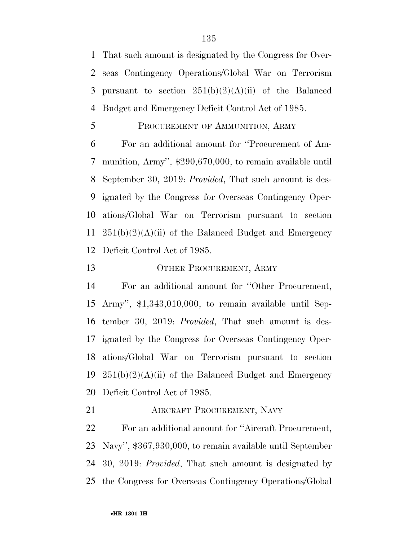That such amount is designated by the Congress for Over- seas Contingency Operations/Global War on Terrorism 3 pursuant to section  $251(b)(2)(A)(ii)$  of the Balanced Budget and Emergency Deficit Control Act of 1985.

#### PROCUREMENT OF AMMUNITION, ARMY

 For an additional amount for ''Procurement of Am- munition, Army'', \$290,670,000, to remain available until September 30, 2019: *Provided*, That such amount is des- ignated by the Congress for Overseas Contingency Oper- ations/Global War on Terrorism pursuant to section  $251(b)(2)(A)(ii)$  of the Balanced Budget and Emergency Deficit Control Act of 1985.

## 13 OTHER PROCUREMENT, ARMY

 For an additional amount for ''Other Procurement, Army'', \$1,343,010,000, to remain available until Sep- tember 30, 2019: *Provided*, That such amount is des- ignated by the Congress for Overseas Contingency Oper- ations/Global War on Terrorism pursuant to section  $251(b)(2)(A)(ii)$  of the Balanced Budget and Emergency Deficit Control Act of 1985.

**AIRCRAFT PROCUREMENT, NAVY** 

 For an additional amount for ''Aircraft Procurement, Navy'', \$367,930,000, to remain available until September 30, 2019: *Provided*, That such amount is designated by the Congress for Overseas Contingency Operations/Global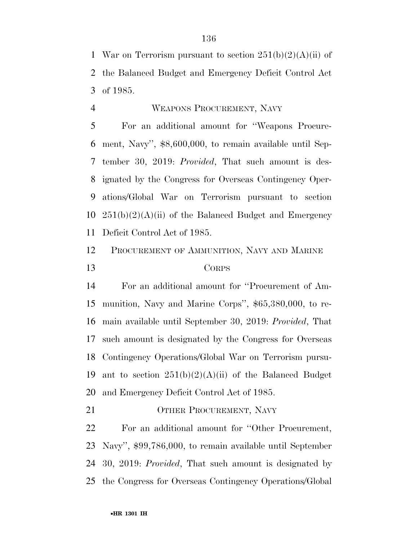1 War on Terrorism pursuant to section  $251(b)(2)(A)(ii)$  of the Balanced Budget and Emergency Deficit Control Act of 1985.

#### WEAPONS PROCUREMENT, NAVY

 For an additional amount for ''Weapons Procure- ment, Navy'', \$8,600,000, to remain available until Sep- tember 30, 2019: *Provided*, That such amount is des- ignated by the Congress for Overseas Contingency Oper- ations/Global War on Terrorism pursuant to section  $251(b)(2)(A)(ii)$  of the Balanced Budget and Emergency Deficit Control Act of 1985.

# PROCUREMENT OF AMMUNITION, NAVY AND MARINE CORPS

 For an additional amount for ''Procurement of Am- munition, Navy and Marine Corps'', \$65,380,000, to re- main available until September 30, 2019: *Provided*, That such amount is designated by the Congress for Overseas Contingency Operations/Global War on Terrorism pursu-19 ant to section  $251(b)(2)(A)(ii)$  of the Balanced Budget and Emergency Deficit Control Act of 1985.

21 OTHER PROCUREMENT, NAVY

 For an additional amount for ''Other Procurement, Navy'', \$99,786,000, to remain available until September 30, 2019: *Provided*, That such amount is designated by the Congress for Overseas Contingency Operations/Global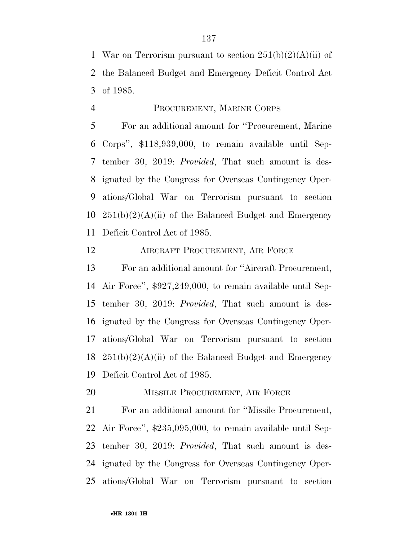1 War on Terrorism pursuant to section  $251(b)(2)(A)(ii)$  of the Balanced Budget and Emergency Deficit Control Act of 1985.

#### PROCUREMENT, MARINE CORPS

 For an additional amount for ''Procurement, Marine Corps'', \$118,939,000, to remain available until Sep- tember 30, 2019: *Provided*, That such amount is des- ignated by the Congress for Overseas Contingency Oper- ations/Global War on Terrorism pursuant to section  $251(b)(2)(A)(ii)$  of the Balanced Budget and Emergency Deficit Control Act of 1985.

AIRCRAFT PROCUREMENT, AIR FORCE

 For an additional amount for ''Aircraft Procurement, Air Force'', \$927,249,000, to remain available until Sep- tember 30, 2019: *Provided*, That such amount is des- ignated by the Congress for Overseas Contingency Oper- ations/Global War on Terrorism pursuant to section  $251(b)(2)(A)(ii)$  of the Balanced Budget and Emergency Deficit Control Act of 1985.

20 MISSILE PROCUREMENT, AIR FORCE

 For an additional amount for ''Missile Procurement, Air Force'', \$235,095,000, to remain available until Sep- tember 30, 2019: *Provided*, That such amount is des- ignated by the Congress for Overseas Contingency Oper-ations/Global War on Terrorism pursuant to section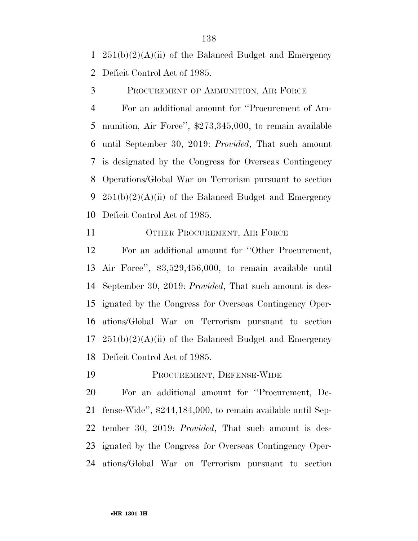1  $251(b)(2)(A)(ii)$  of the Balanced Budget and Emergency Deficit Control Act of 1985.

PROCUREMENT OF AMMUNITION, AIR FORCE

 For an additional amount for ''Procurement of Am- munition, Air Force'', \$273,345,000, to remain available until September 30, 2019: *Provided*, That such amount is designated by the Congress for Overseas Contingency Operations/Global War on Terrorism pursuant to section 9 251(b)(2)(A)(ii) of the Balanced Budget and Emergency Deficit Control Act of 1985.

11 OTHER PROCUREMENT, AIR FORCE

 For an additional amount for ''Other Procurement, Air Force'', \$3,529,456,000, to remain available until September 30, 2019: *Provided*, That such amount is des- ignated by the Congress for Overseas Contingency Oper- ations/Global War on Terrorism pursuant to section  $17 \quad 251(b)(2)(A)(ii)$  of the Balanced Budget and Emergency Deficit Control Act of 1985.

PROCUREMENT, DEFENSE-WIDE

 For an additional amount for ''Procurement, De- fense-Wide'', \$244,184,000, to remain available until Sep- tember 30, 2019: *Provided*, That such amount is des- ignated by the Congress for Overseas Contingency Oper-ations/Global War on Terrorism pursuant to section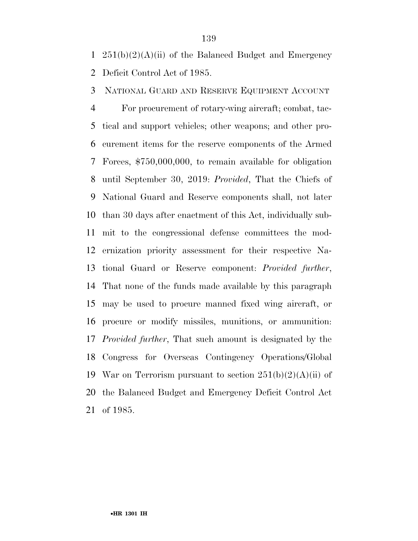1  $251(b)(2)(A)(ii)$  of the Balanced Budget and Emergency Deficit Control Act of 1985.

NATIONAL GUARD AND RESERVE EQUIPMENT ACCOUNT

 For procurement of rotary-wing aircraft; combat, tac- tical and support vehicles; other weapons; and other pro- curement items for the reserve components of the Armed Forces, \$750,000,000, to remain available for obligation until September 30, 2019: *Provided*, That the Chiefs of National Guard and Reserve components shall, not later than 30 days after enactment of this Act, individually sub- mit to the congressional defense committees the mod- ernization priority assessment for their respective Na- tional Guard or Reserve component: *Provided further*, That none of the funds made available by this paragraph may be used to procure manned fixed wing aircraft, or procure or modify missiles, munitions, or ammunition: *Provided further*, That such amount is designated by the Congress for Overseas Contingency Operations/Global 19 War on Terrorism pursuant to section  $251(b)(2)(A)(ii)$  of the Balanced Budget and Emergency Deficit Control Act of 1985.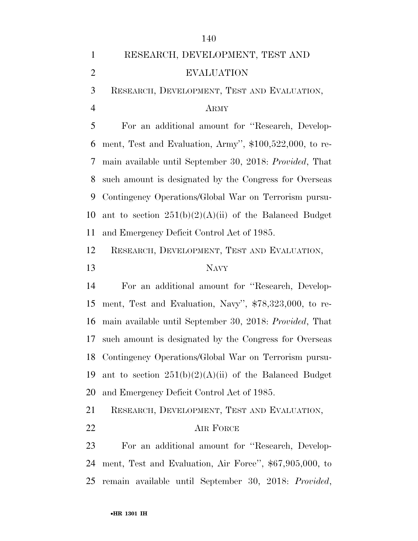|                | 140                                                      |
|----------------|----------------------------------------------------------|
| $\mathbf{1}$   | RESEARCH, DEVELOPMENT, TEST AND                          |
| $\overline{2}$ | <b>EVALUATION</b>                                        |
| 3              | RESEARCH, DEVELOPMENT, TEST AND EVALUATION,              |
| $\overline{4}$ | <b>ARMY</b>                                              |
| 5              | For an additional amount for "Research, Develop-         |
| 6              | ment, Test and Evaluation, Army", \$100,522,000, to re-  |
| 7              | main available until September 30, 2018: Provided, That  |
| 8              | such amount is designated by the Congress for Overseas   |
| 9              | Contingency Operations/Global War on Terrorism pursu-    |
| 10             | ant to section $251(b)(2)(A)(ii)$ of the Balanced Budget |
| 11             | and Emergency Deficit Control Act of 1985.               |
| 12             | RESEARCH, DEVELOPMENT, TEST AND EVALUATION,              |
|                |                                                          |
| 13             | <b>NAVY</b>                                              |
| 14             | For an additional amount for "Research, Develop-         |
| 15             | ment, Test and Evaluation, Navy", \$78,323,000, to re-   |
| 16             | main available until September 30, 2018: Provided, That  |
| 17             | such amount is designated by the Congress for Overseas   |
| 18             | Contingency Operations/Global War on Terrorism pursu-    |
| 19             | ant to section $251(b)(2)(A)(ii)$ of the Balanced Budget |
| 20             | and Emergency Deficit Control Act of 1985.               |
| 21             | RESEARCH, DEVELOPMENT, TEST AND EVALUATION,              |
| 22             | AIR FORCE                                                |
| 23             | For an additional amount for "Research, Develop-         |
| 24             | ment, Test and Evaluation, Air Force", \$67,905,000, to  |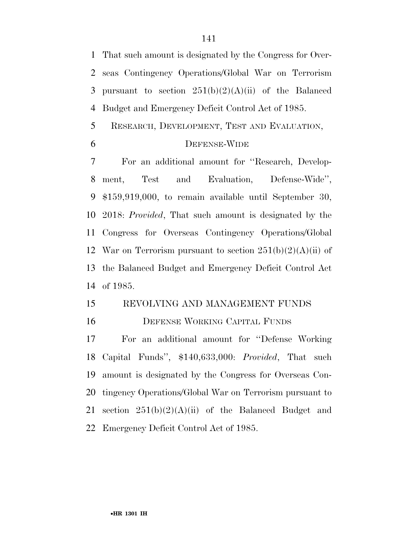That such amount is designated by the Congress for Over- seas Contingency Operations/Global War on Terrorism 3 pursuant to section  $251(b)(2)(A)(ii)$  of the Balanced Budget and Emergency Deficit Control Act of 1985.

RESEARCH, DEVELOPMENT, TEST AND EVALUATION,

#### DEFENSE-WIDE

 For an additional amount for ''Research, Develop- ment, Test and Evaluation, Defense-Wide'', \$159,919,000, to remain available until September 30, 2018: *Provided*, That such amount is designated by the Congress for Overseas Contingency Operations/Global 12 War on Terrorism pursuant to section  $251(b)(2)(A)(ii)$  of the Balanced Budget and Emergency Deficit Control Act of 1985.

# REVOLVING AND MANAGEMENT FUNDS

# DEFENSE WORKING CAPITAL FUNDS

 For an additional amount for ''Defense Working Capital Funds'', \$140,633,000: *Provided*, That such amount is designated by the Congress for Overseas Con- tingency Operations/Global War on Terrorism pursuant to 21 section  $251(b)(2)(A)(ii)$  of the Balanced Budget and Emergency Deficit Control Act of 1985.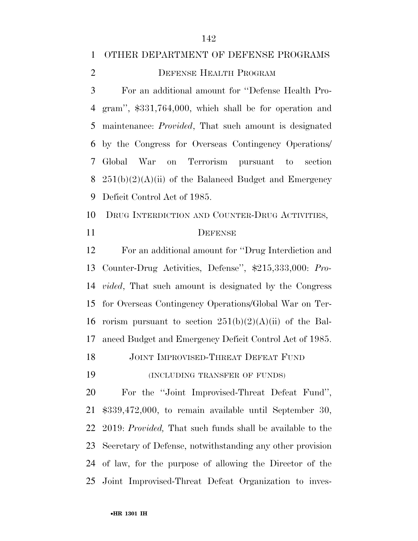# OTHER DEPARTMENT OF DEFENSE PROGRAMS

2 DEFENSE HEALTH PROGRAM

 For an additional amount for ''Defense Health Pro- gram'', \$331,764,000, which shall be for operation and maintenance: *Provided*, That such amount is designated by the Congress for Overseas Contingency Operations/ Global War on Terrorism pursuant to section  $251(b)(2)(A)(ii)$  of the Balanced Budget and Emergency Deficit Control Act of 1985.

 DRUG INTERDICTION AND COUNTER-DRUG ACTIVITIES, 11 DEFENSE

 For an additional amount for ''Drug Interdiction and Counter-Drug Activities, Defense'', \$215,333,000: *Pro- vided*, That such amount is designated by the Congress for Overseas Contingency Operations/Global War on Ter-16 rorism pursuant to section  $251(b)(2)(A)(ii)$  of the Bal-anced Budget and Emergency Deficit Control Act of 1985.

18 JOINT IMPROVISED-THREAT DEFEAT FUND

(INCLUDING TRANSFER OF FUNDS)

 For the ''Joint Improvised-Threat Defeat Fund'', \$339,472,000, to remain available until September 30, 2019: *Provided,* That such funds shall be available to the Secretary of Defense, notwithstanding any other provision of law, for the purpose of allowing the Director of the Joint Improvised-Threat Defeat Organization to inves-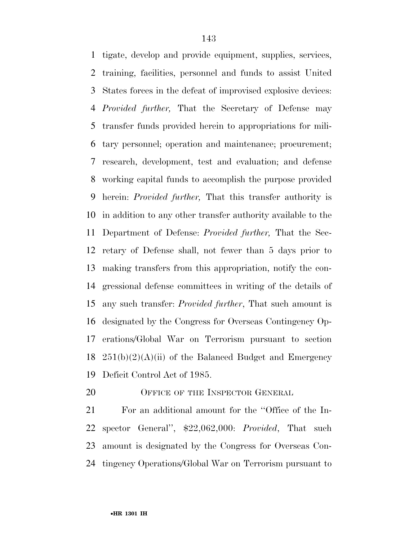tigate, develop and provide equipment, supplies, services, training, facilities, personnel and funds to assist United States forces in the defeat of improvised explosive devices: *Provided further,* That the Secretary of Defense may transfer funds provided herein to appropriations for mili- tary personnel; operation and maintenance; procurement; research, development, test and evaluation; and defense working capital funds to accomplish the purpose provided herein: *Provided further,* That this transfer authority is in addition to any other transfer authority available to the Department of Defense: *Provided further,* That the Sec- retary of Defense shall, not fewer than 5 days prior to making transfers from this appropriation, notify the con- gressional defense committees in writing of the details of any such transfer: *Provided further*, That such amount is designated by the Congress for Overseas Contingency Op- erations/Global War on Terrorism pursuant to section  $251(b)(2)(A)(ii)$  of the Balanced Budget and Emergency Deficit Control Act of 1985.

20 OFFICE OF THE INSPECTOR GENERAL

 For an additional amount for the ''Office of the In- spector General'', \$22,062,000: *Provided*, That such amount is designated by the Congress for Overseas Con-tingency Operations/Global War on Terrorism pursuant to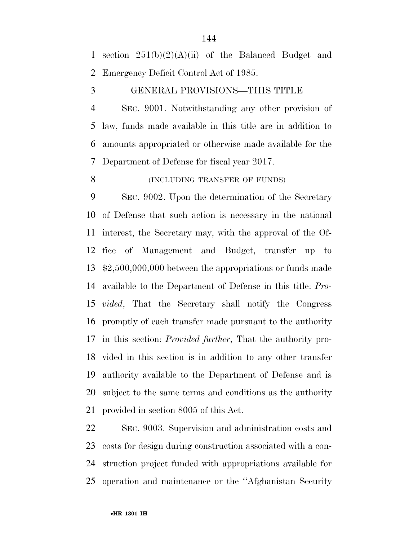section 251(b)(2)(A)(ii) of the Balanced Budget and Emergency Deficit Control Act of 1985.

#### GENERAL PROVISIONS—THIS TITLE

 SEC. 9001. Notwithstanding any other provision of law, funds made available in this title are in addition to amounts appropriated or otherwise made available for the Department of Defense for fiscal year 2017.

#### 8 (INCLUDING TRANSFER OF FUNDS)

 SEC. 9002. Upon the determination of the Secretary of Defense that such action is necessary in the national interest, the Secretary may, with the approval of the Of- fice of Management and Budget, transfer up to \$2,500,000,000 between the appropriations or funds made available to the Department of Defense in this title: *Pro- vided*, That the Secretary shall notify the Congress promptly of each transfer made pursuant to the authority in this section: *Provided further*, That the authority pro- vided in this section is in addition to any other transfer authority available to the Department of Defense and is subject to the same terms and conditions as the authority provided in section 8005 of this Act.

 SEC. 9003. Supervision and administration costs and costs for design during construction associated with a con- struction project funded with appropriations available for operation and maintenance or the ''Afghanistan Security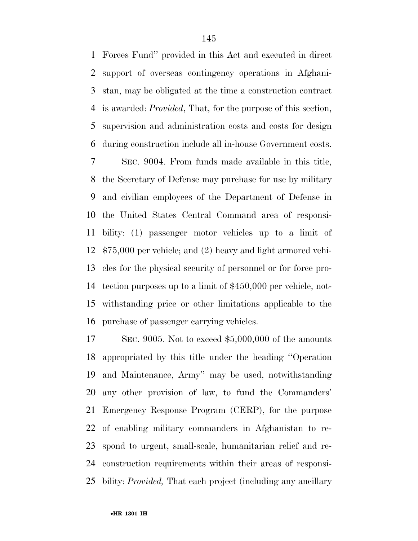Forces Fund'' provided in this Act and executed in direct support of overseas contingency operations in Afghani- stan, may be obligated at the time a construction contract is awarded: *Provided*, That, for the purpose of this section, supervision and administration costs and costs for design during construction include all in-house Government costs.

 SEC. 9004. From funds made available in this title, the Secretary of Defense may purchase for use by military and civilian employees of the Department of Defense in the United States Central Command area of responsi- bility: (1) passenger motor vehicles up to a limit of \$75,000 per vehicle; and (2) heavy and light armored vehi- cles for the physical security of personnel or for force pro- tection purposes up to a limit of \$450,000 per vehicle, not- withstanding price or other limitations applicable to the purchase of passenger carrying vehicles.

 SEC. 9005. Not to exceed \$5,000,000 of the amounts appropriated by this title under the heading ''Operation and Maintenance, Army'' may be used, notwithstanding any other provision of law, to fund the Commanders' Emergency Response Program (CERP), for the purpose of enabling military commanders in Afghanistan to re- spond to urgent, small-scale, humanitarian relief and re- construction requirements within their areas of responsi-bility: *Provided,* That each project (including any ancillary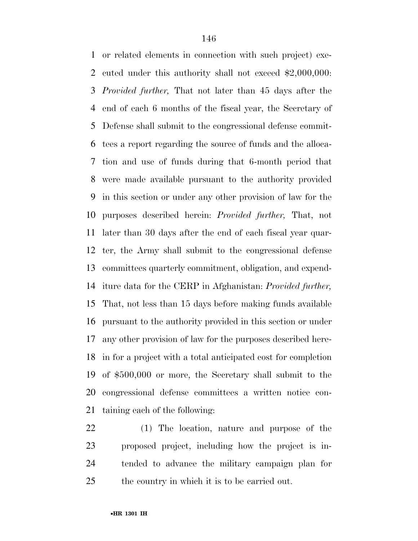or related elements in connection with such project) exe- cuted under this authority shall not exceed \$2,000,000: *Provided further,* That not later than 45 days after the end of each 6 months of the fiscal year, the Secretary of Defense shall submit to the congressional defense commit- tees a report regarding the source of funds and the alloca- tion and use of funds during that 6-month period that were made available pursuant to the authority provided in this section or under any other provision of law for the purposes described herein: *Provided further,* That, not later than 30 days after the end of each fiscal year quar- ter, the Army shall submit to the congressional defense committees quarterly commitment, obligation, and expend- iture data for the CERP in Afghanistan: *Provided further,*  That, not less than 15 days before making funds available pursuant to the authority provided in this section or under any other provision of law for the purposes described here- in for a project with a total anticipated cost for completion of \$500,000 or more, the Secretary shall submit to the congressional defense committees a written notice con-taining each of the following:

 (1) The location, nature and purpose of the proposed project, including how the project is in- tended to advance the military campaign plan for the country in which it is to be carried out.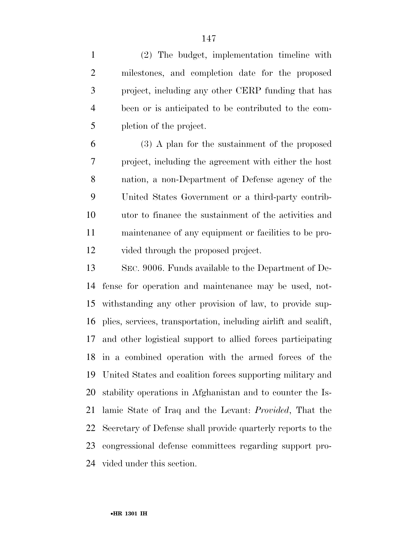(2) The budget, implementation timeline with milestones, and completion date for the proposed project, including any other CERP funding that has been or is anticipated to be contributed to the com-pletion of the project.

 (3) A plan for the sustainment of the proposed project, including the agreement with either the host nation, a non-Department of Defense agency of the United States Government or a third-party contrib- utor to finance the sustainment of the activities and maintenance of any equipment or facilities to be pro-vided through the proposed project.

 SEC. 9006. Funds available to the Department of De- fense for operation and maintenance may be used, not- withstanding any other provision of law, to provide sup- plies, services, transportation, including airlift and sealift, and other logistical support to allied forces participating in a combined operation with the armed forces of the United States and coalition forces supporting military and stability operations in Afghanistan and to counter the Is- lamic State of Iraq and the Levant: *Provided*, That the Secretary of Defense shall provide quarterly reports to the congressional defense committees regarding support pro-vided under this section.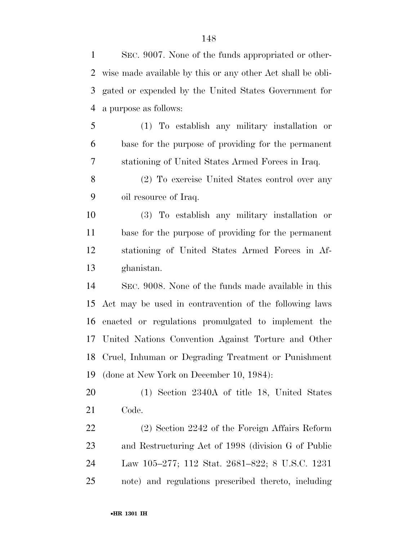wise made available by this or any other Act shall be obli- gated or expended by the United States Government for a purpose as follows: (1) To establish any military installation or base for the purpose of providing for the permanent stationing of United States Armed Forces in Iraq. (2) To exercise United States control over any oil resource of Iraq. (3) To establish any military installation or base for the purpose of providing for the permanent stationing of United States Armed Forces in Af- ghanistan. SEC. 9008. None of the funds made available in this Act may be used in contravention of the following laws enacted or regulations promulgated to implement the United Nations Convention Against Torture and Other Cruel, Inhuman or Degrading Treatment or Punishment (done at New York on December 10, 1984): (1) Section 2340A of title 18, United States Code. (2) Section 2242 of the Foreign Affairs Reform and Restructuring Act of 1998 (division G of Public Law 105–277; 112 Stat. 2681–822; 8 U.S.C. 1231 note) and regulations prescribed thereto, including

SEC. 9007. None of the funds appropriated or other-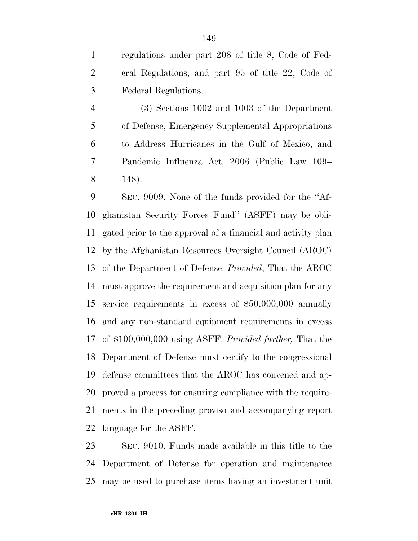regulations under part 208 of title 8, Code of Fed- eral Regulations, and part 95 of title 22, Code of Federal Regulations.

 (3) Sections 1002 and 1003 of the Department of Defense, Emergency Supplemental Appropriations to Address Hurricanes in the Gulf of Mexico, and Pandemic Influenza Act, 2006 (Public Law 109– 148).

 SEC. 9009. None of the funds provided for the ''Af- ghanistan Security Forces Fund'' (ASFF) may be obli- gated prior to the approval of a financial and activity plan by the Afghanistan Resources Oversight Council (AROC) of the Department of Defense: *Provided*, That the AROC must approve the requirement and acquisition plan for any service requirements in excess of \$50,000,000 annually and any non-standard equipment requirements in excess of \$100,000,000 using ASFF: *Provided further,* That the Department of Defense must certify to the congressional defense committees that the AROC has convened and ap- proved a process for ensuring compliance with the require- ments in the preceding proviso and accompanying report language for the ASFF.

 SEC. 9010. Funds made available in this title to the Department of Defense for operation and maintenance may be used to purchase items having an investment unit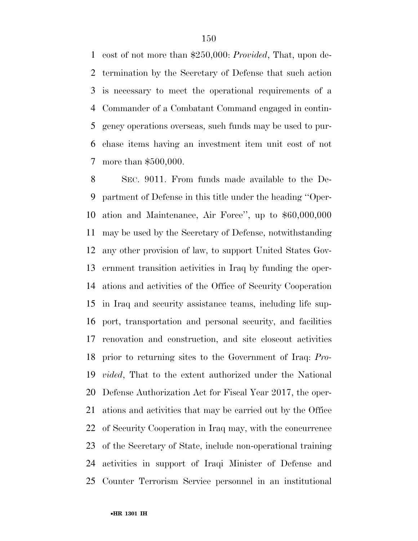cost of not more than \$250,000: *Provided*, That, upon de- termination by the Secretary of Defense that such action is necessary to meet the operational requirements of a Commander of a Combatant Command engaged in contin- gency operations overseas, such funds may be used to pur- chase items having an investment item unit cost of not more than \$500,000.

 SEC. 9011. From funds made available to the De- partment of Defense in this title under the heading ''Oper- ation and Maintenance, Air Force'', up to \$60,000,000 may be used by the Secretary of Defense, notwithstanding any other provision of law, to support United States Gov- ernment transition activities in Iraq by funding the oper- ations and activities of the Office of Security Cooperation in Iraq and security assistance teams, including life sup- port, transportation and personal security, and facilities renovation and construction, and site closeout activities prior to returning sites to the Government of Iraq: *Pro- vided*, That to the extent authorized under the National Defense Authorization Act for Fiscal Year 2017, the oper- ations and activities that may be carried out by the Office of Security Cooperation in Iraq may, with the concurrence of the Secretary of State, include non-operational training activities in support of Iraqi Minister of Defense and Counter Terrorism Service personnel in an institutional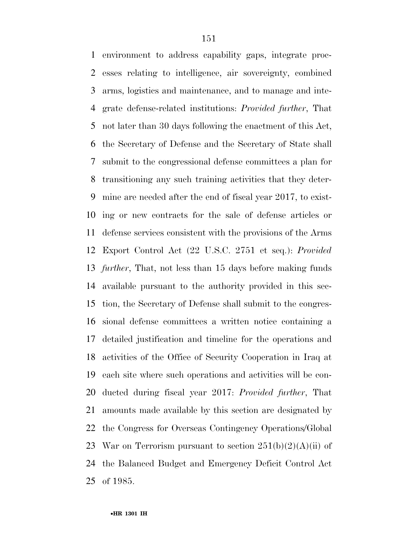environment to address capability gaps, integrate proc- esses relating to intelligence, air sovereignty, combined arms, logistics and maintenance, and to manage and inte- grate defense-related institutions: *Provided further*, That not later than 30 days following the enactment of this Act, the Secretary of Defense and the Secretary of State shall submit to the congressional defense committees a plan for transitioning any such training activities that they deter- mine are needed after the end of fiscal year 2017, to exist- ing or new contracts for the sale of defense articles or defense services consistent with the provisions of the Arms Export Control Act (22 U.S.C. 2751 et seq.): *Provided further*, That, not less than 15 days before making funds available pursuant to the authority provided in this sec- tion, the Secretary of Defense shall submit to the congres- sional defense committees a written notice containing a detailed justification and timeline for the operations and activities of the Office of Security Cooperation in Iraq at each site where such operations and activities will be con- ducted during fiscal year 2017: *Provided further*, That amounts made available by this section are designated by the Congress for Overseas Contingency Operations/Global 23 War on Terrorism pursuant to section  $251(b)(2)(A)(ii)$  of the Balanced Budget and Emergency Deficit Control Act of 1985.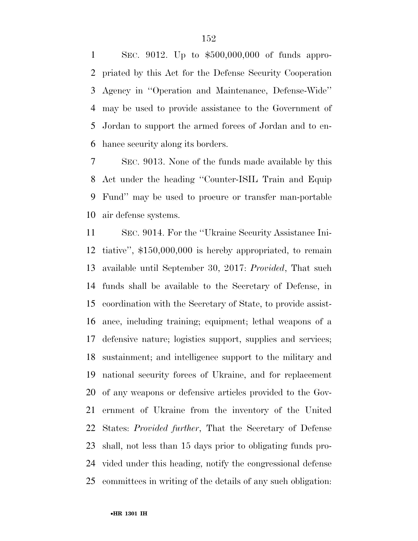SEC. 9012. Up to \$500,000,000 of funds appro- priated by this Act for the Defense Security Cooperation Agency in ''Operation and Maintenance, Defense-Wide'' may be used to provide assistance to the Government of Jordan to support the armed forces of Jordan and to en-hance security along its borders.

 SEC. 9013. None of the funds made available by this Act under the heading ''Counter-ISIL Train and Equip Fund'' may be used to procure or transfer man-portable air defense systems.

 SEC. 9014. For the ''Ukraine Security Assistance Ini- tiative'', \$150,000,000 is hereby appropriated, to remain available until September 30, 2017: *Provided*, That such funds shall be available to the Secretary of Defense, in coordination with the Secretary of State, to provide assist- ance, including training; equipment; lethal weapons of a defensive nature; logistics support, supplies and services; sustainment; and intelligence support to the military and national security forces of Ukraine, and for replacement of any weapons or defensive articles provided to the Gov- ernment of Ukraine from the inventory of the United States: *Provided further*, That the Secretary of Defense shall, not less than 15 days prior to obligating funds pro- vided under this heading, notify the congressional defense committees in writing of the details of any such obligation: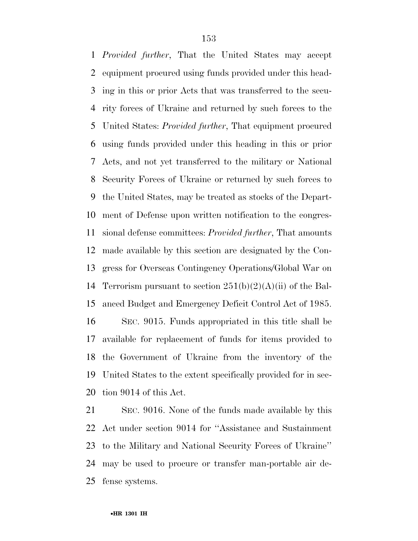*Provided further*, That the United States may accept equipment procured using funds provided under this head- ing in this or prior Acts that was transferred to the secu- rity forces of Ukraine and returned by such forces to the United States: *Provided further*, That equipment procured using funds provided under this heading in this or prior Acts, and not yet transferred to the military or National Security Forces of Ukraine or returned by such forces to the United States, may be treated as stocks of the Depart- ment of Defense upon written notification to the congres- sional defense committees: *Provided further*, That amounts made available by this section are designated by the Con- gress for Overseas Contingency Operations/Global War on 14 Terrorism pursuant to section  $251(b)(2)(A)(ii)$  of the Bal- anced Budget and Emergency Deficit Control Act of 1985. SEC. 9015. Funds appropriated in this title shall be available for replacement of funds for items provided to the Government of Ukraine from the inventory of the United States to the extent specifically provided for in sec-tion 9014 of this Act.

 SEC. 9016. None of the funds made available by this Act under section 9014 for ''Assistance and Sustainment to the Military and National Security Forces of Ukraine'' may be used to procure or transfer man-portable air de-fense systems.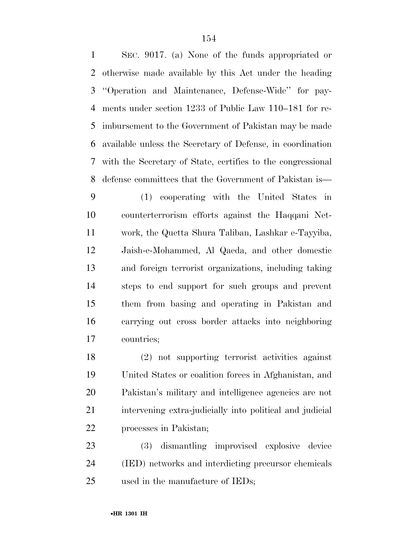SEC. 9017. (a) None of the funds appropriated or otherwise made available by this Act under the heading ''Operation and Maintenance, Defense-Wide'' for pay- ments under section 1233 of Public Law 110–181 for re- imbursement to the Government of Pakistan may be made available unless the Secretary of Defense, in coordination with the Secretary of State, certifies to the congressional defense committees that the Government of Pakistan is— (1) cooperating with the United States in counterterrorism efforts against the Haqqani Net- work, the Quetta Shura Taliban, Lashkar e-Tayyiba, Jaish-e-Mohammed, Al Qaeda, and other domestic and foreign terrorist organizations, including taking steps to end support for such groups and prevent them from basing and operating in Pakistan and carrying out cross border attacks into neighboring countries;

 (2) not supporting terrorist activities against United States or coalition forces in Afghanistan, and Pakistan's military and intelligence agencies are not intervening extra-judicially into political and judicial processes in Pakistan;

 (3) dismantling improvised explosive device (IED) networks and interdicting precursor chemicals used in the manufacture of IEDs;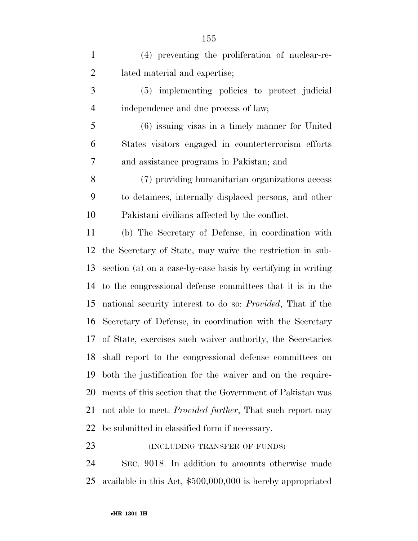(4) preventing the proliferation of nuclear-re- lated material and expertise; (5) implementing policies to protect judicial independence and due process of law; (6) issuing visas in a timely manner for United States visitors engaged in counterterrorism efforts and assistance programs in Pakistan; and (7) providing humanitarian organizations access to detainees, internally displaced persons, and other Pakistani civilians affected by the conflict. (b) The Secretary of Defense, in coordination with the Secretary of State, may waive the restriction in sub- section (a) on a case-by-case basis by certifying in writing to the congressional defense committees that it is in the national security interest to do so: *Provided*, That if the Secretary of Defense, in coordination with the Secretary of State, exercises such waiver authority, the Secretaries shall report to the congressional defense committees on both the justification for the waiver and on the require- ments of this section that the Government of Pakistan was not able to meet: *Provided further*, That such report may be submitted in classified form if necessary. 23 (INCLUDING TRANSFER OF FUNDS)

 SEC. 9018. In addition to amounts otherwise made available in this Act, \$500,000,000 is hereby appropriated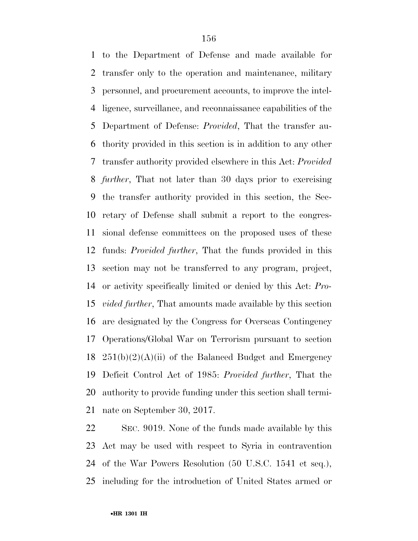to the Department of Defense and made available for transfer only to the operation and maintenance, military personnel, and procurement accounts, to improve the intel- ligence, surveillance, and reconnaissance capabilities of the Department of Defense: *Provided*, That the transfer au- thority provided in this section is in addition to any other transfer authority provided elsewhere in this Act: *Provided further*, That not later than 30 days prior to exercising the transfer authority provided in this section, the Sec- retary of Defense shall submit a report to the congres- sional defense committees on the proposed uses of these funds: *Provided further*, That the funds provided in this section may not be transferred to any program, project, or activity specifically limited or denied by this Act: *Pro- vided further*, That amounts made available by this section are designated by the Congress for Overseas Contingency Operations/Global War on Terrorism pursuant to section  $251(b)(2)(A)(ii)$  of the Balanced Budget and Emergency Deficit Control Act of 1985: *Provided further*, That the authority to provide funding under this section shall termi-nate on September 30, 2017.

 SEC. 9019. None of the funds made available by this Act may be used with respect to Syria in contravention of the War Powers Resolution (50 U.S.C. 1541 et seq.), including for the introduction of United States armed or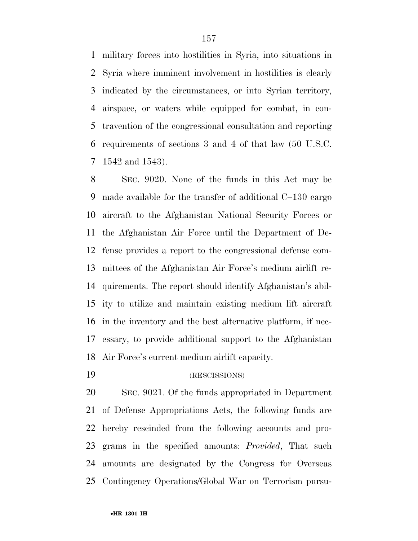military forces into hostilities in Syria, into situations in Syria where imminent involvement in hostilities is clearly indicated by the circumstances, or into Syrian territory, airspace, or waters while equipped for combat, in con- travention of the congressional consultation and reporting requirements of sections 3 and 4 of that law (50 U.S.C. 1542 and 1543).

 SEC. 9020. None of the funds in this Act may be made available for the transfer of additional C–130 cargo aircraft to the Afghanistan National Security Forces or the Afghanistan Air Force until the Department of De- fense provides a report to the congressional defense com- mittees of the Afghanistan Air Force's medium airlift re- quirements. The report should identify Afghanistan's abil- ity to utilize and maintain existing medium lift aircraft in the inventory and the best alternative platform, if nec- essary, to provide additional support to the Afghanistan Air Force's current medium airlift capacity.

(RESCISSIONS)

 SEC. 9021. Of the funds appropriated in Department of Defense Appropriations Acts, the following funds are hereby rescinded from the following accounts and pro- grams in the specified amounts: *Provided*, That such amounts are designated by the Congress for Overseas Contingency Operations/Global War on Terrorism pursu-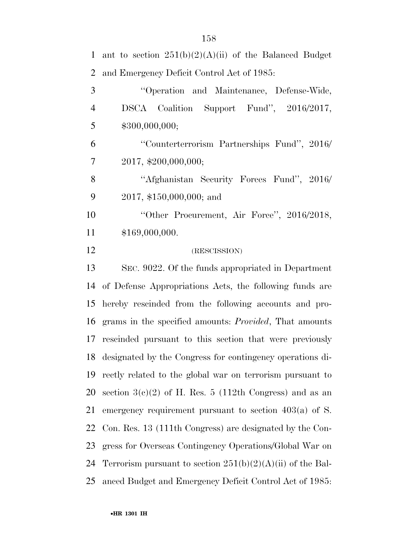| $\mathbf{1}$   | ant to section $251(b)(2)(A)(ii)$ of the Balanced Budget       |
|----------------|----------------------------------------------------------------|
| $\overline{2}$ | and Emergency Deficit Control Act of 1985:                     |
| 3              | "Operation and Maintenance, Defense-Wide,                      |
| $\overline{4}$ | DSCA Coalition Support Fund", 2016/2017,                       |
| 5              | \$300,000,000;                                                 |
| 6              | "Counterterrorism Partnerships Fund", 2016/                    |
| $\tau$         | 2017, \$200,000,000;                                           |
| 8              | "Afghanistan Security Forces Fund", 2016/                      |
| 9              | 2017, \$150,000,000; and                                       |
| 10             | "Other Procurement, Air Force", 2016/2018,                     |
| 11             | \$169,000,000.                                                 |
| 12             | (RESCISSION)                                                   |
| 13             | SEC. 9022. Of the funds appropriated in Department             |
| 14             | of Defense Appropriations Acts, the following funds are        |
| 15             | hereby rescinded from the following accounts and pro-          |
| 16             | grams in the specified amounts: <i>Provided</i> , That amounts |
| 17             | rescinded pursuant to this section that were previously        |
| 18             | designated by the Congress for contingency operations di-      |
| 19             | rectly related to the global war on terrorism pursuant to      |
| 20             | section $3(c)(2)$ of H. Res. 5 (112th Congress) and as an      |
| 21             | emergency requirement pursuant to section $403(a)$ of S.       |
| 22             | Con. Res. 13 (111th Congress) are designated by the Con-       |
| 23             | gress for Overseas Contingency Operations/Global War on        |
| 24             | Terrorism pursuant to section $251(b)(2)(A)(ii)$ of the Bal-   |
| 25             | anced Budget and Emergency Deficit Control Act of 1985:        |